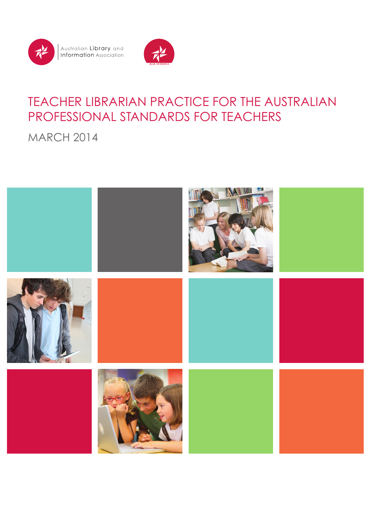

Australian **Library** and<br>**Information** Association



# TEACHER LIBRARIAN PRACTICE FOR THE AUSTRALIAN PROFESSIONAL STANDARDS FOR TEACHERS

MARCH 2014

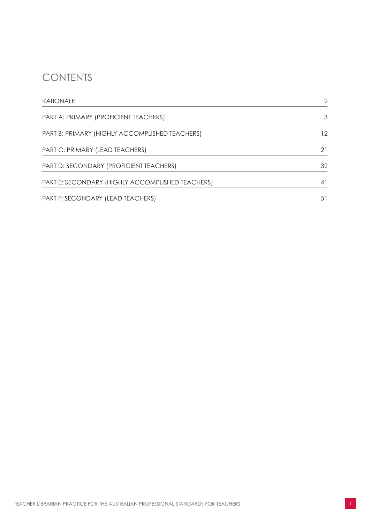#### **CONTENTS**

| <b>RATIONALE</b>                                 | $\mathcal{P}$ |
|--------------------------------------------------|---------------|
| PART A: PRIMARY (PROFICIENT TEACHERS)            | 3             |
| PART B: PRIMARY (HIGHLY ACCOMPLISHED TEACHERS)   | 12            |
| PART C: PRIMARY (LEAD TEACHERS)                  | 21            |
| PART D: SECONDARY (PROFICIENT TEACHERS)          | 32            |
| PART E: SECONDARY (HIGHLY ACCOMPLISHED TEACHERS) | 41            |
| PART F: SECONDARY (LEAD TEACHERS)                | 51            |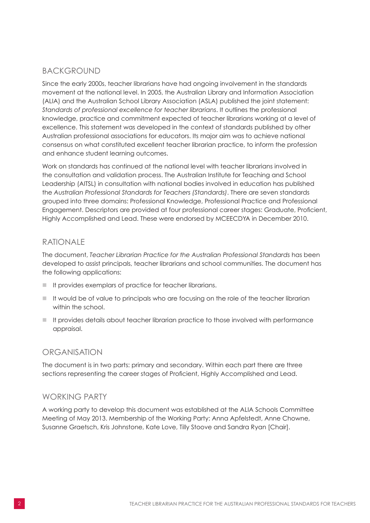#### <span id="page-3-0"></span>BACKGROUND

Since the early 2000s, teacher librarians have had ongoing involvement in the standards movement at the national level. In 2005, the Australian Library and Information Association (ALIA) and the Australian School Library Association (ASLA) published the joint statement: *Standards of professional excellence for teacher librarians*. It outlines the professional knowledge, practice and commitment expected of teacher librarians working at a level of excellence. This statement was developed in the context of standards published by other Australian professional associations for educators. Its major aim was to achieve national consensus on what constituted excellent teacher librarian practice, to inform the profession and enhance student learning outcomes.

Work on standards has continued at the national level with teacher librarians involved in the consultation and validation process. The Australian Institute for Teaching and School Leadership (AITSL) in consultation with national bodies involved in education has published the *Australian Professional Standards for Teachers (Standards)*. There are seven standards grouped into three domains: Professional Knowledge, Professional Practice and Professional Engagement. Descriptors are provided at four professional career stages: Graduate, Proficient, Highly Accomplished and Lead. These were endorsed by MCEECDYA in December 2010.

#### RATIONALE

The document, *Teacher Librarian Practice for the Australian Professional Standards* has been developed to assist principals, teacher librarians and school communities. The document has the following applications:

- It provides exemplars of practice for teacher librarians.
- $\blacksquare$  It would be of value to principals who are focusing on the role of the teacher librarian within the school.
- $\blacksquare$  It provides details about teacher librarian practice to those involved with performance appraisal.

#### ORGANISATION

The document is in two parts: primary and secondary. Within each part there are three sections representing the career stages of Proficient, Highly Accomplished and Lead.

#### WORKING PARTY

A working party to develop this document was established at the ALIA Schools Committee Meeting of May 2013. Membership of the Working Party: Anna Apfelstedt, Anne Chowne, Susanne Graetsch, Kris Johnstone, Kate Love, Tilly Stoove and Sandra Ryan [Chair].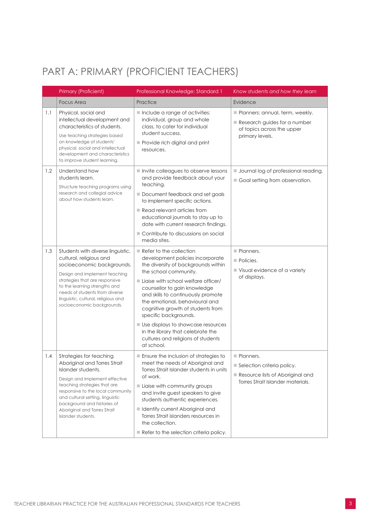### <span id="page-4-0"></span>PART A: PRIMARY (PROFICIENT TEACHERS)

|     | Primary (Proficient)                                                                                                                                                                                                                                                                                          | Professional Knowledge: Standard 1                                                                                                                                                                                                                                                                                                                                                                                                                                                     | Know students and how they learn                                                                                                |
|-----|---------------------------------------------------------------------------------------------------------------------------------------------------------------------------------------------------------------------------------------------------------------------------------------------------------------|----------------------------------------------------------------------------------------------------------------------------------------------------------------------------------------------------------------------------------------------------------------------------------------------------------------------------------------------------------------------------------------------------------------------------------------------------------------------------------------|---------------------------------------------------------------------------------------------------------------------------------|
|     | <b>Focus Area</b>                                                                                                                                                                                                                                                                                             | Practice                                                                                                                                                                                                                                                                                                                                                                                                                                                                               | Evidence                                                                                                                        |
| 1.1 | Physical, social and<br>intellectual development and<br>characteristics of students.<br>Use teaching strategies based<br>on knowledge of students'<br>physical, social and intellectual<br>development and characteristics<br>to improve student learning.                                                    | Include a range of activities:<br>individual, group and whole<br>class, to cater for individual<br>student success.<br>Provide rich digital and print<br>resources.                                                                                                                                                                                                                                                                                                                    | Planners: annual, term, weekly.<br>Research guides for a number<br>of topics across the upper<br>primary levels.                |
| 1.2 | Understand how<br>students learn.<br>Structure teaching programs using<br>research and collegial advice<br>about how students learn.                                                                                                                                                                          | Invite colleagues to observe lessons<br>and provide feedback about your<br>teaching.<br>Document feedback and set goals<br>to implement specific actions.<br>$\blacksquare$ Read relevant articles from<br>educational journals to stay up to<br>date with current research findings.<br>Contribute to discussions on social<br>media sites.                                                                                                                                           | <b>Journal log of professional reading.</b><br>Goal setting from observation.                                                   |
| 1.3 | Students with diverse linguistic,<br>cultural, religious and<br>socioeconomic backgrounds.<br>Design and implement teaching<br>strategies that are responsive<br>to the learning strengths and<br>needs of students from diverse<br>linguistic, cultural, religious and<br>socioeconomic backgrounds.         | $\blacksquare$ Refer to the collection<br>development policies incorporate<br>the diversity of backgrounds within<br>the school community.<br>Liaise with school welfare officer/<br>counsellor to gain knowledge<br>and skills to continuously promote<br>the emotional, behavioural and<br>cognitive growth of students from<br>specific backgrounds.<br>Use displays to showcase resources<br>in the library that celebrate the<br>cultures and religions of students<br>at school. | Planners.<br>$\blacksquare$ Policies.<br>■ Visual evidence of a variety<br>of displays.                                         |
| 1.4 | Strategies for teaching<br>Aboriginal and Torres Strait<br>Islander students.<br>Design and implement effective<br>teaching strategies that are<br>responsive to the local community<br>and cultural setting, linguistic<br>background and histories of<br>Aboriginal and Torres Strait<br>Islander students. | Ensure the inclusion of strategies to<br>meet the needs of Aboriginal and<br>Torres Strait Islander students in units<br>of work.<br>Liaise with community groups<br>and invite guest speakers to give<br>students authentic experiences.<br>I Identify current Aboriginal and<br>Torres Strait islanders resources in<br>the collection.<br>$\blacksquare$ Refer to the selection criteria policy.                                                                                    | $\blacksquare$ Planners.<br>Selection criteria policy.<br>Resource lists of Aboriginal and<br>Torres Strait Islander materials. |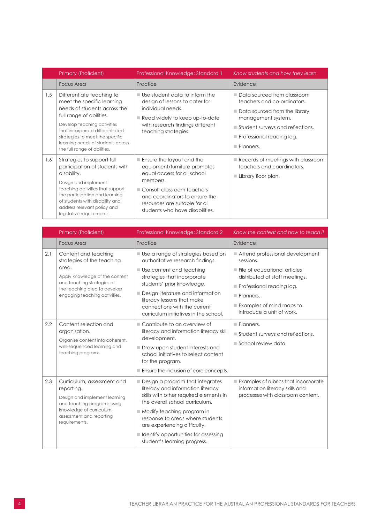|     | Primary (Proficient)                                                                                                                                                                                                                                                                          | Professional Knowledge: Standard 1                                                                                                                                                                                                                       | Know students and how they learn                                                                                                                                                                                                |
|-----|-----------------------------------------------------------------------------------------------------------------------------------------------------------------------------------------------------------------------------------------------------------------------------------------------|----------------------------------------------------------------------------------------------------------------------------------------------------------------------------------------------------------------------------------------------------------|---------------------------------------------------------------------------------------------------------------------------------------------------------------------------------------------------------------------------------|
|     | <b>Focus Area</b>                                                                                                                                                                                                                                                                             | Practice                                                                                                                                                                                                                                                 | Evidence                                                                                                                                                                                                                        |
| 1.5 | Differentiate teaching to<br>meet the specific learning<br>needs of students across the<br>full range of abilities.<br>Develop teaching activities<br>that incorporate differentiated<br>strategies to meet the specific<br>learning needs of students across<br>the full range of abilities. | $\blacksquare$ Use student data to inform the<br>design of lessons to cater for<br>individual needs.<br>Read widely to keep up-to-date<br>with research findings different<br>teaching strategies.                                                       | Data sourced from classroom<br>teachers and co-ordinators.<br>■ Data sourced from the library<br>management system.<br>Student surveys and reflections.<br>$\blacksquare$ Professional reading log.<br>$\blacksquare$ Planners. |
| 1.6 | Strategies to support full<br>participation of students with<br>disability.<br>Design and implement<br>teaching activities that support<br>the participation and learning<br>of students with disability and<br>address relevant policy and<br>legislative requirements.                      | $\blacksquare$ Ensure the layout and the<br>equipment/furniture promotes<br>equal access for all school<br>members.<br>Consult classroom teachers<br>and coordinators to ensure the<br>resources are suitable for all<br>students who have disabilities. | $\blacksquare$ Records of meetings with classroom<br>teachers and coordinators.<br>Library floor plan.                                                                                                                          |

|     | Primary (Proficient)                                                                                                                                                                         | Professional Knowledge: Standard 2                                                                                                                                                                                                                                                                                                                        | Know the content and how to teach it                                                                                                                                                                                                                           |
|-----|----------------------------------------------------------------------------------------------------------------------------------------------------------------------------------------------|-----------------------------------------------------------------------------------------------------------------------------------------------------------------------------------------------------------------------------------------------------------------------------------------------------------------------------------------------------------|----------------------------------------------------------------------------------------------------------------------------------------------------------------------------------------------------------------------------------------------------------------|
|     | <b>Focus Area</b>                                                                                                                                                                            | Practice                                                                                                                                                                                                                                                                                                                                                  | Evidence                                                                                                                                                                                                                                                       |
| 2.1 | Content and teaching<br>strategies of the teaching<br>area.<br>Apply knowledge of the content<br>and teaching strategies of<br>the teaching area to develop<br>engaging teaching activities. | ■ Use a range of strategies based on<br>authoritative research findings.<br>$\blacksquare$ Use content and teaching<br>strategies that incorporate<br>students' prior knowledge.<br>Design literature and information<br>literacy lessons that make<br>connections with the current<br>curriculum initiatives in the school.                              | Attend professional development<br>sessions.<br>$\blacksquare$ File of educational articles<br>distributed at staff meetings.<br>$\blacksquare$ Professional reading log.<br>Planners.<br>$\blacksquare$ Examples of mind maps to<br>introduce a unit of work. |
| 2.2 | Content selection and<br>organisation.<br>Organise content into coherent,<br>well-sequenced learning and<br>teaching programs.                                                               | ■ Contribute to an overview of<br>literacy and information literacy skill<br>development.<br>Draw upon student interests and<br>school initiatives to select content<br>for the program.<br>Ensure the inclusion of core concepts.                                                                                                                        | Planners.<br>Student surveys and reflections.<br>School review data.                                                                                                                                                                                           |
| 2.3 | Curriculum, assessment and<br>reporting.<br>Design and implement learning<br>and teaching programs using<br>knowledge of curriculum,<br>assessment and reporting<br>requirements.            | Design a program that integrates<br>literacy and information literacy<br>skills with other required elements in<br>the overall school curriculum.<br>$\blacksquare$ Modify teaching program in<br>response to areas where students<br>are experiencing difficulty.<br>$\blacksquare$ Identify opportunities for assessing<br>student's learning progress. | Examples of rubrics that incorporate<br>information literacy skills and<br>processes with classroom content.                                                                                                                                                   |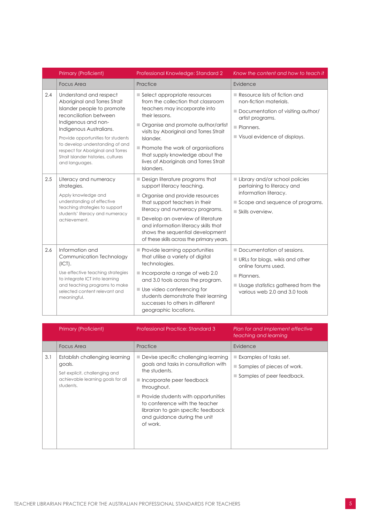|     | Primary (Proficient)                                                                                                                                                                                                                                                                                                                    | Professional Knowledge: Standard 2                                                                                                                                                                                                                                                                                                                                | Know the content and how to teach it                                                                                                                                     |
|-----|-----------------------------------------------------------------------------------------------------------------------------------------------------------------------------------------------------------------------------------------------------------------------------------------------------------------------------------------|-------------------------------------------------------------------------------------------------------------------------------------------------------------------------------------------------------------------------------------------------------------------------------------------------------------------------------------------------------------------|--------------------------------------------------------------------------------------------------------------------------------------------------------------------------|
|     | <b>Focus Area</b>                                                                                                                                                                                                                                                                                                                       | Practice                                                                                                                                                                                                                                                                                                                                                          | Evidence                                                                                                                                                                 |
| 2.4 | Understand and respect<br>Aboriginal and Torres Strait<br>Islander people to promote<br>reconciliation between<br>Indigenous and non-<br>Indigenous Australians.<br>Provide opportunities for students<br>to develop understanding of and<br>respect for Aboriginal and Torres<br>Strait Islander histories, cultures<br>and languages. | Select appropriate resources<br>from the collection that classroom<br>teachers may incorporate into<br>their lessons.<br>Organise and promote author/artist<br>visits by Aboriginal and Torres Strait<br>Islander.<br>$\blacksquare$ Promote the work of organisations<br>that supply knowledge about the<br>lives of Aboriginals and Torres Strait<br>Islanders. | Resource lists of fiction and<br>non-fiction materials.<br>Documentation of visiting author/<br>artist programs.<br>Planners.<br>Visual evidence of displays.            |
| 2.5 | Literacy and numeracy<br>strategies.<br>Apply knowledge and<br>understanding of effective<br>teaching strategies to support<br>students' literacy and numeracy<br>achievement.                                                                                                                                                          | Design literature programs that<br>support literacy teaching.<br>Organise and provide resources<br>that support teachers in their<br>literacy and numeracy programs.<br>Develop an overview of literature<br>and information literacy skills that<br>shows the sequential development<br>of these skills across the primary years.                                | Library and/or school policies<br>pertaining to literacy and<br>information literacy.<br>Scope and sequence of programs.<br>Skills overview.                             |
| 2.6 | Information and<br>Communication Technology<br>(ICT).<br>Use effective teaching strategies<br>to integrate ICT into learning<br>and teaching programs to make<br>selected content relevant and<br>meaningful.                                                                                                                           | Provide learning opportunities<br>that utilise a variety of digital<br>technologies.<br>$\blacksquare$ Incorporate a range of web 2.0<br>and 3.0 tools across the program.<br>Use video conferencing for<br>students demonstrate their learning<br>successes to others in different<br>geographic locations.                                                      | Documentation of sessions.<br>URLs for blogs, wikis and other<br>online forums used.<br>Planners.<br>Usage statistics gathered from the<br>various web 2.0 and 3.0 tools |

|     | Primary (Proficient)                                                                                                        | Professional Practice: Standard 3                                                                                                                                                                                                                                                                                                        | Plan for and implement effective<br>teaching and learning                                                                      |
|-----|-----------------------------------------------------------------------------------------------------------------------------|------------------------------------------------------------------------------------------------------------------------------------------------------------------------------------------------------------------------------------------------------------------------------------------------------------------------------------------|--------------------------------------------------------------------------------------------------------------------------------|
|     | Focus Area                                                                                                                  | Practice                                                                                                                                                                                                                                                                                                                                 | Evidence                                                                                                                       |
| 3.1 | Establish challenging learning<br>goals.<br>Set explicit, challenging and<br>achievable learning goals for all<br>students. | Devise specific challenging learning<br>٠<br>goals and tasks in consultation with<br>the students.<br>$\blacksquare$ Incorporate peer feedback<br>throughout.<br>$\blacksquare$ Provide students with opportunities<br>to conference with the teacher<br>librarian to gain specific feedback<br>and guidance during the unit<br>of work. | $\blacksquare$ Examples of tasks set.<br>$\blacksquare$ Samples of pieces of work.<br>$\blacksquare$ Samples of peer feedback. |
|     |                                                                                                                             |                                                                                                                                                                                                                                                                                                                                          |                                                                                                                                |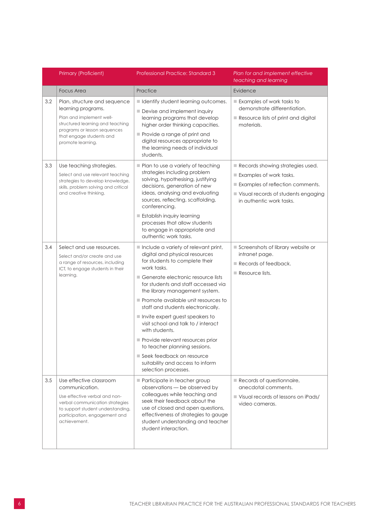|     | Primary (Proficient)                                                                                                                                                                                | <b>Professional Practice: Standard 3</b>                                                                                                                                                                                                                                                                                                                                                                                                                                                                                                                                        | Plan for and implement effective<br>teaching and learning                                                                                                          |
|-----|-----------------------------------------------------------------------------------------------------------------------------------------------------------------------------------------------------|---------------------------------------------------------------------------------------------------------------------------------------------------------------------------------------------------------------------------------------------------------------------------------------------------------------------------------------------------------------------------------------------------------------------------------------------------------------------------------------------------------------------------------------------------------------------------------|--------------------------------------------------------------------------------------------------------------------------------------------------------------------|
|     | <b>Focus Area</b>                                                                                                                                                                                   | Practice                                                                                                                                                                                                                                                                                                                                                                                                                                                                                                                                                                        | Evidence                                                                                                                                                           |
| 3.2 | Plan, structure and sequence<br>learning programs.<br>Plan and implement well-<br>structured learning and teaching<br>programs or lesson sequences<br>that engage students and<br>promote learning. | I Identify student learning outcomes.<br>Devise and implement inquiry<br>learning programs that develop<br>higher order thinking capacities.<br>Provide a range of print and<br>digital resources appropriate to<br>the learning needs of individual<br>students.                                                                                                                                                                                                                                                                                                               | $\blacksquare$ Examples of work tasks to<br>demonstrate differentiation.<br>Resource lists of print and digital<br>materials.                                      |
| 3.3 | Use teaching strategies.<br>Select and use relevant teaching<br>strategies to develop knowledge,<br>skills, problem solving and critical<br>and creative thinking.                                  | Plan to use a variety of teaching<br>strategies including problem<br>solving, hypothesising, justifying<br>decisions, generation of new<br>ideas, analysing and evaluating<br>sources, reflecting, scaffolding,<br>conferencing.<br><b>Establish inquiry learning</b><br>processes that allow students<br>to engage in appropriate and<br>authentic work tasks.                                                                                                                                                                                                                 | Records showing strategies used.<br>Examples of work tasks.<br>Examples of reflection comments.<br>Visual records of students engaging<br>in authentic work tasks. |
| 3.4 | Select and use resources.<br>Select and/or create and use<br>a range of resources, including<br>ICT, to engage students in their<br>learning.                                                       | Include a variety of relevant print,<br>digital and physical resources<br>for students to complete their<br>work tasks.<br>■ Generate electronic resource lists<br>for students and staff accessed via<br>the library management system.<br>Promote available unit resources to<br>staff and students electronically.<br>Invite expert guest speakers to<br>visit school and talk to / interact<br>with students.<br>Provide relevant resources prior<br>to teacher planning sessions.<br>Seek feedback on resource<br>suitability and access to inform<br>selection processes. | Screenshots of library website or<br>intranet page.<br>$\blacksquare$ Records of feedback.<br>Resource lists.                                                      |
| 3.5 | Use effective classroom<br>communication.<br>Use effective verbal and non-<br>verbal communication strategies<br>to support student understanding,<br>participation, engagement and<br>achievement. | Participate in teacher group<br>observations - be observed by<br>colleagues while teaching and<br>seek their feedback about the<br>use of closed and open questions,<br>effectiveness of strategies to gauge<br>student understanding and teacher<br>student interaction.                                                                                                                                                                                                                                                                                                       | Records of questionnaire,<br>anecdotal comments.<br>Visual records of lessons on iPads/<br>video cameras.                                                          |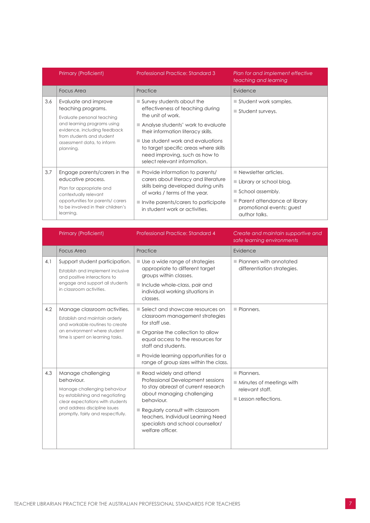|     | Primary (Proficient)                                                                                                                                                                                            | <b>Professional Practice: Standard 3</b>                                                                                                                                                                                                                                                                                     | Plan for and implement effective<br>teaching and learning                                                                                                                       |
|-----|-----------------------------------------------------------------------------------------------------------------------------------------------------------------------------------------------------------------|------------------------------------------------------------------------------------------------------------------------------------------------------------------------------------------------------------------------------------------------------------------------------------------------------------------------------|---------------------------------------------------------------------------------------------------------------------------------------------------------------------------------|
|     | <b>Focus Area</b>                                                                                                                                                                                               | Practice                                                                                                                                                                                                                                                                                                                     | Evidence                                                                                                                                                                        |
| 3.6 | Evaluate and improve<br>teaching programs.<br>Evaluate personal teaching<br>and learning programs using<br>evidence, including feedback<br>from students and student<br>assessment data, to inform<br>planning. | $\blacksquare$ Survey students about the<br>effectiveness of teaching during<br>the unit of work.<br>Analyse students' work to evaluate<br>their information literacy skills.<br>Use student work and evaluations<br>to target specific areas where skills<br>need improving, such as how to<br>select relevant information. | $\blacksquare$ Student work samples.<br>$\blacksquare$ Student surveys.                                                                                                         |
| 3.7 | Engage parents/carers in the<br>educative process.<br>Plan for appropriate and<br>contextually relevant<br>opportunities for parents/carers<br>to be involved in their children's<br>learning.                  | Provide information to parents/<br>carers about literacy and literature<br>skills being developed during units<br>of works / terms of the year.<br>$\blacksquare$ Invite parents/carers to participate<br>in student work or activities.                                                                                     | $\blacksquare$ Newsletter articles.<br>$\blacksquare$ Library or school blog.<br>School assembly.<br>Parent attendance at library<br>promotional events: guest<br>author talks. |

|     | Primary (Proficient)                                                                                                                                                                                           | <b>Professional Practice: Standard 4</b>                                                                                                                                                                                                                                               | Create and maintain supportive and<br>safe learning environments                               |
|-----|----------------------------------------------------------------------------------------------------------------------------------------------------------------------------------------------------------------|----------------------------------------------------------------------------------------------------------------------------------------------------------------------------------------------------------------------------------------------------------------------------------------|------------------------------------------------------------------------------------------------|
|     | <b>Focus Area</b>                                                                                                                                                                                              | Practice                                                                                                                                                                                                                                                                               | Evidence                                                                                       |
| 4.1 | Support student participation.<br>Establish and implement inclusive<br>and positive interactions to<br>engage and support all students                                                                         | $\blacksquare$ Use a wide range of strategies<br>appropriate to different target<br>groups within classes.<br>Include whole-class, pair and                                                                                                                                            | $\blacksquare$ Planners with annotated<br>differentiation strategies.                          |
|     | in classroom activities.                                                                                                                                                                                       | individual working situations in<br>classes.                                                                                                                                                                                                                                           |                                                                                                |
| 4.2 | Manage classroom activities.<br>Establish and maintain orderly<br>and workable routines to create<br>an environment where student<br>time is spent on learning tasks.                                          | Select and showcase resources on<br>classroom management strategies<br>for staff use.<br>Organise the collection to allow<br>equal access to the resources for<br>staff and students.<br>$\blacksquare$ Provide learning opportunities for a<br>range of group sizes within the class. | Planners.                                                                                      |
| 4.3 | Manage challenging<br>behaviour.<br>Manage challenging behaviour<br>by establishing and negotiating<br>clear expectations with students<br>and address discipline issues<br>promptly, fairly and respectfully. | Read widely and attend<br>Professional Development sessions<br>to stay abreast of current research<br>about managing challenging<br>behaviour.<br>Regularly consult with classroom<br>teachers, Individual Learning Need<br>specialists and school counsellor/<br>welfare officer.     | Planners.<br>$\blacksquare$ Minutes of meetings with<br>relevant staff.<br>Lesson reflections. |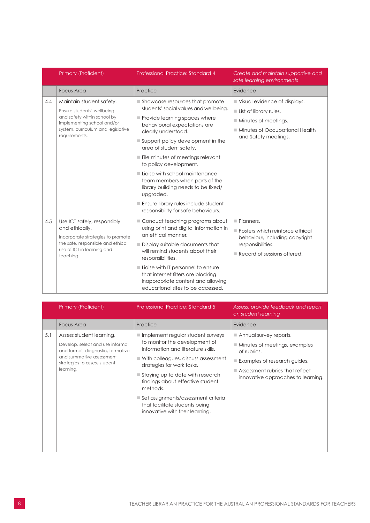|     | Primary (Proficient)                                                                                                                                                       | <b>Professional Practice: Standard 4</b>                                                                                                                                                                                                                                                                                                                                                                                                                                                                               | Create and maintain supportive and<br>safe learning environments                                                                                                       |
|-----|----------------------------------------------------------------------------------------------------------------------------------------------------------------------------|------------------------------------------------------------------------------------------------------------------------------------------------------------------------------------------------------------------------------------------------------------------------------------------------------------------------------------------------------------------------------------------------------------------------------------------------------------------------------------------------------------------------|------------------------------------------------------------------------------------------------------------------------------------------------------------------------|
|     | <b>Focus Area</b>                                                                                                                                                          | Practice                                                                                                                                                                                                                                                                                                                                                                                                                                                                                                               | Evidence                                                                                                                                                               |
| 4.4 | Maintain student safety.<br>Ensure students' wellbeing<br>and safety within school by<br>implementing school and/or<br>system, curriculum and legislative<br>requirements. | Showcase resources that promote<br>students' social values and wellbeing.<br>Provide learning spaces where<br>behavioural expectations are<br>clearly understood.<br>$\blacksquare$ Support policy development in the<br>area of student safety.<br>File minutes of meetings relevant<br>to policy development.<br>Ligise with school maintenance<br>team members when parts of the<br>library building needs to be fixed/<br>upgraded.<br>Ensure library rules include student<br>responsibility for safe behaviours. | Visual evidence of displays.<br>$\blacksquare$ List of library rules.<br>$\blacksquare$ Minutes of meetings.<br>Minutes of Occupational Health<br>and Safety meetings. |
| 4.5 | Use ICT safely, responsibly<br>and ethically.<br>Incorporate strategies to promote<br>the safe, responsible and ethical<br>use of ICT in learning and<br>teaching.         | Conduct teaching programs about<br>using print and digital information in<br>an ethical manner.<br>■ Display suitable documents that<br>will remind students about their<br>responsibilities.<br>Liaise with IT personnel to ensure<br>that internet filters are blocking<br>inappropriate content and allowing<br>educational sites to be accessed.                                                                                                                                                                   | $\blacksquare$ Planners.<br>Posters which reinforce ethical<br>behaviour, including copyright<br>responsibilities.<br>$\blacksquare$ Record of sessions offered.       |

|     | Primary (Proficient)                                                                                                                                                       | <b>Professional Practice: Standard 5</b>                                                                                                                                                                                                                                                                                                                                            | Assess, provide feedback and report<br>on student learning                                                                                                                                                    |
|-----|----------------------------------------------------------------------------------------------------------------------------------------------------------------------------|-------------------------------------------------------------------------------------------------------------------------------------------------------------------------------------------------------------------------------------------------------------------------------------------------------------------------------------------------------------------------------------|---------------------------------------------------------------------------------------------------------------------------------------------------------------------------------------------------------------|
|     | <b>Focus Area</b>                                                                                                                                                          | Practice                                                                                                                                                                                                                                                                                                                                                                            | Evidence                                                                                                                                                                                                      |
| 5.1 | Assess student learning.<br>Develop, select and use informal<br>and formal, diagnostic, formative<br>and summative assessment<br>strategies to assess student<br>learning. | Implement regular student surveys<br>to monitor the development of<br>information and literature skills.<br>■ With colleagues, discuss assessment<br>strategies for work tasks.<br>■ Staying up to date with research<br>findings about effective student<br>methods.<br>■ Set assignments/assessment criteria<br>that facilitate students being<br>innovative with their learning. | Annual survey reports.<br>$\blacksquare$ Minutes of meetings, examples<br>of rubrics.<br>$\blacksquare$ Examples of research guides.<br>Assessment rubrics that reflect<br>innovative approaches to learning. |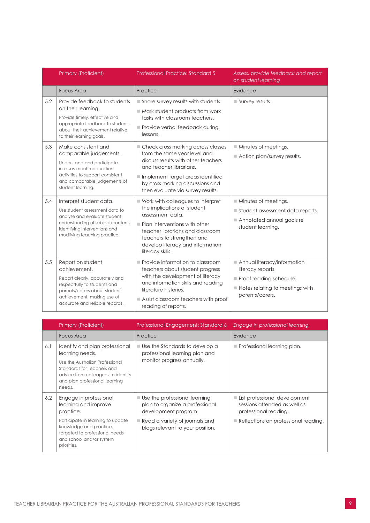|     | Primary (Proficient)                                                                                                                                                                                | Professional Practice: Standard 5                                                                                                                                                                                                                              | Assess, provide feedback and report<br>on student learning                                                                                       |
|-----|-----------------------------------------------------------------------------------------------------------------------------------------------------------------------------------------------------|----------------------------------------------------------------------------------------------------------------------------------------------------------------------------------------------------------------------------------------------------------------|--------------------------------------------------------------------------------------------------------------------------------------------------|
|     | <b>Focus Area</b>                                                                                                                                                                                   | Practice                                                                                                                                                                                                                                                       | Evidence                                                                                                                                         |
| 5.2 | Provide feedback to students<br>on their learning.<br>Provide timely, effective and<br>appropriate feedback to students<br>about their achievement relative<br>to their learning goals.             | Share survey results with students.<br>$\blacksquare$ Mark student products from work<br>tasks with classroom teachers.<br>Provide verbal feedback during<br>lessons.                                                                                          | Survey results.                                                                                                                                  |
| 5.3 | Make consistent and<br>comparable judgements.<br>Understand and participate<br>in assessment moderation<br>activities to support consistent<br>and comparable judgements of<br>student learning.    | Check cross marking across classes<br>from the same year level and<br>discuss results with other teachers<br>and teacher librarians.<br>Implement target areas identified<br>by cross marking discussions and<br>then evaluate via survey results.             | Minutes of meetings.<br>Action plan/survey results.                                                                                              |
| 5.4 | Interpret student data.<br>Use student assessment data to<br>analyse and evaluate student<br>understanding of subject/content,<br>identifying interventions and<br>modifying teaching practice.     | Work with colleagues to interpret<br>the implications of student<br>assessment data.<br>$\blacksquare$ Plan interventions with other<br>teacher librarians and classroom<br>teachers to strengthen and<br>develop literacy and information<br>literacy skills. | Minutes of meetings.<br>Student assessment data reports.<br>Annotated annual goals re<br>student learning.                                       |
| 5.5 | Report on student<br>achievement.<br>Report clearly, accurately and<br>respectfully to students and<br>parents/carers about student<br>achievement, making use of<br>accurate and reliable records. | $\blacksquare$ Provide information to classroom<br>teachers about student progress<br>with the development of literacy<br>and information skills and reading<br>literature histories.<br>Assist classroom teachers with proof<br>reading of reports.           | Annual literacy/information<br>literacy reports.<br>Proof reading schedule.<br>$\blacksquare$ Notes relating to meetings with<br>parents/carers. |

|     | Primary (Proficient)                                                                                                                                                                                     | Professional Engagement: Standard 6                                                                                                                                                          | Engage in professional learning                                                                                                                 |
|-----|----------------------------------------------------------------------------------------------------------------------------------------------------------------------------------------------------------|----------------------------------------------------------------------------------------------------------------------------------------------------------------------------------------------|-------------------------------------------------------------------------------------------------------------------------------------------------|
|     | <b>Focus Area</b>                                                                                                                                                                                        | Practice                                                                                                                                                                                     | Evidence                                                                                                                                        |
| 6.1 | Identify and plan professional<br>learning needs.<br>Use the Australian Professional<br>Standards for Teachers and<br>advice from colleagues to identify<br>and plan professional learning<br>needs.     | $\blacksquare$ Use the Standards to develop a<br>professional learning plan and<br>monitor progress annually.                                                                                | $\blacksquare$ Professional learning plan.                                                                                                      |
| 6.2 | Engage in professional<br>learning and improve<br>practice.<br>Participate in learning to update<br>knowledge and practice,<br>targeted to professional needs<br>and school and/or system<br>priorities. | $\blacksquare$ Use the professional learning<br>plan to organize a professional<br>development program.<br>$\blacksquare$ Read a variety of journals and<br>blogs relevant to your position. | ■ List professional development<br>sessions attended as well as<br>professional reading.<br>$\blacksquare$ Reflections on professional reading. |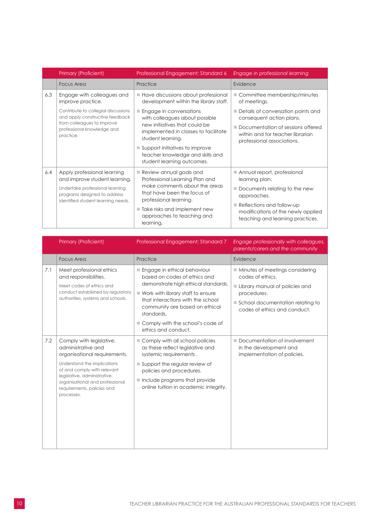|     | <b>Primary (Proficient)</b>                                                                                                        | Professional Engagement: Standard 6                                                                                                  | Engage in professional learning                                                                                    |
|-----|------------------------------------------------------------------------------------------------------------------------------------|--------------------------------------------------------------------------------------------------------------------------------------|--------------------------------------------------------------------------------------------------------------------|
|     | Focus Area                                                                                                                         | Practice                                                                                                                             | Evidence                                                                                                           |
| 6.3 | Engage with colleagues and<br>improve practice.                                                                                    | Have discussions about professional<br>development within the library staff.                                                         | ■ Committee membership/minutes<br>of meetings.                                                                     |
|     | Contribute to collegial discussions<br>and apply constructive feedback<br>from colleagues to improve<br>professional knowledge and | Engage in conversations<br>with colleagues about possible<br>new initiatives that could be<br>implemented in classes to facilitate   | Details of conversation points and<br>consequent action plans.<br>Documentation of sessions offered                |
|     | practice.                                                                                                                          | student learning.<br>$\blacksquare$ Support initiatives to improve<br>teacher knowledge and skills and<br>student learning outcomes. | within and for teacher librarian<br>professional associations.                                                     |
| 6.4 | Apply professional learning<br>and improve student learning.<br>Undertake professional learning                                    | Review annual goals and<br>Professional Learning Plan and<br>make comments about the areas                                           | Annual report, professional<br>learning plan.                                                                      |
|     | programs designed to address<br>identified student learning needs.                                                                 | that have been the focus of<br>professional learning.                                                                                | $\blacksquare$ Documents relating to the new<br>approaches.                                                        |
|     |                                                                                                                                    | Take risks and implement new<br>approaches to teaching and<br>learning.                                                              | $\blacksquare$ Reflections and follow-up<br>modifications of the newly applied<br>teaching and learning practices. |

|     | Primary (Proficient)                                                                                                                                                                                                                                        | Professional Engagement: Standard 7                                                                                                                                                                                                                                                       | Engage professionally with colleagues,<br>parents/carers and the community                                                                                                              |
|-----|-------------------------------------------------------------------------------------------------------------------------------------------------------------------------------------------------------------------------------------------------------------|-------------------------------------------------------------------------------------------------------------------------------------------------------------------------------------------------------------------------------------------------------------------------------------------|-----------------------------------------------------------------------------------------------------------------------------------------------------------------------------------------|
|     | <b>Focus Area</b>                                                                                                                                                                                                                                           | Practice                                                                                                                                                                                                                                                                                  | Evidence                                                                                                                                                                                |
| 7.1 | Meet professional ethics<br>and responsibilities.<br>Meet codes of ethics and<br>conduct established by regulatory<br>authorities, systems and schools.                                                                                                     | Engage in ethical behaviour<br>based on codes of ethics and<br>demonstrate high ethical standards.<br>■ Work with library staff to ensure<br>that interactions with the school<br>community are based on ethical<br>standards.<br>Comply with the school's code of<br>ethics and conduct. | $\blacksquare$ Minutes of meetings considering<br>codes of ethics.<br>Library manual of policies and<br>procedures.<br>School documentation relating to<br>codes of ethics and conduct. |
| 7.2 | Comply with legislative,<br>administrative and<br>organisational requirements.<br>Understand the implications<br>of and comply with relevant<br>legislative, administrative,<br>organisational and professional<br>requirements, policies and<br>processes. | Comply with all school policies<br>as these reflect legislative and<br>systemic requirements.<br>Support the regular review of<br>policies and procedures.<br>$\blacksquare$ Include programs that provide<br>online tuition in academic integrity.                                       | Documentation of involvement<br>in the development and<br>implementation of policies.                                                                                                   |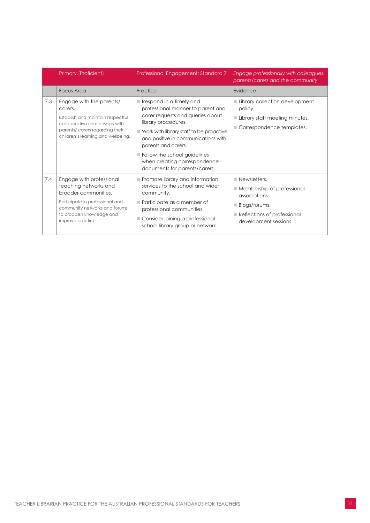|     | Primary (Proficient)                                                                                                                                                                           | Professional Engagement: Standard 7                                                                                                                                                                                                                                                                                                                             | Engage professionally with colleagues,<br>parents/carers and the community                                                                                                        |
|-----|------------------------------------------------------------------------------------------------------------------------------------------------------------------------------------------------|-----------------------------------------------------------------------------------------------------------------------------------------------------------------------------------------------------------------------------------------------------------------------------------------------------------------------------------------------------------------|-----------------------------------------------------------------------------------------------------------------------------------------------------------------------------------|
|     | <b>Focus Area</b>                                                                                                                                                                              | Practice                                                                                                                                                                                                                                                                                                                                                        | Evidence                                                                                                                                                                          |
| 7.3 | Engage with the parents/<br>carers.<br>Establish and maintain respectful<br>collaborative relationships with<br>parents/ carers regarding their<br>children's learning and wellbeing.          | $\blacksquare$ Respond in a timely and<br>professional manner to parent and<br>carer requests and queries about<br>library procedures.<br>$\blacksquare$ Work with library staff to be proactive<br>and positive in communications with<br>parents and carers.<br>Follow the school guidelines<br>when creating correspondence<br>documents for parents/carers. | Library collection development<br>policy.<br>Library staff meeting minutes.<br>Correspondence templates.                                                                          |
| 7.4 | Engage with professional<br>teaching networks and<br>broader communities.<br>Participate in professional and<br>community networks and forums<br>to broaden knowledge and<br>improve practice. | Promote library and information<br>services to the school and wider<br>community.<br>$\blacksquare$ Participate as a member of<br>professional communities.<br>Consider joining a professional<br>school library group or network.                                                                                                                              | $\blacksquare$ Newsletters.<br>$\blacksquare$ Membership of professional<br>associations.<br>Blogs/forums.<br>$\blacksquare$ Reflections of professional<br>development sessions. |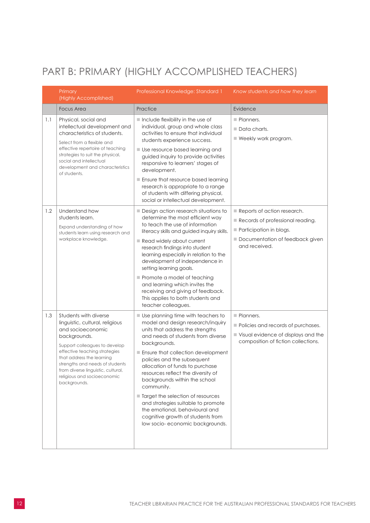### <span id="page-13-0"></span>PART B: PRIMARY (HIGHLY ACCOMPLISHED TEACHERS)

|     | Primary<br>(Highly Accomplished)                                                                                                                                                                                                                                                                                     | Professional Knowledge: Standard 1                                                                                                                                                                                                                                                                                                                                                                                                                                                                                                                  | Know students and how they learn                                                                                                               |
|-----|----------------------------------------------------------------------------------------------------------------------------------------------------------------------------------------------------------------------------------------------------------------------------------------------------------------------|-----------------------------------------------------------------------------------------------------------------------------------------------------------------------------------------------------------------------------------------------------------------------------------------------------------------------------------------------------------------------------------------------------------------------------------------------------------------------------------------------------------------------------------------------------|------------------------------------------------------------------------------------------------------------------------------------------------|
|     | <b>Focus Area</b>                                                                                                                                                                                                                                                                                                    | Practice                                                                                                                                                                                                                                                                                                                                                                                                                                                                                                                                            | Evidence                                                                                                                                       |
| 1.1 | Physical, social and<br>intellectual development and<br>characteristics of students.<br>Select from a flexible and<br>effective repertoire of teaching<br>strategies to suit the physical,<br>social and intellectual<br>development and characteristics<br>of students.                                             | Include flexibility in the use of<br>individual, group and whole class<br>activities to ensure that individual<br>students experience success.<br>■ Use resource based learning and<br>guided inquiry to provide activities<br>responsive to learners' stages of<br>development.<br>Ensure that resource based learning<br>research is appropriate to a range<br>of students with differing physical,<br>social or intellectual development.                                                                                                        | Planners.<br>$\blacksquare$ Data charts.<br>■ Weekly work program.                                                                             |
| 1.2 | Understand how<br>students learn.<br>Expand understanding of how<br>students learn using research and<br>workplace knowledge.                                                                                                                                                                                        | Design action research situations to<br>determine the most efficient way<br>to teach the use of information<br>literacy skills and guided inquiry skills.<br>Read widely about current<br>research findings into student<br>learning especially in relation to the<br>development of independence in<br>setting learning goals.<br>Promote a model of teaching<br>and learning which invites the<br>receiving and giving of feedback.<br>This applies to both students and<br>teacher colleagues.                                                   | Reports of action research.<br>Records of professional reading.<br>Participation in blogs.<br>Documentation of feedback given<br>and received. |
| 1.3 | Students with diverse<br>linguistic, cultural, religious<br>and socioeconomic<br>backgrounds.<br>Support colleagues to develop<br>effective teaching strategies<br>that address the learning<br>strengths and needs of students<br>from diverse linguistic, cultural,<br>religious and socioeconomic<br>backgrounds. | Use planning time with teachers to<br>model and design research/inquiry<br>units that address the strengths<br>and needs of students from diverse<br>backgrounds.<br>Ensure that collection development<br>policies and the subsequent<br>allocation of funds to purchase<br>resources reflect the diversity of<br>backgrounds within the school<br>community.<br>Target the selection of resources<br>and strategies suitable to promote<br>the emotional, behavioural and<br>cognitive growth of students from<br>low socio-economic backgrounds. | Planners.<br>Policies and records of purchases.<br>Visual evidence of displays and the<br>composition of fiction collections.                  |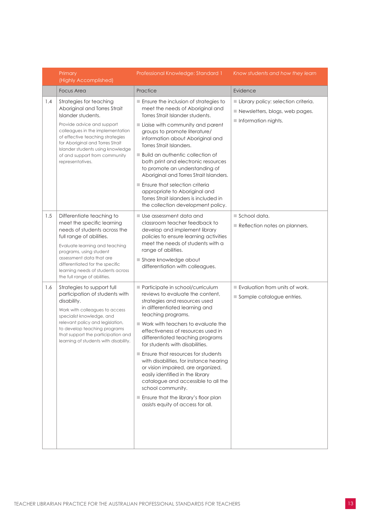|     | Primary<br>(Highly Accomplished)                                                                                                                                                                                                                                                                                     | Professional Knowledge: Standard 1                                                                                                                                                                                                                                                                                                                                                                                                                                                                                                                                                                                                    | Know students and how they learn                                                             |
|-----|----------------------------------------------------------------------------------------------------------------------------------------------------------------------------------------------------------------------------------------------------------------------------------------------------------------------|---------------------------------------------------------------------------------------------------------------------------------------------------------------------------------------------------------------------------------------------------------------------------------------------------------------------------------------------------------------------------------------------------------------------------------------------------------------------------------------------------------------------------------------------------------------------------------------------------------------------------------------|----------------------------------------------------------------------------------------------|
|     | <b>Focus Area</b>                                                                                                                                                                                                                                                                                                    | Practice                                                                                                                                                                                                                                                                                                                                                                                                                                                                                                                                                                                                                              | Evidence                                                                                     |
| 1.4 | Strategies for teaching<br>Aboriginal and Torres Strait<br>Islander students.<br>Provide advice and support<br>colleagues in the implementation<br>of effective teaching strategies<br>for Aboriginal and Torres Strait<br>Islander students using knowledge<br>of and support from community<br>representatives.    | Ensure the inclusion of strategies to<br>meet the needs of Aboriginal and<br>Torres Strait Islander students.<br>Liaise with community and parent<br>groups to promote literature/<br>information about Aboriginal and<br>Torres Strait Islanders.<br><b>Build an authentic collection of</b><br>both print and electronic resources<br>to promote an understanding of<br>Aboriginal and Torres Strait Islanders.<br>Ensure that selection criteria<br>appropriate to Aboriginal and<br>Torres Strait islanders is included in                                                                                                        | Library policy: selection criteria.<br>Newsletters, blogs, web pages.<br>Information nights. |
| 1.5 | Differentiate teaching to<br>meet the specific learning<br>needs of students across the<br>full range of abilities.<br>Evaluate learning and teaching<br>programs, using student<br>assessment data that are<br>differentiated for the specific<br>learning needs of students across<br>the full range of abilities. | the collection development policy.<br>$\blacksquare$ Use assessment data and<br>classroom teacher feedback to<br>develop and implement library<br>policies to ensure learning activities<br>meet the needs of students with a<br>range of abilities.<br>Share knowledge about<br>differentiation with colleagues.                                                                                                                                                                                                                                                                                                                     | $\blacksquare$ School data.<br>Reflection notes on planners.                                 |
| 1.6 | Strategies to support full<br>participation of students with<br>disability.<br>Work with colleagues to access<br>specialist knowledge, and<br>relevant policy and legislation,<br>to develop teaching programs<br>that support the participation and<br>learning of students with disability.                        | Participate in school/curriculum<br>reviews to evaluate the content,<br>strategies and resources used<br>in differentiated learning and<br>teaching programs.<br>■ Work with teachers to evaluate the<br>effectiveness of resources used in<br>differentiated teaching programs<br>for students with disabilities.<br>$\blacksquare$ Ensure that resources for students<br>with disabilities, for instance hearing<br>or vision impaired, are organized,<br>easily identified in the library<br>catalogue and accessible to all the<br>school community.<br>Ensure that the library's floor plan<br>assists equity of access for all. | $\blacksquare$ Evaluation from units of work.<br>Sample catalogue entries.                   |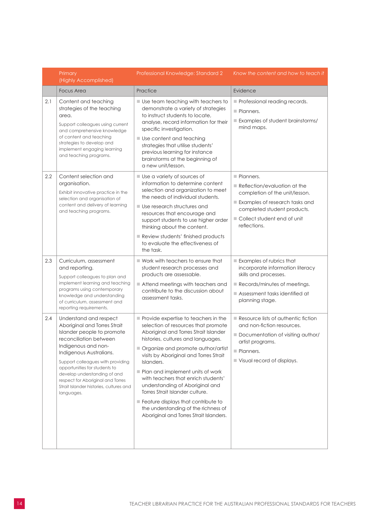|     | Primary<br>(Highly Accomplished)                                                                                                                                                                                                                                                                                                                                     | Professional Knowledge: Standard 2                                                                                                                                                                                                                                                                                                                                                                                                                                                                                                                 | Know the content and how to teach it                                                                                                                                                                     |
|-----|----------------------------------------------------------------------------------------------------------------------------------------------------------------------------------------------------------------------------------------------------------------------------------------------------------------------------------------------------------------------|----------------------------------------------------------------------------------------------------------------------------------------------------------------------------------------------------------------------------------------------------------------------------------------------------------------------------------------------------------------------------------------------------------------------------------------------------------------------------------------------------------------------------------------------------|----------------------------------------------------------------------------------------------------------------------------------------------------------------------------------------------------------|
|     | <b>Focus Area</b>                                                                                                                                                                                                                                                                                                                                                    | Practice                                                                                                                                                                                                                                                                                                                                                                                                                                                                                                                                           | Evidence                                                                                                                                                                                                 |
| 2.1 | Content and teaching<br>strategies of the teaching<br>area.<br>Support colleagues using current<br>and comprehensive knowledge<br>of content and teaching<br>strategies to develop and<br>implement engaging learning<br>and teaching programs.                                                                                                                      | Use team teaching with teachers to<br>demonstrate a variety of strategies<br>to instruct students to locate,<br>analyse, record information for their<br>specific investigation.<br>Use content and teaching<br>strategies that utilise students'<br>previous learning for instance<br>brainstorms at the beginning of<br>a new unit/lesson.                                                                                                                                                                                                       | Professional reading records.<br>Planners.<br>Examples of student brainstorms/<br>mind maps.                                                                                                             |
| 2.2 | Content selection and<br>organisation.<br>Exhibit innovative practice in the<br>selection and organisation of<br>content and delivery of learning<br>and teaching programs.                                                                                                                                                                                          | Use a variety of sources of<br>information to determine content<br>selection and organization to meet<br>the needs of individual students.<br>Use research structures and<br>resources that encourage and<br>support students to use higher order<br>thinking about the content.<br>Review students' finished products<br>to evaluate the effectiveness of<br>the task.                                                                                                                                                                            | Planners.<br>Reflection/evaluation at the<br>completion of the unit/lesson.<br>Examples of research tasks and<br>completed student products.<br>■ Collect student end of unit<br>reflections.            |
| 2.3 | Curriculum, assessment<br>and reporting.<br>Support colleagues to plan and<br>implement learning and teaching<br>programs using contemporary<br>knowledge and understanding<br>of curriculum, assessment and<br>reporting requirements.                                                                                                                              | $\blacksquare$ Work with teachers to ensure that<br>student research processes and<br>products are assessable.<br>Attend meetings with teachers and<br>contribute to the discussion about<br>assessment tasks.                                                                                                                                                                                                                                                                                                                                     | $\blacksquare$ Examples of rubrics that<br>incorporate information literacy<br>skills and processes.<br>$\blacksquare$ Records/minutes of meetings.<br>Assessment tasks identified at<br>planning stage. |
| 2.4 | Understand and respect<br>Aboriginal and Torres Strait<br>Islander people to promote<br>reconciliation between<br>Indigenous and non-<br>Indigenous Australians.<br>Support colleagues with providing<br>opportunities for students to<br>develop understanding of and<br>respect for Aboriginal and Torres<br>Strait Islander histories, cultures and<br>languages. | $\blacksquare$ Provide expertise to teachers in the<br>selection of resources that promote<br>Aboriginal and Torres Strait Islander<br>histories, cultures and languages.<br>Organize and promote author/artist<br>visits by Aboriginal and Torres Strait<br>Islanders.<br>Plan and implement units of work<br>with teachers that enrich students'<br>understanding of Aboriginal and<br>Torres Strait Islander culture.<br>Feature displays that contribute to<br>the understanding of the richness of<br>Aboriginal and Torres Strait Islanders. | Resource lists of authentic fiction<br>and non-fiction resources.<br>Documentation of visiting author/<br>artist programs.<br>Planners.<br>Visual record of displays.                                    |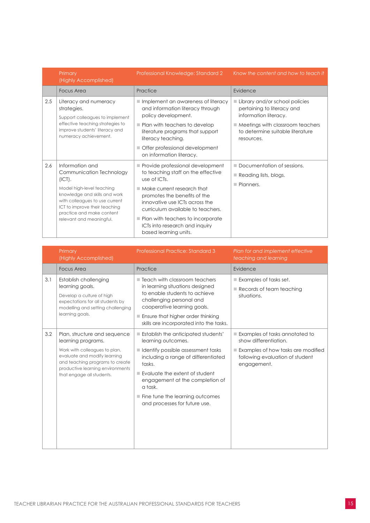|     | Primary<br>(Highly Accomplished)                                                                                                                                                                                                                | Professional Knowledge: Standard 2                                                                                                                                                                                                                                                                                                         | Know the content and how to teach it                                                                                                                                                       |
|-----|-------------------------------------------------------------------------------------------------------------------------------------------------------------------------------------------------------------------------------------------------|--------------------------------------------------------------------------------------------------------------------------------------------------------------------------------------------------------------------------------------------------------------------------------------------------------------------------------------------|--------------------------------------------------------------------------------------------------------------------------------------------------------------------------------------------|
|     | Focus Area                                                                                                                                                                                                                                      | Practice                                                                                                                                                                                                                                                                                                                                   | Evidence                                                                                                                                                                                   |
| 2.5 | Literacy and numeracy<br>strategies.<br>Support colleagues to implement<br>effective teaching strategies to<br>improve students' literacy and<br>numeracy achievement.                                                                          | ■ Implement an awareness of literacy<br>and information literacy through<br>policy development.<br>$\blacksquare$ Plan with teachers to develop<br>literature programs that support<br>literacy teaching.<br>Offer professional development<br>on information literacy.                                                                    | Library and/or school policies<br>pertaining to literacy and<br>information literacy.<br>$\blacksquare$ Meetings with classroom teachers<br>to determine suitable literature<br>resources. |
| 2.6 | Information and<br>Communication Technology<br>(ICT).<br>Model high-level teaching<br>knowledge and skills and work<br>with colleagues to use current<br>ICT to improve their teaching<br>practice and make content<br>relevant and meaningful. | Provide professional development<br>to teaching staff on the effective<br>use of ICTs.<br>$\blacksquare$ Make current research that<br>promotes the benefits of the<br>innovative use ICTs across the<br>curriculum available to teachers.<br>Plan with teachers to incorporate<br>ICTs into research and inquiry<br>based learning units. | Documentation of sessions.<br>$\Box$ Reading lists, blogs.<br>Planners.                                                                                                                    |

|     | Primary<br>(Highly Accomplished)                                                                                                                                                                                        | <b>Professional Practice: Standard 3</b>                                                                                                                                                                                                                                                                                     | Plan for and implement effective<br>teaching and learning                                                                                       |
|-----|-------------------------------------------------------------------------------------------------------------------------------------------------------------------------------------------------------------------------|------------------------------------------------------------------------------------------------------------------------------------------------------------------------------------------------------------------------------------------------------------------------------------------------------------------------------|-------------------------------------------------------------------------------------------------------------------------------------------------|
|     | <b>Focus Area</b>                                                                                                                                                                                                       | Practice                                                                                                                                                                                                                                                                                                                     | Evidence                                                                                                                                        |
| 3.1 | Establish challenging<br>learning goals.<br>Develop a culture of high<br>expectations for all students by<br>modelling and setting challenging<br>learning goals.                                                       | $\blacksquare$ Teach with classroom teachers<br>in learning situations designed<br>to enable students to achieve<br>challenging personal and<br>cooperative learning goals.<br>Ensure that higher order thinking<br>skills are incorporated into the tasks.                                                                  | $\blacksquare$ Examples of tasks set.<br>$\blacksquare$ Records of team teaching<br>situations.                                                 |
| 3.2 | Plan, structure and sequence<br>learning programs.<br>Work with colleagues to plan,<br>evaluate and modify learning<br>and teaching programs to create<br>productive learning environments<br>that engage all students. | <b>Establish the anticipated students'</b><br>learning outcomes.<br>I Identify possible assessment tasks<br>including a range of differentiated<br>tasks.<br>Evaluate the extent of student<br>engagement at the completion of<br>a task.<br>$\blacksquare$ Fine tune the learning outcomes<br>and processes for future use. | Examples of tasks annotated to<br>show differentiation.<br>Examples of how tasks are modified<br>following evaluation of student<br>engagement. |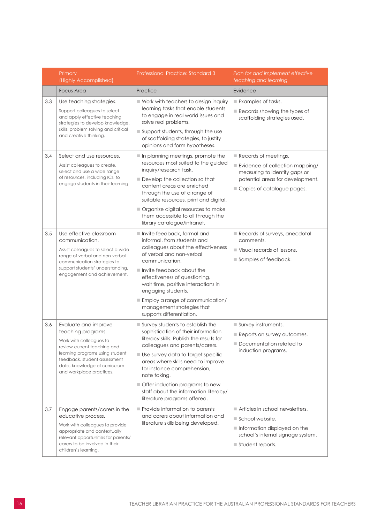|     | Primary<br>(Highly Accomplished)                                                                                                                                                                                                     | Professional Practice: Standard 3                                                                                                                                                                                                                                                                                                                                                            | Plan for and implement effective<br>teaching and learning                                                                                                                 |
|-----|--------------------------------------------------------------------------------------------------------------------------------------------------------------------------------------------------------------------------------------|----------------------------------------------------------------------------------------------------------------------------------------------------------------------------------------------------------------------------------------------------------------------------------------------------------------------------------------------------------------------------------------------|---------------------------------------------------------------------------------------------------------------------------------------------------------------------------|
|     | <b>Focus Area</b>                                                                                                                                                                                                                    | Practice                                                                                                                                                                                                                                                                                                                                                                                     | Evidence                                                                                                                                                                  |
| 3.3 | Use teaching strategies.<br>Support colleagues to select<br>and apply effective teaching<br>strategies to develop knowledge,<br>skills, problem solving and critical<br>and creative thinking.                                       | ■ Work with teachers to design inquiry<br>learning tasks that enable students<br>to engage in real world issues and<br>solve real problems.<br>Support students, through the use<br>of scaffolding strategies, to justify<br>opinions and form hypotheses.                                                                                                                                   | Examples of tasks.<br>$\blacksquare$ Records showing the types of<br>scaffolding strategies used.                                                                         |
| 3.4 | Select and use resources.<br>Assist colleagues to create,<br>select and use a wide range<br>of resources, including ICT, to<br>engage students in their learning.                                                                    | In planning meetings, promote the<br>resources most suited to the guided<br>inquiry/research task.<br>Develop the collection so that<br>content areas are enriched<br>through the use of a range of<br>suitable resources, print and digital.<br>Organize digital resources to make<br>them accessible to all through the<br>library catalogue/intranet.                                     | $\blacksquare$ Records of meetings.<br>Evidence of collection mapping/<br>measuring to identify gaps or<br>potential areas for development.<br>Copies of catalogue pages. |
| 3.5 | Use effective classroom<br>communication.<br>Assist colleagues to select a wide<br>range of verbal and non-verbal<br>communication strategies to<br>support students' understanding,<br>engagement and achievement.                  | Invite feedback, formal and<br>informal, from students and<br>colleagues about the effectiveness<br>of verbal and non-verbal<br>communication.<br>$\blacksquare$ Invite feedback about the<br>effectiveness of questioning,<br>wait time, positive interactions in<br>engaging students.<br>Employ a range of communication/<br>management strategies that<br>supports differentiation.      | Records of surveys, anecdotal<br>comments.<br>$\blacksquare$ Visual records of lessons.<br>Samples of feedback.                                                           |
| 3.6 | Evaluate and improve<br>teaching programs.<br>Work with colleagues to<br>review current teaching and<br>learning programs using student<br>feedback, student assessment<br>data, knowledge of curriculum<br>and workplace practices. | Survey students to establish the<br>sophistication of their information<br>literacy skills. Publish the results for<br>colleagues and parents/carers.<br>Use survey data to target specific<br>areas where skills need to improve<br>for instance comprehension,<br>note taking.<br>Offer induction programs to new<br>staff about the information literacy/<br>literature programs offered. | Survey instruments.<br>Reports on survey outcomes.<br>Documentation related to<br>induction programs.                                                                     |
| 3.7 | Engage parents/carers in the<br>educative process.<br>Work with colleagues to provide<br>appropriate and contextually<br>relevant opportunities for parents/<br>carers to be involved in their<br>children's learning.               | Provide information to parents<br>and carers about information and<br>literature skills being developed.                                                                                                                                                                                                                                                                                     | Articles in school newsletters.<br>School website.<br>Information displayed on the<br>school's internal signage system.<br>Student reports.                               |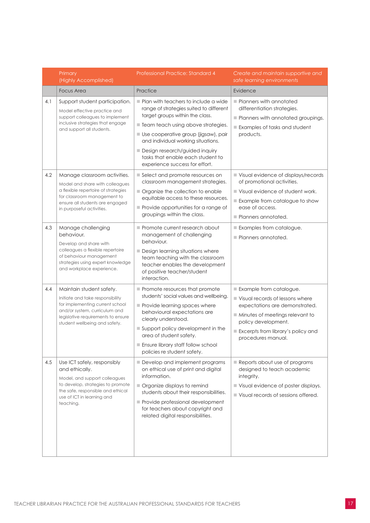|     | Primary<br>(Highly Accomplished)                                                                                                                                                                        | Professional Practice: Standard 4                                                                                                                                                                                                                                                                                                               | Create and maintain supportive and<br>safe learning environments                                                                                                                                                   |
|-----|---------------------------------------------------------------------------------------------------------------------------------------------------------------------------------------------------------|-------------------------------------------------------------------------------------------------------------------------------------------------------------------------------------------------------------------------------------------------------------------------------------------------------------------------------------------------|--------------------------------------------------------------------------------------------------------------------------------------------------------------------------------------------------------------------|
|     | <b>Focus Area</b>                                                                                                                                                                                       | Practice                                                                                                                                                                                                                                                                                                                                        | Evidence                                                                                                                                                                                                           |
| 4.1 | Support student participation.<br>Model effective practice and<br>support colleagues to implement<br>inclusive strategies that engage<br>and support all students.                                      | Plan with teachers to include a wide<br>range of strategies suited to different<br>target groups within the class.<br>Team teach using above strategies.<br>Use cooperative group (jigsaw), pair<br>and individual working situations.<br>Design research/guided inquiry<br>tasks that enable each student to<br>experience success for effort. | Planners with annotated<br>differentiation strategies.<br>Planners with annotated groupings.<br>Examples of tasks and student<br>products.                                                                         |
| 4.2 | Manage classroom activities.<br>Model and share with colleagues<br>a flexible repertoire of strategies<br>for classroom management to<br>ensure all students are engaged<br>in purposeful activities.   | Select and promote resources on<br>classroom management strategies.<br>Organize the collection to enable<br>equitable access to these resources.<br>Provide opportunities for a range of<br>groupings within the class.                                                                                                                         | Visual evidence of displays/records<br>of promotional activities.<br>Visual evidence of student work.<br>Example from catalogue to show<br>ease of access.<br>Planners annotated.                                  |
| 4.3 | Manage challenging<br>behaviour.<br>Develop and share with<br>colleagues a flexible repertoire<br>of behaviour management<br>strategies using expert knowledge<br>and workplace experience.             | Promote current research about<br>management of challenging<br>behaviour.<br>Design learning situations where<br>team teaching with the classroom<br>teacher enables the development<br>of positive teacher/student<br>interaction.                                                                                                             | Examples from catalogue.<br>Planners annotated.                                                                                                                                                                    |
| 4.4 | Maintain student safety.<br>Initiate and take responsibility<br>for implementing current school<br>and/or system, curriculum and<br>legislative requirements to ensure<br>student wellbeing and safety. | Promote resources that promote<br>students' social values and wellbeing.<br>Provide learning spaces where<br>behavioural expectations are<br>clearly understood.<br>Support policy development in the<br>area of student safety.<br>Ensure library staff follow school<br>policies re student safety.                                           | Example from catalogue.<br>Visual records of lessons where<br>expectations are demonstrated.<br>Minutes of meetings relevant to<br>policy development.<br>Excerpts from library's policy and<br>procedures manual. |
| 4.5 | Use ICT safely, responsibly<br>and ethically.<br>Model, and support colleagues<br>to develop, strategies to promote<br>the safe, responsible and ethical<br>use of ICT in learning and<br>teaching.     | Develop and implement programs<br>on ethical use of print and digital<br>information.<br>Organize displays to remind<br>students about their responsibilities.<br>Provide professional development<br>for teachers about copyright and<br>related digital responsibilities.                                                                     | Reports about use of programs<br>designed to teach academic<br>integrity.<br>Visual evidence of poster displays.<br>Visual records of sessions offered.                                                            |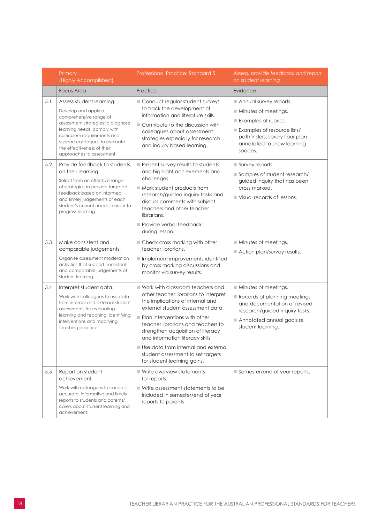|     | Primary<br>(Highly Accomplished)                                                                                                                                                                                                                                          | <b>Professional Practice: Standard 5</b>                                                                                                                                                                                                                                                                                                                                                                                          | Assess, provide feedback and report<br>on student learning                                                                                                                                       |
|-----|---------------------------------------------------------------------------------------------------------------------------------------------------------------------------------------------------------------------------------------------------------------------------|-----------------------------------------------------------------------------------------------------------------------------------------------------------------------------------------------------------------------------------------------------------------------------------------------------------------------------------------------------------------------------------------------------------------------------------|--------------------------------------------------------------------------------------------------------------------------------------------------------------------------------------------------|
|     | <b>Focus Area</b>                                                                                                                                                                                                                                                         | Practice                                                                                                                                                                                                                                                                                                                                                                                                                          | Evidence                                                                                                                                                                                         |
| 5.1 | Assess student learning.<br>Develop and apply a<br>comprehensive range of<br>assessment strategies to diagnose<br>learning needs, comply with<br>curriculum requirements and<br>support colleagues to evaluate<br>the effectiveness of their<br>approaches to assessment. | Conduct regular student surveys<br>to track the development of<br>information and literature skills.<br>Contribute to the discussion with<br>colleagues about assessment<br>strategies especially for research<br>and inquiry based learning.                                                                                                                                                                                     | Annual survey reports.<br>$\blacksquare$ Minutes of meetings.<br>Examples of rubrics.<br>Examples of resource lists/<br>pathfinders, library floor plan<br>annotated to show learning<br>spaces. |
| 5.2 | Provide feedback to students<br>on their learning.<br>Select from an effective range<br>of strategies to provide targeted<br>feedback based on informed<br>and timely judgements of each<br>student's current needs in order to<br>progress learning.                     | Present survey results to students<br>and highlight achievements and<br>challenges.<br>$\blacksquare$ Mark student products from<br>research/guided inquiry tasks and<br>discuss comments with subject<br>teachers and other teacher<br>librarians.<br>Provide verbal feedback<br>during lesson.                                                                                                                                  | Survey reports.<br>Samples of student research/<br>guided inquiry that has been<br>cross marked.<br>$\blacksquare$ Visual records of lessons.                                                    |
| 5.3 | Make consistent and<br>comparable judgements.<br>Organise assessment moderation<br>activities that support consistent<br>and comparable judgements of<br>student learning.                                                                                                | Check cross marking with other<br>teacher librarians.<br>Implement improvements identified<br>by cross marking discussions and<br>monitor via survey results.                                                                                                                                                                                                                                                                     | $\blacksquare$ Minutes of meetings.<br>Action plan/survey results.                                                                                                                               |
| 5.4 | Interpret student data.<br>Work with colleagues to use data<br>from internal and external student<br>assessments for evaluating<br>learning and teaching, identifying<br>interventions and modifying<br>teaching practice.                                                | ■ Work with classroom teachers and<br>other teacher librarians to interpret<br>the implications of internal and<br>external student assessment data.<br>$\blacksquare$ Plan interventions with other<br>teacher librarians and teachers to<br>strengthen acquisition of literacy<br>and information literacy skills.<br>■ Use data from internal and external<br>student assessment to set targets<br>for student learning gains. | $\blacksquare$ Minutes of meetings.<br>Records of planning meetings<br>and documentation of revised<br>research/guided inquiry tasks.<br>Annotated annual goals re<br>student learning.          |
| 5.5 | Report on student<br>achievement.<br>Work with colleagues to construct<br>accurate, informative and timely<br>reports to students and parents/<br>carers about student learning and<br>achievement.                                                                       | $\blacksquare$ Write overview statements<br>for reports.<br>$\blacksquare$ Write assessment statements to be<br>included in semester/end of year<br>reports to parents.                                                                                                                                                                                                                                                           | Semester/end of year reports.                                                                                                                                                                    |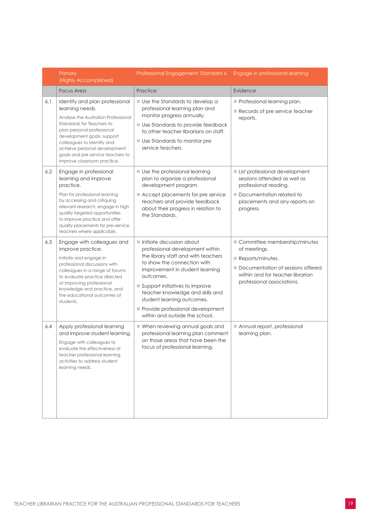|     | Primary<br>(Highly Accomplished)                                                                                                                                                                                                                                                                                    | Professional Engagement: Standard 6                                                                                                                                                                                                                                                                                                                          | Engage in professional learning                                                                                                                                                        |
|-----|---------------------------------------------------------------------------------------------------------------------------------------------------------------------------------------------------------------------------------------------------------------------------------------------------------------------|--------------------------------------------------------------------------------------------------------------------------------------------------------------------------------------------------------------------------------------------------------------------------------------------------------------------------------------------------------------|----------------------------------------------------------------------------------------------------------------------------------------------------------------------------------------|
|     | <b>Focus Area</b>                                                                                                                                                                                                                                                                                                   | Practice                                                                                                                                                                                                                                                                                                                                                     | Evidence                                                                                                                                                                               |
| 6.1 | Identify and plan professional<br>learning needs.<br>Analyse the Australian Professional<br>Standards for Teachers to<br>plan personal professional<br>development goals, support<br>colleagues to identify and<br>achieve personal development<br>goals and pre service teachers to<br>improve classroom practice. | Use the Standards to develop a<br>professional learning plan and<br>monitor progress annually.<br>Use Standards to provide feedback<br>to other teacher librarians on staff.<br><b>Use Standards to monitor pre</b><br>service teachers.                                                                                                                     | Professional learning plan.<br>Records of pre service teacher<br>reports.                                                                                                              |
| 6.2 | Engage in professional<br>learning and improve<br>practice.<br>Plan for professional learning<br>by accessing and critiquing<br>relevant research, engage in high<br>quality targeted opportunities<br>to improve practice and offer<br>quality placements for pre-service<br>teachers where applicable.            | Use the professional learning<br>plan to organize a professional<br>development program.<br>Accept placements for pre service<br>teachers and provide feedback<br>about their progress in relation to<br>the Standards.                                                                                                                                      | List professional development<br>sessions attended as well as<br>professional reading.<br>Documentation related to<br>placements and any reports on<br>progress.                       |
| 6.3 | Engage with colleagues and<br>improve practice.<br>Initiate and engage in<br>professional discussions with<br>colleagues in a range of forums<br>to evaluate practice directed<br>at improving professional<br>knowledge and practice, and<br>the educational outcomes of<br>students.                              | Initiate discussion about<br>professional development within<br>the library staff and with teachers<br>to show the connection with<br>improvement in student learning<br>outcomes.<br>Support initiatives to improve<br>teacher knowledge and skills and<br>student learning outcomes.<br>Provide professional development<br>within and outside the school. | Committee membership/minutes<br>of meetings.<br>$\blacksquare$ Reports/minutes.<br>Documentation of sessions offered<br>within and for teacher librarian<br>professional associations. |
| 6.4 | Apply professional learning<br>and improve student learning.<br>Engage with colleagues to<br>evaluate the effectiveness of<br>teacher professional learning<br>activities to address student<br>learning needs.                                                                                                     | When reviewing annual goals and<br>professional learning plan comment<br>on those areas that have been the<br>focus of professional learning.                                                                                                                                                                                                                | Annual report, professional<br>learning plan.                                                                                                                                          |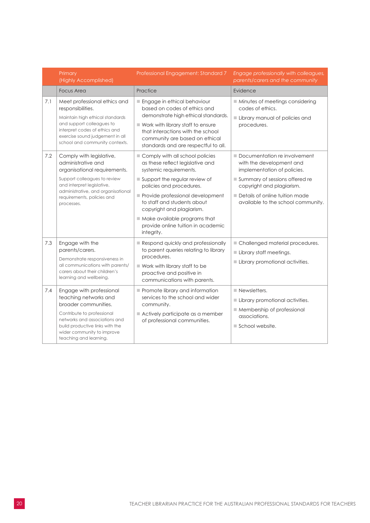|            | Primary<br>(Highly Accomplished)                                                                                                                                                                                               | Professional Engagement: Standard 7                                                                                                                                                                                                                                                                                                            | Engage professionally with colleagues,<br>parents/carers and the community                                                                                                                                                     |
|------------|--------------------------------------------------------------------------------------------------------------------------------------------------------------------------------------------------------------------------------|------------------------------------------------------------------------------------------------------------------------------------------------------------------------------------------------------------------------------------------------------------------------------------------------------------------------------------------------|--------------------------------------------------------------------------------------------------------------------------------------------------------------------------------------------------------------------------------|
|            | <b>Focus Area</b>                                                                                                                                                                                                              | Practice                                                                                                                                                                                                                                                                                                                                       | Evidence                                                                                                                                                                                                                       |
| 7.1        | Meet professional ethics and<br>responsibilities.<br>Maintain high ethical standards<br>and support colleagues to<br>interpret codes of ethics and<br>exercise sound judgement in all<br>school and community contexts.        | Engage in ethical behaviour<br>based on codes of ethics and<br>demonstrate high ethical standards.<br>$\blacksquare$ Work with library staff to ensure<br>that interactions with the school<br>community are based on ethical<br>standards and are respectful to all.                                                                          | Minutes of meetings considering<br>codes of ethics.<br>Library manual of policies and<br>procedures.                                                                                                                           |
| 7.2        | Comply with legislative,<br>administrative and<br>organisational requirements.<br>Support colleagues to review<br>and interpret legislative,<br>administrative, and organisational<br>requirements, policies and<br>processes. | Comply with all school policies<br>as these reflect legislative and<br>systemic requirements.<br>Support the regular review of<br>policies and procedures.<br>Provide professional development<br>to staff and students about<br>copyright and plagiarism.<br>Make available programs that<br>provide online tuition in academic<br>integrity. | Documentation re involvement<br>with the development and<br>implementation of policies.<br>Summary of sessions offered re<br>copyright and plagiarism.<br>Details of online tuition made<br>available to the school community. |
| 7.3<br>7.4 | Engage with the<br>parents/carers.<br>Demonstrate responsiveness in<br>all communications with parents/<br>carers about their children's<br>learning and wellbeing.<br>Engage with professional                                | Respond quickly and professionally<br>to parent queries relating to library<br>procedures.<br>$\blacksquare$ Work with library staff to be<br>proactive and positive in<br>communications with parents.<br>Promote library and information                                                                                                     | Challenged material procedures.<br>Library staff meetings.<br>Library promotional activities.<br>$\blacksquare$ Newsletters.                                                                                                   |
|            | teaching networks and<br>broader communities.<br>Contribute to professional<br>networks and associations and<br>build productive links with the<br>wider community to improve<br>teaching and learning.                        | services to the school and wider<br>community.<br>Actively participate as a member<br>of professional communities.                                                                                                                                                                                                                             | Library promotional activities.<br>Membership of professional<br>associations.<br>$\blacksquare$ School website.                                                                                                               |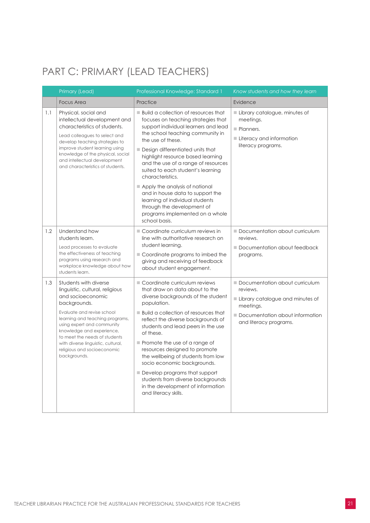### <span id="page-22-0"></span>PART C: PRIMARY (LEAD TEACHERS)

|     | Primary (Lead)                                                                                                                                                                                                                                                                                                                                  | Professional Knowledge: Standard 1                                                                                                                                                                                                                                                                                                                                                                                                                                                                                                     | Know students and how they learn                                                                                                                         |
|-----|-------------------------------------------------------------------------------------------------------------------------------------------------------------------------------------------------------------------------------------------------------------------------------------------------------------------------------------------------|----------------------------------------------------------------------------------------------------------------------------------------------------------------------------------------------------------------------------------------------------------------------------------------------------------------------------------------------------------------------------------------------------------------------------------------------------------------------------------------------------------------------------------------|----------------------------------------------------------------------------------------------------------------------------------------------------------|
|     | <b>Focus Area</b>                                                                                                                                                                                                                                                                                                                               | Practice                                                                                                                                                                                                                                                                                                                                                                                                                                                                                                                               | Evidence                                                                                                                                                 |
| 1.1 | Physical, social and<br>intellectual development and<br>characteristics of students.<br>Lead colleagues to select and<br>develop teaching strategies to<br>improve student learning using<br>knowledge of the physical, social<br>and intellectual development<br>and characteristics of students.                                              | <b>Build a collection of resources that</b><br>focuses on teaching strategies that<br>support individual learners and lead<br>the school teaching community in<br>the use of these.<br>Design differentiated units that<br>highlight resource based learning<br>and the use of a range of resources<br>suited to each student's learning<br>characteristics.<br>Apply the analysis of national<br>and in house data to support the<br>learning of individual students<br>through the development of<br>programs implemented on a whole | Library catalogue, minutes of<br>meetings.<br>Planners.<br>Literacy and information<br>literacy programs.                                                |
| 1.2 | Understand how<br>students learn.<br>Lead processes to evaluate<br>the effectiveness of teaching<br>programs using research and<br>workplace knowledge about how<br>students learn.                                                                                                                                                             | school basis.<br>Coordinate curriculum reviews in<br>line with authoritative research on<br>student learning.<br>Coordinate programs to imbed the<br>giving and receiving of feedback<br>about student engagement.                                                                                                                                                                                                                                                                                                                     | Documentation about curriculum<br>reviews.<br>Documentation about feedback<br>programs.                                                                  |
| 1.3 | Students with diverse<br>linguistic, cultural, religious<br>and socioeconomic<br>backgrounds.<br>Evaluate and revise school<br>learning and teaching programs,<br>using expert and community<br>knowledge and experience,<br>to meet the needs of students<br>with diverse linguistic, cultural,<br>religious and socioeconomic<br>backgrounds. | Coordinate curriculum reviews<br>that draw on data about to the<br>diverse backgrounds of the student<br>population.<br>■ Build a collection of resources that<br>reflect the diverse backgrounds of<br>students and lead peers in the use<br>of these.<br>Promote the use of a range of<br>resources designed to promote<br>the wellbeing of students from low<br>socio economic backgrounds.<br>Develop programs that support<br>students from diverse backgrounds<br>in the development of information<br>and literacy skills.      | Documentation about curriculum<br>reviews.<br>Library catalogue and minutes of<br>meetings.<br>Documentation about information<br>and literacy programs. |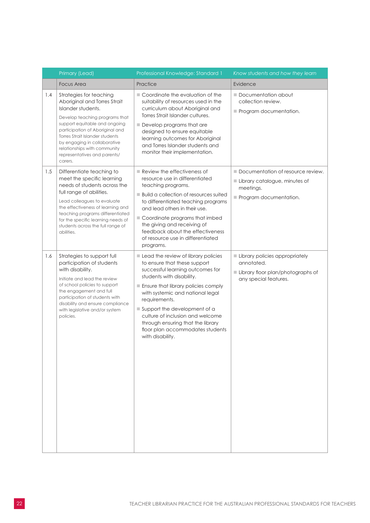|     | Primary (Lead)                                                                                                                                                                                                                                                                                                                    | Professional Knowledge: Standard 1                                                                                                                                                                                                                                                                                                                                                                | Know students and how they learn                                                                           |
|-----|-----------------------------------------------------------------------------------------------------------------------------------------------------------------------------------------------------------------------------------------------------------------------------------------------------------------------------------|---------------------------------------------------------------------------------------------------------------------------------------------------------------------------------------------------------------------------------------------------------------------------------------------------------------------------------------------------------------------------------------------------|------------------------------------------------------------------------------------------------------------|
|     | <b>Focus Area</b>                                                                                                                                                                                                                                                                                                                 | Practice                                                                                                                                                                                                                                                                                                                                                                                          | Evidence                                                                                                   |
| 1.4 | Strategies for teaching<br>Aboriginal and Torres Strait<br>Islander students.<br>Develop teaching programs that<br>support equitable and ongoing<br>participation of Aboriginal and<br>Torres Strait Islander students<br>by engaging in collaborative<br>relationships with community<br>representatives and parents/<br>carers. | Coordinate the evaluation of the<br>suitability of resources used in the<br>curriculum about Aboriginal and<br>Torres Strait Islander cultures.<br>Develop programs that are<br>designed to ensure equitable<br>learning outcomes for Aboriginal<br>and Torres Islander students and<br>monitor their implementation.                                                                             | Documentation about<br>collection review.<br>Program documentation.                                        |
| 1.5 | Differentiate teaching to<br>meet the specific learning<br>needs of students across the<br>full range of abilities.<br>Lead colleagues to evaluate<br>the effectiveness of learning and<br>teaching programs differentiated<br>for the specific learning needs of<br>students across the full range of<br>abilities.              | $\blacksquare$ Review the effectiveness of<br>resource use in differentiated<br>teaching programs.<br><b>Build a collection of resources suited</b><br>to differentiated teaching programs<br>and lead others in their use.<br>Coordinate programs that imbed<br>the giving and receiving of<br>feedback about the effectiveness<br>of resource use in differentiated<br>programs.                | Documentation of resource review.<br>Library catalogue, minutes of<br>meetings.<br>Program documentation.  |
| 1.6 | Strategies to support full<br>participation of students<br>with disability.<br>Initiate and lead the review<br>of school policies to support<br>the engagement and full<br>participation of students with<br>disability and ensure compliance<br>with legislative and/or system<br>policies.                                      | Lead the review of library policies<br>to ensure that these support<br>successful learning outcomes for<br>students with disability.<br>Ensure that library policies comply<br>with systemic and national legal<br>requirements.<br>Support the development of a<br>culture of inclusion and welcome<br>through ensuring that the library<br>floor plan accommodates students<br>with disability. | Library policies appropriately<br>annotated.<br>Library floor plan/photographs of<br>any special features. |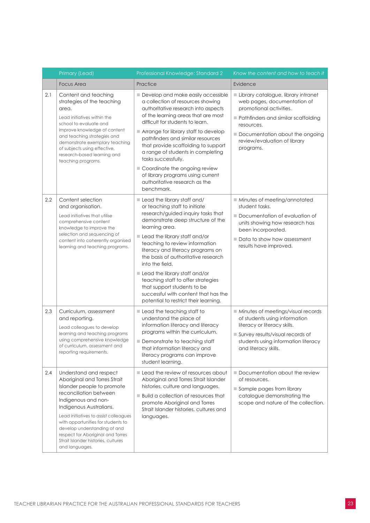|     | Primary (Lead)                                                                                                                                                                                                                                                                                                                                                                | Professional Knowledge: Standard 2                                                                                                                                                                                                                                                                                                                                                                                                                                                                                 | Know the content and how to teach it                                                                                                                                                                                               |
|-----|-------------------------------------------------------------------------------------------------------------------------------------------------------------------------------------------------------------------------------------------------------------------------------------------------------------------------------------------------------------------------------|--------------------------------------------------------------------------------------------------------------------------------------------------------------------------------------------------------------------------------------------------------------------------------------------------------------------------------------------------------------------------------------------------------------------------------------------------------------------------------------------------------------------|------------------------------------------------------------------------------------------------------------------------------------------------------------------------------------------------------------------------------------|
|     | <b>Focus Area</b>                                                                                                                                                                                                                                                                                                                                                             | Practice                                                                                                                                                                                                                                                                                                                                                                                                                                                                                                           | Evidence                                                                                                                                                                                                                           |
| 2.1 | Content and teaching<br>strategies of the teaching<br>area.<br>Lead initiatives within the<br>school to evaluate and<br>improve knowledge of content<br>and teaching strategies and<br>demonstrate exemplary teaching<br>of subjects using effective,<br>research-based learning and<br>teaching programs.                                                                    | Develop and make easily accessible<br>a collection of resources showing<br>authoritative research into aspects<br>of the learning areas that are most<br>difficult for students to learn.<br>Arrange for library staff to develop<br>pathfinders and similar resources<br>that provide scaffolding to support<br>a range of students in completing<br>tasks successfully.<br>Coordinate the ongoing review<br>of library programs using current<br>authoritative research as the<br>benchmark.                     | Library catalogue, library intranet<br>web pages, documentation of<br>promotional activities.<br>Pathfinders and similar scaffolding<br>resources.<br>Documentation about the ongoing<br>review/evaluation of library<br>programs. |
| 2.2 | Content selection<br>and organisation.<br>Lead initiatives that utilise<br>comprehensive content<br>knowledge to improve the<br>selection and sequencing of<br>content into coherently organised<br>learning and teaching programs.                                                                                                                                           | Lead the library staff and/<br>or teaching staff to initiate<br>research/guided inquiry tasks that<br>demonstrate deep structure of the<br>learning area.<br>Lead the library staff and/or<br>teaching to review information<br>literacy and literacy programs on<br>the basis of authoritative research<br>into the field.<br>Lead the library staff and/or<br>teaching staff to offer strategies<br>that support students to be<br>successful with content that has the<br>potential to restrict their learning. | Minutes of meeting/annotated<br>student tasks.<br>Documentation of evaluation of<br>units showing how research has<br>been incorporated.<br>Data to show how assessment<br>results have improved.                                  |
| 2.3 | Curriculum, assessment<br>and reporting.<br>Lead colleagues to develop<br>learning and teaching programs<br>using comprehensive knowledge<br>of curriculum, assessment and<br>reporting requirements.                                                                                                                                                                         | Lead the teaching staff to<br>understand the place of<br>information literacy and literacy<br>programs within the curriculum.<br>Demonstrate to teaching staff<br>that information literacy and<br>literacy programs can improve<br>student learning.                                                                                                                                                                                                                                                              | Minutes of meetings/visual records<br>of students using information<br>literacy or literacy skills.<br>Survey results/visual records of<br>students using information literacy<br>and literacy skills.                             |
| 2.4 | Understand and respect<br>Aboriginal and Torres Strait<br>Islander people to promote<br>reconciliation between<br>Indigenous and non-<br>Indigenous Australians.<br>Lead initiatives to assist colleagues<br>with opportunities for students to<br>develop understanding of and<br>respect for Aboriginal and Torres<br>Strait Islander histories, cultures<br>and languages. | Lead the review of resources about<br>Aboriginal and Torres Strait Islander<br>histories, culture and languages.<br><b>Build a collection of resources that</b><br>promote Aboriginal and Torres<br>Strait Islander histories, cultures and<br>languages.                                                                                                                                                                                                                                                          | Documentation about the review<br>of resources.<br>Sample pages from library<br>catalogue demonstrating the<br>scope and nature of the collection.                                                                                 |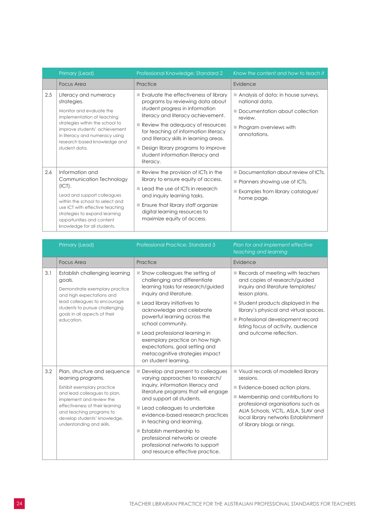|     | Primary (Lead)                                                                                                                                                                                                                                             | Professional Knowledge: Standard 2                                                                                                                                                                                                                                                                                                                              | Know the content and how to teach it                                                                                                                 |
|-----|------------------------------------------------------------------------------------------------------------------------------------------------------------------------------------------------------------------------------------------------------------|-----------------------------------------------------------------------------------------------------------------------------------------------------------------------------------------------------------------------------------------------------------------------------------------------------------------------------------------------------------------|------------------------------------------------------------------------------------------------------------------------------------------------------|
|     | <b>Focus Area</b>                                                                                                                                                                                                                                          | Practice                                                                                                                                                                                                                                                                                                                                                        | Evidence                                                                                                                                             |
| 2.5 | Literacy and numeracy<br>strategies.<br>Monitor and evaluate the<br>implementation of teaching<br>strategies within the school to<br>improve students' achievement<br>in literacy and numeracy using<br>research based knowledge and<br>student data.      | Evaluate the effectiveness of library<br>programs by reviewing data about<br>student progress in information<br>literacy and literacy achievement.<br>Review the adequacy of resources<br>for teaching of information literacy<br>and literacy skills in learning areas.<br>Design library programs to improve<br>student information literacy and<br>literacy. | Analysis of data: in house surveys,<br>national data.<br>Documentation about collection<br>review.<br>Program overviews with<br>annotations.         |
| 2.6 | Information and<br>Communication Technology<br>$(ICT)$ .<br>Lead and support colleagues<br>within the school to select and<br>use ICT with effective teaching<br>strategies to expand learning<br>opportunities and content<br>knowledge for all students. | $\blacksquare$ Review the provision of ICTs in the<br>library to ensure equity of access.<br>Lead the use of ICTs in research<br>and inquiry learning tasks.<br>Ensure that library staff organize<br>digital learning resources to<br>maximize equity of access.                                                                                               | Documentation about review of ICTs.<br>$\blacksquare$ Planners showing use of ICTs.<br>$\blacksquare$ Examples from library catalogue/<br>home page. |

|     | Primary (Lead)                                                                                                                                                                                                                                                           | Professional Practice: Standard 3                                                                                                                                                                                                                                                                                                                                                                                             | Plan for and implement effective<br>teaching and learning                                                                                                                                                                                                                           |
|-----|--------------------------------------------------------------------------------------------------------------------------------------------------------------------------------------------------------------------------------------------------------------------------|-------------------------------------------------------------------------------------------------------------------------------------------------------------------------------------------------------------------------------------------------------------------------------------------------------------------------------------------------------------------------------------------------------------------------------|-------------------------------------------------------------------------------------------------------------------------------------------------------------------------------------------------------------------------------------------------------------------------------------|
|     | <b>Focus Area</b>                                                                                                                                                                                                                                                        | Practice                                                                                                                                                                                                                                                                                                                                                                                                                      | Evidence                                                                                                                                                                                                                                                                            |
| 3.1 | Establish challenging learning<br>goals.<br>Demonstrate exemplary practice<br>and high expectations and<br>lead colleagues to encourage<br>students to pursue challenging<br>goals in all aspects of their<br>education.                                                 | $\blacksquare$ Show colleagues the setting of<br>challenging and differentiate<br>learning tasks for research/guided<br>inquiry and literature.                                                                                                                                                                                                                                                                               | $\blacksquare$ Records of meeting with teachers<br>and copies of research/guided<br>inquiry and literature templates/<br>lesson plans.                                                                                                                                              |
|     |                                                                                                                                                                                                                                                                          | $\blacksquare$ Lead library initiatives to<br>acknowledge and celebrate<br>powerful learning across the<br>school community.                                                                                                                                                                                                                                                                                                  | $\blacksquare$ Student products displayed in the<br>library's physical and virtual spaces.<br>Professional development record<br>listing focus of activity, audience                                                                                                                |
|     |                                                                                                                                                                                                                                                                          | Lead professional learning in<br>exemplary practice on how high<br>expectations, goal setting and<br>metacognitive strategies impact<br>on student learning.                                                                                                                                                                                                                                                                  | and outcome reflection.                                                                                                                                                                                                                                                             |
| 3.2 | Plan, structure and sequence<br>learning programs.<br>Exhibit exemplary practice<br>and lead colleagues to plan,<br>implement and review the<br>effectiveness of their learning<br>and teaching programs to<br>develop students' knowledge,<br>understanding and skills. | Develop and present to colleagues<br>varying approaches to research/<br>inquiry, information literacy and<br>literature programs that will engage<br>and support all students.<br>Lead colleagues to undertake<br>evidence-based research practices<br>in teaching and learning.<br><b>Establish membership to</b><br>professional networks or create<br>professional networks to support<br>and resource effective practice. | Visual records of modelled library<br>sessions.<br>Evidence-based action plans.<br>$\blacksquare$ Membership and contributions to<br>professional organisations such as<br>ALIA Schools, VCTL, ASLA, SLAV and<br>local library networks Establishment<br>of library blogs or nings. |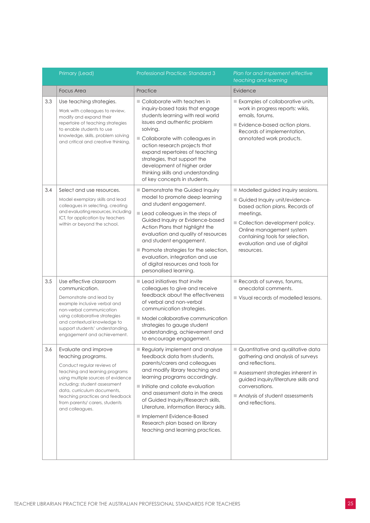|     | Primary (Lead)                                                                                                                                                                                                                                                                                           | <b>Professional Practice: Standard 3</b>                                                                                                                                                                                                                                                                                                                                                                                         | Plan for and implement effective<br>teaching and learning                                                                                                                                                                                                         |
|-----|----------------------------------------------------------------------------------------------------------------------------------------------------------------------------------------------------------------------------------------------------------------------------------------------------------|----------------------------------------------------------------------------------------------------------------------------------------------------------------------------------------------------------------------------------------------------------------------------------------------------------------------------------------------------------------------------------------------------------------------------------|-------------------------------------------------------------------------------------------------------------------------------------------------------------------------------------------------------------------------------------------------------------------|
|     | <b>Focus Area</b>                                                                                                                                                                                                                                                                                        | Practice                                                                                                                                                                                                                                                                                                                                                                                                                         | Evidence                                                                                                                                                                                                                                                          |
| 3.3 | Use teaching strategies.<br>Work with colleagues to review,<br>modify and expand their<br>repertoire of teaching strategies<br>to enable students to use<br>knowledge, skills, problem solving<br>and critical and creative thinking.                                                                    | Collaborate with teachers in<br>inquiry-based tasks that engage<br>students learning with real world<br>issues and authentic problem<br>solving.<br>Collaborate with colleagues in<br>action research projects that<br>expand repertoires of teaching<br>strategies, that support the<br>development of higher order<br>thinking skills and understanding<br>of key concepts in students.                                        | Examples of collaborative units,<br>work in progress reports: wikis,<br>emails, forums.<br>Evidence-based action plans.<br>Records of implementation,<br>annotated work products.                                                                                 |
| 3.4 | Select and use resources.<br>Model exemplary skills and lead<br>colleagues in selecting, creating<br>and evaluating resources, including<br>ICT, for application by teachers<br>within or beyond the school.                                                                                             | Demonstrate the Guided Inquiry<br>model to promote deep learning<br>and student engagement.<br>Lead colleagues in the steps of<br>Guided Inquiry or Evidence-based<br>Action Plans that highlight the<br>evaluation and quality of resources<br>and student engagement.<br>Promote strategies for the selection,<br>evaluation, integration and use<br>of digital resources and tools for<br>personalised learning.              | Modelled guided inquiry sessions.<br>Guided Inquiry unit/evidence-<br>based action plans. Records of<br>meetings.<br>Collection development policy.<br>Online management system<br>containing tools for selection,<br>evaluation and use of digital<br>resources. |
| 3.5 | Use effective classroom<br>communication.<br>Demonstrate and lead by<br>example inclusive verbal and<br>non-verbal communication<br>using collaborative strategies<br>and contextual knowledge to<br>support students' understanding,<br>engagement and achievement.                                     | $\blacksquare$ Lead initiatives that invite<br>colleagues to give and receive<br>feedback about the effectiveness<br>of verbal and non-verbal<br>communication strategies.<br>Model collaborative communication<br>strategies to gauge student<br>understanding, achievement and<br>to encourage engagement.                                                                                                                     | Records of surveys, forums,<br>anecdotal comments.<br>Visual records of modelled lessons.                                                                                                                                                                         |
| 3.6 | Evaluate and improve<br>teaching programs.<br>Conduct regular reviews of<br>teaching and learning programs<br>using multiple sources of evidence<br>including: student assessment<br>data, curriculum documents.<br>teaching practices and feedback<br>from parents/ carers, students<br>and colleagues. | Regularly implement and analyse<br>feedback data from students.<br>parents/carers and colleagues<br>and modify library teaching and<br>learning programs accordingly.<br>Initiate and collate evaluation<br>and assessment data in the areas<br>of Guided Inquiry/Research skills,<br>Literature, information literacy skills.<br>Implement Evidence-Based<br>Research plan based on library<br>teaching and learning practices. | Quantitative and qualitative data<br>gathering and analysis of surveys<br>and reflections.<br>Assessment strategies inherent in<br>guided inquiry/literature skills and<br>conversations.<br>Analysis of student assessments<br>and reflections.                  |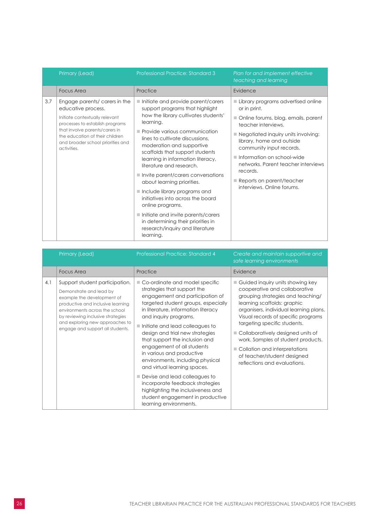|     | Primary (Lead)                                                                                                                                                                                                                                    | <b>Professional Practice: Standard 3</b>                                                                                                                                                                                                                                                                                                                                                                                                                                                                                                                                                                                                | Plan for and implement effective<br>teaching and learning                                                                                                                                                                                                                                                                                                                     |
|-----|---------------------------------------------------------------------------------------------------------------------------------------------------------------------------------------------------------------------------------------------------|-----------------------------------------------------------------------------------------------------------------------------------------------------------------------------------------------------------------------------------------------------------------------------------------------------------------------------------------------------------------------------------------------------------------------------------------------------------------------------------------------------------------------------------------------------------------------------------------------------------------------------------------|-------------------------------------------------------------------------------------------------------------------------------------------------------------------------------------------------------------------------------------------------------------------------------------------------------------------------------------------------------------------------------|
|     | <b>Focus Area</b>                                                                                                                                                                                                                                 | Practice                                                                                                                                                                                                                                                                                                                                                                                                                                                                                                                                                                                                                                | Evidence                                                                                                                                                                                                                                                                                                                                                                      |
| 3.7 | Engage parents/ carers in the<br>educative process.<br>Initiate contextually relevant<br>processes to establish programs<br>that involve parents/carers in<br>the education of their children<br>and broader school priorities and<br>activities. | Initiate and provide parent/carers<br>support programs that highlight<br>how the library cultivates students'<br>learning.<br>Provide various communication<br>lines to cultivate discussions.<br>moderation and supportive<br>scaffolds that support students<br>learning in information literacy,<br>literature and research.<br>Invite parent/carers conversations<br>about learning priorities.<br>$\blacksquare$ Include library programs and<br>initiatives into across the board<br>online programs.<br>Initiate and invite parents/carers<br>in determining their priorities in<br>research/inquiry and literature<br>learning. | Library programs advertised online<br>or in print.<br>Online forums, blog, emails, parent<br>teacher interviews.<br>■ Negotiated inquiry units involving:<br>library, home and outside<br>community input records.<br>Information on school-wide<br>networks. Parent teacher interviews<br>records.<br>$\blacksquare$ Reports on parent/teacher<br>interviews. Online forums. |

|     | Primary (Lead)                                                                                                                                                                                                                                                             | <b>Professional Practice: Standard 4</b>                                                                                                                                                                                                                                                                                                                                                                                                                                                                                                                                                                                 | Create and maintain supportive and<br>safe learning environments                                                                                                                                                                                                                                                                                                                                                                  |
|-----|----------------------------------------------------------------------------------------------------------------------------------------------------------------------------------------------------------------------------------------------------------------------------|--------------------------------------------------------------------------------------------------------------------------------------------------------------------------------------------------------------------------------------------------------------------------------------------------------------------------------------------------------------------------------------------------------------------------------------------------------------------------------------------------------------------------------------------------------------------------------------------------------------------------|-----------------------------------------------------------------------------------------------------------------------------------------------------------------------------------------------------------------------------------------------------------------------------------------------------------------------------------------------------------------------------------------------------------------------------------|
|     | Focus Area                                                                                                                                                                                                                                                                 | Practice                                                                                                                                                                                                                                                                                                                                                                                                                                                                                                                                                                                                                 | Evidence                                                                                                                                                                                                                                                                                                                                                                                                                          |
| 4.1 | Support student participation.<br>Demonstrate and lead by<br>example the development of<br>productive and inclusive learning<br>environments across the school<br>by reviewing inclusive strategies<br>and exploring new approaches to<br>engage and support all students. | ■ Co-ordinate and model specific<br>strategies that support the<br>engagement and participation of<br>targeted student groups, especially<br>in literature, information literacy<br>and inquiry programs.<br>Initiate and lead colleagues to<br>design and trial new strategies<br>that support the inclusion and<br>engagement of all students<br>in various and productive<br>environments, including physical<br>and virtual learning spaces.<br>Devise and lead colleagues to<br>incorporate feedback strategies<br>highlighting the inclusiveness and<br>student engagement in productive<br>learning environments. | Guided inquiry units showing key<br>cooperative and collaborative<br>grouping strategies and teaching/<br>learning scaffolds: graphic<br>organisers, individual learning plans.<br>Visual records of specific programs<br>targeting specific students.<br>Collaboratively designed units of<br>work. Samples of student products.<br>Collation and interpretations<br>of teacher/student designed<br>reflections and evaluations. |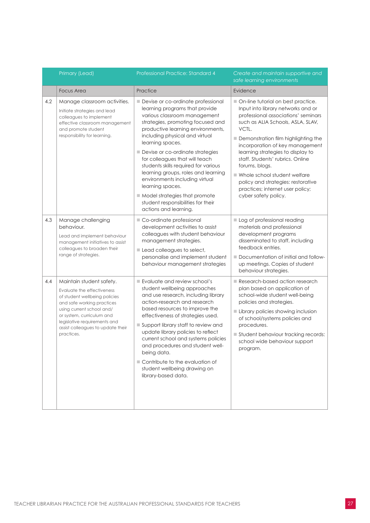|     | Primary (Lead)                                                                                                                                                                                                                                                     | <b>Professional Practice: Standard 4</b>                                                                                                                                                                                                                                                                                                                                                                                                                                                                                                                       | Create and maintain supportive and<br>safe learning environments                                                                                                                                                                                                                                                                                                                                                                                                                    |
|-----|--------------------------------------------------------------------------------------------------------------------------------------------------------------------------------------------------------------------------------------------------------------------|----------------------------------------------------------------------------------------------------------------------------------------------------------------------------------------------------------------------------------------------------------------------------------------------------------------------------------------------------------------------------------------------------------------------------------------------------------------------------------------------------------------------------------------------------------------|-------------------------------------------------------------------------------------------------------------------------------------------------------------------------------------------------------------------------------------------------------------------------------------------------------------------------------------------------------------------------------------------------------------------------------------------------------------------------------------|
|     | <b>Focus Area</b>                                                                                                                                                                                                                                                  | Practice                                                                                                                                                                                                                                                                                                                                                                                                                                                                                                                                                       | Evidence                                                                                                                                                                                                                                                                                                                                                                                                                                                                            |
| 4.2 | Manage classroom activities.<br>Initiate strategies and lead<br>colleagues to implement<br>effective classroom management<br>and promote student<br>responsibility for learning.                                                                                   | Devise or co-ordinate professional<br>learning programs that provide<br>various classroom management<br>strategies, promoting focused and<br>productive learning environments,<br>including physical and virtual<br>learning spaces.<br>Devise or co-ordinate strategies<br>for colleagues that will teach<br>students skills required for various<br>learning groups, roles and learning<br>environments including virtual<br>learning spaces.<br>$\blacksquare$ Model strategies that promote<br>student responsibilities for their<br>actions and learning. | On-line tutorial on best practice.<br>Input into library networks and or<br>professional associations' seminars<br>such as ALIA Schools, ASLA, SLAV,<br>VCTL.<br>Demonstration film highlighting the<br>incorporation of key management<br>learning strategies to display to<br>staff. Students' rubrics. Online<br>forums, blogs.<br>$\blacksquare$ Whole school student welfare<br>policy and strategies: restorative<br>practices; internet user policy;<br>cyber safety policy. |
| 4.3 | Manage challenging<br>behaviour.<br>Lead and implement behaviour<br>management initiatives to assist<br>colleagues to broaden their<br>range of strategies.                                                                                                        | Co-ordinate professional<br>development activities to assist<br>colleagues with student behaviour<br>management strategies.<br>Lead colleagues to select,<br>personalise and implement student<br>behaviour management strategies                                                                                                                                                                                                                                                                                                                              | Log of professional reading<br>materials and professional<br>development programs<br>disseminated to staff, including<br>feedback entries.<br>■ Documentation of initial and follow-<br>up meetings. Copies of student<br>behaviour strategies.                                                                                                                                                                                                                                     |
| 4.4 | Maintain student safety.<br>Evaluate the effectiveness<br>of student wellbeing policies<br>and safe working practices<br>using current school and/<br>or system, curriculum and<br>legislative requirements and<br>assist colleagues to update their<br>practices. | Evaluate and review school's<br>student wellbeing approaches<br>and use research, including library<br>action-research and research<br>based resources to improve the<br>effectiveness of strategies used.<br>Support library staff to review and<br>update library policies to reflect<br>current school and systems policies<br>and procedures and student well-<br>being data.<br>Contribute to the evaluation of<br>student wellbeing drawing on<br>library-based data.                                                                                    | Research-based action research<br>plan based on application of<br>school-wide student well-being<br>policies and strategies.<br>Library policies showing inclusion<br>of school/systems policies and<br>procedures.<br>Student behaviour tracking records:<br>school wide behaviour support<br>program.                                                                                                                                                                             |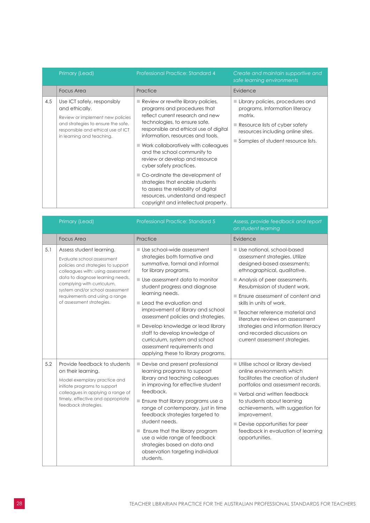|     | Primary (Lead)                                                                                                                                                                             | <b>Professional Practice: Standard 4</b>                                                                                                                                                                                                                                                                                                                                                                                                                                                                                                                               | Create and maintain supportive and<br>safe learning environments                                                                                                                                          |
|-----|--------------------------------------------------------------------------------------------------------------------------------------------------------------------------------------------|------------------------------------------------------------------------------------------------------------------------------------------------------------------------------------------------------------------------------------------------------------------------------------------------------------------------------------------------------------------------------------------------------------------------------------------------------------------------------------------------------------------------------------------------------------------------|-----------------------------------------------------------------------------------------------------------------------------------------------------------------------------------------------------------|
|     | <b>Focus Area</b>                                                                                                                                                                          | Practice                                                                                                                                                                                                                                                                                                                                                                                                                                                                                                                                                               | Evidence                                                                                                                                                                                                  |
| 4.5 | Use ICT safely, responsibly<br>and ethically.<br>Review or implement new policies<br>and strategies to ensure the safe,<br>responsible and ethical use of ICT<br>in learning and teaching. | Review or rewrite library policies,<br>programs and procedures that<br>reflect current research and new<br>technologies, to ensure safe,<br>responsible and ethical use of digital<br>information, resources and tools.<br>$\blacksquare$ Work collaboratively with colleagues<br>and the school community to<br>review or develop and resource<br>cyber safety practices.<br>■ Co-ordinate the development of<br>strategies that enable students<br>to assess the reliability of digital<br>resources, understand and respect<br>copyright and intellectual property. | Library policies, procedures and<br>programs. Information literacy<br>matrix.<br>$\blacksquare$ Resource lists of cyber safety<br>resources including online sites.<br>Samples of student resource lists. |

|     | Primary (Lead)                                                                                                                                                                                                                                                                                        | <b>Professional Practice: Standard 5</b>                                                                                                                                                                                                                                                                                                                                                                                                                                                            | Assess, provide feedback and report<br>on student learning                                                                                                                                                                                                                                                                                                                                                                                    |
|-----|-------------------------------------------------------------------------------------------------------------------------------------------------------------------------------------------------------------------------------------------------------------------------------------------------------|-----------------------------------------------------------------------------------------------------------------------------------------------------------------------------------------------------------------------------------------------------------------------------------------------------------------------------------------------------------------------------------------------------------------------------------------------------------------------------------------------------|-----------------------------------------------------------------------------------------------------------------------------------------------------------------------------------------------------------------------------------------------------------------------------------------------------------------------------------------------------------------------------------------------------------------------------------------------|
|     | <b>Focus Area</b>                                                                                                                                                                                                                                                                                     | Practice                                                                                                                                                                                                                                                                                                                                                                                                                                                                                            | Evidence                                                                                                                                                                                                                                                                                                                                                                                                                                      |
| 5.1 | Assess student learning.<br>Evaluate school assessment<br>policies and strategies to support<br>colleagues with: using assessment<br>data to diagnose learning needs,<br>complying with curriculum,<br>system and/or school assessment<br>requirements and using a range<br>of assessment strategies. | Use school-wide assessment<br>strategies both formative and<br>summative, formal and informal<br>for library programs.<br>Use assessment data to monitor<br>student progress and diagnose<br>learning needs.<br>Lead the evaluation and<br>improvement of library and school<br>assessment policies and strategies.<br>Develop knowledge or lead library<br>staff to develop knowledge of<br>curriculum, system and school<br>assessment requirements and                                           | Use national, school-based<br>assessment strategies. Utilize<br>designed-based assessments;<br>ethnographical, qualitative.<br>Analysis of peer assessments.<br>Resubmission of student work.<br>Ensure assessment of content and<br>skills in units of work.<br>■ Teacher reference material and<br>literature reviews on assessment<br>strategies and information literacy<br>and recorded discussions on<br>current assessment strategies. |
| 5.2 | Provide feedback to students<br>on their learning.<br>Model exemplary practice and<br>initiate programs to support<br>colleagues in applying a range of<br>timely, effective and appropriate<br>feedback strategies.                                                                                  | applying these to library programs.<br>Devise and present professional<br>learning programs to support<br>library and teaching colleagues<br>in improving for effective student<br>feedback.<br>$\blacksquare$ Ensure that library programs use a<br>range of contemporary, just in time<br>feedback strategies targeted to<br>student needs.<br>■ Ensure that the library program<br>use a wide range of feedback<br>strategies based on data and<br>observation targeting individual<br>students. | <b>Utilise school or library devised</b><br>online environments which<br>facilitates the creation of student<br>portfolios and assessment records.<br>Verbal and written feedback<br>to students about learning<br>achievements, with suggestion for<br>improvement.<br>$\blacksquare$ Devise opportunities for peer<br>feedback in evaluation of learning<br>opportunities.                                                                  |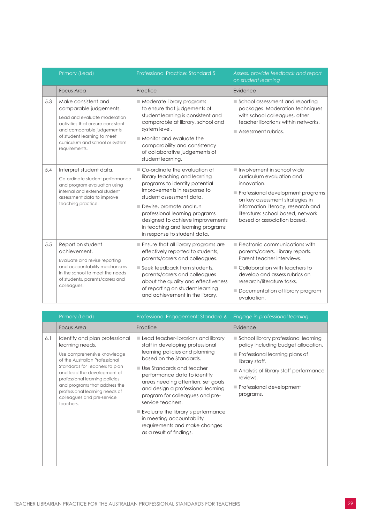|     | Primary (Lead)                                                                                                                                                                                                                     | <b>Professional Practice: Standard 5</b>                                                                                                                                                                                                                                                                                            | Assess, provide feedback and report<br>on student learning                                                                                                                                                                                                              |
|-----|------------------------------------------------------------------------------------------------------------------------------------------------------------------------------------------------------------------------------------|-------------------------------------------------------------------------------------------------------------------------------------------------------------------------------------------------------------------------------------------------------------------------------------------------------------------------------------|-------------------------------------------------------------------------------------------------------------------------------------------------------------------------------------------------------------------------------------------------------------------------|
|     | <b>Focus Area</b>                                                                                                                                                                                                                  | Practice                                                                                                                                                                                                                                                                                                                            | Evidence                                                                                                                                                                                                                                                                |
| 5.3 | Make consistent and<br>comparable judgements.<br>Lead and evaluate moderation<br>activities that ensure consistent<br>and comparable judgements<br>of student learning to meet<br>curriculum and school or system<br>requirements. | Moderate library programs<br>to ensure that judgements of<br>student learning is consistent and<br>comparable at library, school and<br>system level.<br>$\blacksquare$ Monitor and evaluate the<br>comparability and consistency<br>of collaborative judgements of<br>student learning.                                            | School assessment and reporting<br>packages. Moderation techniques<br>with school colleagues, other<br>teacher librarians within networks.<br>$\blacksquare$ Assessment rubrics.                                                                                        |
| 5.4 | Interpret student data.<br>Co-ordinate student performance<br>and program evaluation using<br>internal and external student<br>assessment data to improve<br>teaching practice.                                                    | ■ Co-ordinate the evaluation of<br>library teaching and learning<br>programs to identify potential<br>improvements in response to<br>student assessment data.<br>Devise, promote and run<br>professional learning programs<br>designed to achieve improvements<br>in teaching and learning programs<br>in response to student data. | $\blacksquare$ Involvement in school wide<br>curriculum evaluation and<br>innovation.<br>Professional development programs<br>on key assessment strategies in<br>information literacy, research and<br>literature: school based, network<br>based or association based. |
| 5.5 | Report on student<br>achievement.<br>Evaluate and revise reporting<br>and accountability mechanisms<br>in the school to meet the needs<br>of students, parents/carers and<br>colleagues.                                           | $\blacksquare$ Ensure that all library programs are<br>effectively reported to students,<br>parents/carers and colleagues.<br>Seek feedback from students.<br>parents/carers and colleagues<br>about the quality and effectiveness<br>of reporting on student learning<br>and achievement in the library.                           | $\blacksquare$ Electronic communications with<br>parents/carers. Library reports.<br>Parent teacher interviews.<br>Collaboration with teachers to<br>develop and assess rubrics on<br>research/literature tasks.<br>Documentation of library program<br>evaluation.     |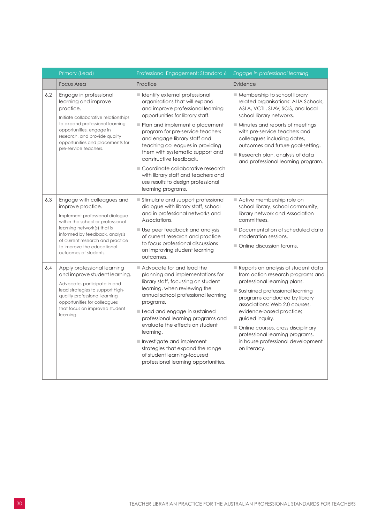|     | Primary (Lead)                                                                                                                                                                                                                                                                      | Professional Engagement: Standard 6                                                                                                                                                                                                                                                                                                                                                                                                                    | Engage in professional learning                                                                                                                                                                                                                                                                                                                                                             |
|-----|-------------------------------------------------------------------------------------------------------------------------------------------------------------------------------------------------------------------------------------------------------------------------------------|--------------------------------------------------------------------------------------------------------------------------------------------------------------------------------------------------------------------------------------------------------------------------------------------------------------------------------------------------------------------------------------------------------------------------------------------------------|---------------------------------------------------------------------------------------------------------------------------------------------------------------------------------------------------------------------------------------------------------------------------------------------------------------------------------------------------------------------------------------------|
|     | <b>Focus Area</b>                                                                                                                                                                                                                                                                   | Practice                                                                                                                                                                                                                                                                                                                                                                                                                                               | Evidence                                                                                                                                                                                                                                                                                                                                                                                    |
| 6.2 | Engage in professional<br>learning and improve<br>practice.<br>Initiate collaborative relationships<br>to expand professional learning<br>opportunities, engage in                                                                                                                  | I Identify external professional<br>organisations that will expand<br>and improve professional learning<br>opportunities for library staff.<br>Plan and implement a placement<br>program for pre-service teachers                                                                                                                                                                                                                                      | $\blacksquare$ Membership to school library<br>related organisations: ALIA Schools,<br>ASLA, VCTL, SLAV, SCIS, and local<br>school library networks.<br>$\blacksquare$ Minutes and reports of meetings<br>with pre-service teachers and                                                                                                                                                     |
|     | research, and provide quality<br>opportunities and placements for<br>pre-service teachers.                                                                                                                                                                                          | and engage library staff and<br>teaching colleagues in providing<br>them with systematic support and<br>constructive feedback.                                                                                                                                                                                                                                                                                                                         | colleagues including dates,<br>outcomes and future goal-setting.<br>Research plan, analysis of data<br>and professional learning program.                                                                                                                                                                                                                                                   |
|     |                                                                                                                                                                                                                                                                                     | Coordinate collaborative research<br>with library staff and teachers and<br>use results to design professional<br>learning programs.                                                                                                                                                                                                                                                                                                                   |                                                                                                                                                                                                                                                                                                                                                                                             |
| 6.3 | Engage with colleagues and<br>improve practice.<br>Implement professional dialogue<br>within the school or professional<br>learning network(s) that is<br>informed by feedback, analysis<br>of current research and practice<br>to improve the educational<br>outcomes of students. | Stimulate and support professional<br>dialogue with library staff, school<br>and in professional networks and<br>Associations.<br>Use peer feedback and analysis<br>of current research and practice<br>to focus professional discussions<br>on improving student learning<br>outcomes.                                                                                                                                                                | Active membership role on<br>school library, school community,<br>library network and Association<br>committees.<br>Documentation of scheduled data<br>moderation sessions.<br>Online discussion forums.                                                                                                                                                                                    |
| 6.4 | Apply professional learning<br>and improve student learning.<br>Advocate, participate in and<br>lead strategies to support high-<br>quality professional learning<br>opportunities for colleagues<br>that focus on improved student<br>learning.                                    | Advocate for and lead the<br>planning and implementations for<br>library staff, focussing on student<br>learning, when reviewing the<br>annual school professional learning<br>programs.<br>Lead and engage in sustained<br>professional learning programs and<br>evaluate the effects on student<br>learning.<br>Investigate and implement<br>strategies that expand the range<br>of student learning-focused<br>professional learning opportunities. | Reports on analysis of student data<br>from action research programs and<br>professional learning plans.<br>Sustained professional learning<br>programs conducted by library<br>associations: Web 2.0 courses,<br>evidence-based practice;<br>guided inquiry.<br>Online courses, cross disciplinary<br>professional learning programs,<br>in house professional development<br>on literacy. |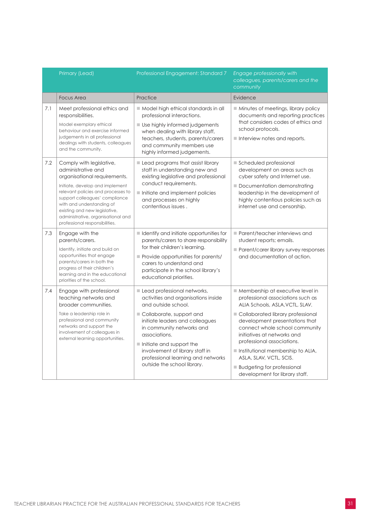|     | Primary (Lead)                                                                                                                                                                                                                                                                                                                  | Professional Engagement: Standard 7                                                                                                                                                                                                                                                                                                                       | Engage professionally with<br>colleagues, parents/carers and the<br>community                                                                                                                                                                                                                                                                                                                                         |
|-----|---------------------------------------------------------------------------------------------------------------------------------------------------------------------------------------------------------------------------------------------------------------------------------------------------------------------------------|-----------------------------------------------------------------------------------------------------------------------------------------------------------------------------------------------------------------------------------------------------------------------------------------------------------------------------------------------------------|-----------------------------------------------------------------------------------------------------------------------------------------------------------------------------------------------------------------------------------------------------------------------------------------------------------------------------------------------------------------------------------------------------------------------|
|     | <b>Focus Area</b>                                                                                                                                                                                                                                                                                                               | Practice                                                                                                                                                                                                                                                                                                                                                  | Evidence                                                                                                                                                                                                                                                                                                                                                                                                              |
| 7.1 | Meet professional ethics and<br>responsibilities.<br>Model exemplary ethical<br>behaviour and exercise informed<br>judgements in all professional<br>dealings with students, colleagues<br>and the community.                                                                                                                   | Model high ethical standards in all<br>professional interactions.<br>Use highly informed judgements<br>when dealing with library staff,<br>teachers, students, parents/carers<br>and community members use<br>highly informed judgements.                                                                                                                 | Minutes of meetings, library policy<br>documents and reporting practices<br>that considers codes of ethics and<br>school protocols.<br>Interview notes and reports.                                                                                                                                                                                                                                                   |
| 7.2 | Comply with legislative,<br>administrative and<br>organisational requirements.<br>Initiate, develop and implement<br>relevant policies and processes to<br>support colleagues' compliance<br>with and understanding of<br>existing and new legislative,<br>administrative, organisational and<br>professional responsibilities. | Lead programs that assist library<br>staff in understanding new and<br>existing legislative and professional<br>conduct requirements.<br>Initiate and implement policies<br>and processes on highly<br>contentious issues.                                                                                                                                | Scheduled professional<br>development on areas such as<br>cyber safety and Internet use.<br>Documentation demonstrating<br>leadership in the development of<br>highly contentious policies such as<br>internet use and censorship.                                                                                                                                                                                    |
| 7.3 | Engage with the<br>parents/carers.<br>Identify, initiate and build on<br>opportunities that engage<br>parents/carers in both the<br>progress of their children's<br>learning and in the educational<br>priorities of the school.                                                                                                | I Identify and initiate opportunities for<br>parents/carers to share responsibility<br>for their children's learning.<br>Provide opportunities for parents/<br>carers to understand and<br>participate in the school library's<br>educational priorities.                                                                                                 | Parent/teacher interviews and<br>student reports; emails.<br>Parent/carer library survey responses<br>and documentation of action.                                                                                                                                                                                                                                                                                    |
| 7.4 | Engage with professional<br>teaching networks and<br>broader communities.<br>Take a leadership role in<br>professional and community<br>networks and support the<br>involvement of colleagues in<br>external learning opportunities.                                                                                            | Lead professional networks,<br>activities and organisations inside<br>and outside school.<br>Collaborate, support and<br>initiate leaders and colleagues<br>in community networks and<br>associations.<br>$\blacksquare$ Initiate and support the<br>involvement of library staff in<br>professional learning and networks<br>outside the school library. | Membership at executive level in<br>professional associations such as<br>ALIA Schools, ASLA, VCTL, SLAV.<br>Collaborated library professional<br>development presentations that<br>connect whole school community<br>initiatives at networks and<br>professional associations.<br>Institutional membership to ALIA,<br>ASLA, SLAV, VCTL, SCIS.<br><b>Budgeting for professional</b><br>development for library staff. |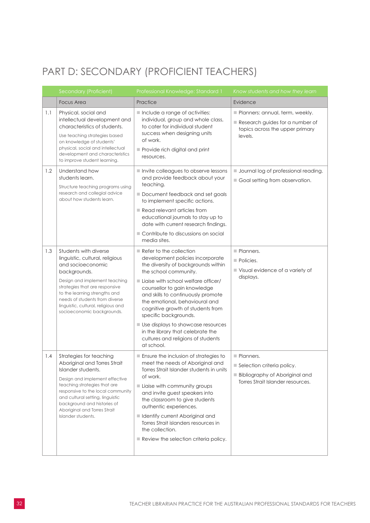### <span id="page-33-0"></span>PART D: SECONDARY (PROFICIENT TEACHERS)

|     | Secondary (Proficient)                                                                                                                                                                                                                                                                                        | Professional Knowledge: Standard 1                                                                                                                                                                                                                                                                                                                                                                                                                                                     | Know students and how they learn                                                                                      |
|-----|---------------------------------------------------------------------------------------------------------------------------------------------------------------------------------------------------------------------------------------------------------------------------------------------------------------|----------------------------------------------------------------------------------------------------------------------------------------------------------------------------------------------------------------------------------------------------------------------------------------------------------------------------------------------------------------------------------------------------------------------------------------------------------------------------------------|-----------------------------------------------------------------------------------------------------------------------|
|     | <b>Focus Area</b>                                                                                                                                                                                                                                                                                             | Practice                                                                                                                                                                                                                                                                                                                                                                                                                                                                               | Evidence                                                                                                              |
| 1.1 | Physical, social and<br>intellectual development and<br>characteristics of students.<br>Use teaching strategies based<br>on knowledge of students'<br>physical, social and intellectual<br>development and characteristics<br>to improve student learning.                                                    | Include a range of activities:<br>individual, group and whole class,<br>to cater for individual student<br>success when designing units<br>of work.<br>Provide rich digital and print<br>resources.                                                                                                                                                                                                                                                                                    | Planners: annual, term, weekly.<br>Research guides for a number of<br>topics across the upper primary<br>levels.      |
| 1.2 | Understand how<br>students learn.<br>Structure teaching programs using<br>research and collegial advice<br>about how students learn.                                                                                                                                                                          | Invite colleagues to observe lessons<br>and provide feedback about your<br>teaching.<br>Document feedback and set goals<br>to implement specific actions.<br>$\blacksquare$ Read relevant articles from<br>educational journals to stay up to<br>date with current research findings.<br>Contribute to discussions on social<br>media sites.                                                                                                                                           | <b>Journal log of professional reading.</b><br>Goal setting from observation.                                         |
| 1.3 | Students with diverse<br>linguistic, cultural, religious<br>and socioeconomic<br>backgrounds.<br>Design and implement teaching<br>strategies that are responsive<br>to the learning strengths and<br>needs of students from diverse<br>linguistic, cultural, religious and<br>socioeconomic backgrounds.      | $\blacksquare$ Refer to the collection<br>development policies incorporate<br>the diversity of backgrounds within<br>the school community.<br>Liaise with school welfare officer/<br>counsellor to gain knowledge<br>and skills to continuously promote<br>the emotional, behavioural and<br>cognitive growth of students from<br>specific backgrounds.<br>Use displays to showcase resources<br>in the library that celebrate the<br>cultures and religions of students<br>at school. | Planners.<br>Policies.<br>Visual evidence of a variety of<br>displays.                                                |
| 1.4 | Strategies for teaching<br>Aboriginal and Torres Strait<br>Islander students.<br>Design and implement effective<br>teaching strategies that are<br>responsive to the local community<br>and cultural setting, linguistic<br>background and histories of<br>Aboriginal and Torres Strait<br>Islander students. | Ensure the inclusion of strategies to<br>meet the needs of Aboriginal and<br>Torres Strait Islander students in units<br>of work.<br>Liaise with community groups<br>and invite guest speakers into<br>the classroom to give students<br>authentic experiences.<br>I Identify current Aboriginal and<br>Torres Strait islanders resources in<br>the collection.<br>$\blacksquare$ Review the selection criteria policy.                                                                | Planners.<br>Selection criteria policy.<br><b>Bibliography of Aboriginal and</b><br>Torres Strait Islander resources. |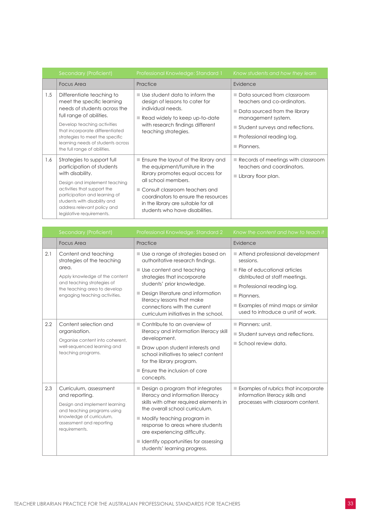|     | Secondary (Proficient)                                                                                                                                                                                                                                                                        | Professional Knowledge: Standard 1                                                                                                                                                                                                                                                                    | Know students and how they learn                                                                                                                                                                                                  |
|-----|-----------------------------------------------------------------------------------------------------------------------------------------------------------------------------------------------------------------------------------------------------------------------------------------------|-------------------------------------------------------------------------------------------------------------------------------------------------------------------------------------------------------------------------------------------------------------------------------------------------------|-----------------------------------------------------------------------------------------------------------------------------------------------------------------------------------------------------------------------------------|
|     | <b>Focus Area</b>                                                                                                                                                                                                                                                                             | Practice                                                                                                                                                                                                                                                                                              | Evidence                                                                                                                                                                                                                          |
| 1.5 | Differentiate teaching to<br>meet the specific learning<br>needs of students across the<br>full range of abilities.<br>Develop teaching activities<br>that incorporate differentiated<br>strategies to meet the specific<br>learning needs of students across<br>the full range of abilities. | $\blacksquare$ Use student data to inform the<br>design of lessons to cater for<br>individual needs.<br>Read widely to keep up-to-date<br>with research findings different<br>teaching strategies.                                                                                                    | ■ Data sourced from classroom<br>teachers and co-ordinators.<br>■ Data sourced from the library<br>management system.<br>Student surveys and reflections.<br>$\blacksquare$ Professional reading log.<br>$\blacksquare$ Planners. |
| 1.6 | Strategies to support full<br>participation of students<br>with disability.<br>Design and implement teaching<br>activities that support the<br>participation and learning of<br>students with disability and<br>address relevant policy and<br>legislative requirements.                      | $\blacksquare$ Ensure the layout of the library and<br>the equipment/furniture in the<br>library promotes equal access for<br>all school members.<br>Consult classroom teachers and<br>coordinators to ensure the resources<br>in the library are suitable for all<br>students who have disabilities. | $\blacksquare$ Records of meetings with classroom<br>teachers and coordinators.<br>Library floor plan.                                                                                                                            |

|     | Secondary (Proficient)                                                                                                                                                                       | Professional Knowledge: Standard 2                                                                                                                                                                                                                                                                                                                        | Know the content and how to teach it                                                                                                                                                                                                                            |
|-----|----------------------------------------------------------------------------------------------------------------------------------------------------------------------------------------------|-----------------------------------------------------------------------------------------------------------------------------------------------------------------------------------------------------------------------------------------------------------------------------------------------------------------------------------------------------------|-----------------------------------------------------------------------------------------------------------------------------------------------------------------------------------------------------------------------------------------------------------------|
|     | <b>Focus Area</b>                                                                                                                                                                            | Practice                                                                                                                                                                                                                                                                                                                                                  | Evidence                                                                                                                                                                                                                                                        |
| 2.1 | Content and teaching<br>strategies of the teaching<br>area.<br>Apply knowledge of the content<br>and teaching strategies of<br>the teaching area to develop<br>engaging teaching activities. | Use a range of strategies based on<br>authoritative research findings.<br>$\blacksquare$ Use content and teaching<br>strategies that incorporate<br>students' prior knowledge.<br>Design literature and information<br>literacy lessons that make<br>connections with the current<br>curriculum initiatives in the school.                                | Attend professional development<br>sessions.<br>$\blacksquare$ File of educational articles<br>distributed at staff meetings.<br>Professional reading log.<br>$\blacksquare$ Planners.<br>Examples of mind maps or similar<br>used to introduce a unit of work. |
| 2.2 | Content selection and<br>organisation.<br>Organise content into coherent,<br>well-sequenced learning and<br>teaching programs.                                                               | Contribute to an overview of<br>literacy and information literacy skill<br>development.<br>Draw upon student interests and<br>school initiatives to select content<br>for the library program.<br>$\blacksquare$ Ensure the inclusion of core<br>concepts.                                                                                                | $\blacksquare$ Planners: unit.<br>Student surveys and reflections.<br>School review data.                                                                                                                                                                       |
| 2.3 | Curriculum, assessment<br>and reporting.<br>Design and implement learning<br>and teaching programs using<br>knowledge of curriculum,<br>assessment and reporting<br>requirements.            | Design a program that integrates<br>literacy and information literacy<br>skills with other required elements in<br>the overall school curriculum.<br>$\blacksquare$ Modify teaching program in<br>response to areas where students<br>are experiencing difficulty.<br>$\blacksquare$ Identify opportunities for assessing<br>students' learning progress. | Examples of rubrics that incorporate<br>information literacy skills and<br>processes with classroom content.                                                                                                                                                    |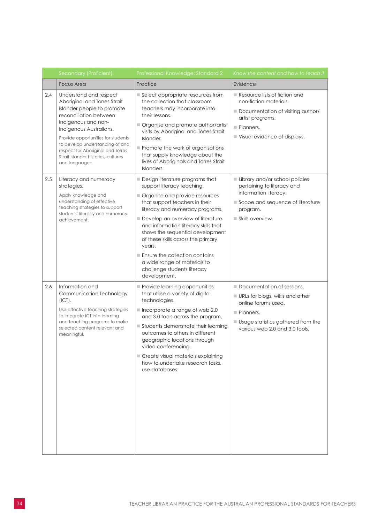|     | Secondary (Proficient)                                                                                                                                                                                                                                                                                                                  | Professional Knowledge: Standard 2                                                                                                                                                                                                                                                                                                                                                                                                                     | Know the content and how to teach it                                                                                                                                      |
|-----|-----------------------------------------------------------------------------------------------------------------------------------------------------------------------------------------------------------------------------------------------------------------------------------------------------------------------------------------|--------------------------------------------------------------------------------------------------------------------------------------------------------------------------------------------------------------------------------------------------------------------------------------------------------------------------------------------------------------------------------------------------------------------------------------------------------|---------------------------------------------------------------------------------------------------------------------------------------------------------------------------|
|     | <b>Focus Area</b>                                                                                                                                                                                                                                                                                                                       | Practice                                                                                                                                                                                                                                                                                                                                                                                                                                               | Evidence                                                                                                                                                                  |
| 2.4 | Understand and respect<br>Aboriginal and Torres Strait<br>Islander people to promote<br>reconciliation between<br>Indigenous and non-<br>Indigenous Australians.<br>Provide opportunities for students<br>to develop understanding of and<br>respect for Aboriginal and Torres<br>Strait Islander histories, cultures<br>and languages. | Select appropriate resources from<br>the collection that classroom<br>teachers may incorporate into<br>their lessons.<br>Organise and promote author/artist<br>visits by Aboriginal and Torres Strait<br>Islander.<br>Promote the work of organisations<br>that supply knowledge about the<br>lives of Aboriginals and Torres Strait<br>Islanders.                                                                                                     | Resource lists of fiction and<br>non-fiction materials.<br>Documentation of visiting author/<br>artist programs.<br>Planners.<br>Visual evidence of displays.             |
| 2.5 | Literacy and numeracy<br>strategies.<br>Apply knowledge and<br>understanding of effective<br>teaching strategies to support<br>students' literacy and numeracy<br>achievement.                                                                                                                                                          | Design literature programs that<br>support literacy teaching.<br>Organise and provide resources<br>that support teachers in their<br>literacy and numeracy programs.<br>Develop an overview of literature<br>and information literacy skills that<br>shows the sequential development<br>of these skills across the primary<br>years.<br>Ensure the collection contains<br>a wide range of materials to<br>challenge students literacy<br>development. | Library and/or school policies<br>pertaining to literacy and<br>information literacy.<br>Scope and sequence of literature<br>program.<br>Skills overview.                 |
| 2.6 | Information and<br>Communication Technology<br>(ICT).<br>Use effective teaching strategies<br>to integrate ICT into learning<br>and teaching programs to make<br>selected content relevant and<br>meaningful.                                                                                                                           | Provide learning opportunities<br>that utilise a variety of digital<br>technologies.<br>Incorporate a range of web 2.0<br>and 3.0 tools across the program.<br>Students demonstrate their learning<br>outcomes to others in different<br>geographic locations through<br>video conferencing.<br>Create visual materials explaining<br>how to undertake research tasks,<br>use databases.                                                               | Documentation of sessions.<br>URLs for blogs, wikis and other<br>online forums used.<br>Planners.<br>Usage statistics gathered from the<br>various web 2.0 and 3.0 tools. |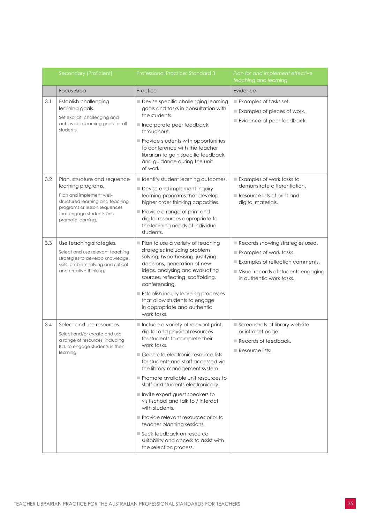|     | Secondary (Proficient)                                                                                                                                                                              | Professional Practice: Standard 3                                                                                                                                                                                                                                                                                                                                                                                                                                                                                                                                                                     | Plan for and implement effective<br>teaching and learning                                                                                                          |
|-----|-----------------------------------------------------------------------------------------------------------------------------------------------------------------------------------------------------|-------------------------------------------------------------------------------------------------------------------------------------------------------------------------------------------------------------------------------------------------------------------------------------------------------------------------------------------------------------------------------------------------------------------------------------------------------------------------------------------------------------------------------------------------------------------------------------------------------|--------------------------------------------------------------------------------------------------------------------------------------------------------------------|
|     | <b>Focus Area</b>                                                                                                                                                                                   | Practice                                                                                                                                                                                                                                                                                                                                                                                                                                                                                                                                                                                              | Evidence                                                                                                                                                           |
| 3.1 | Establish challenging<br>learning goals.<br>Set explicit, challenging and<br>achievable learning goals for all<br>students.                                                                         | Devise specific challenging learning<br>goals and tasks in consultation with<br>the students.<br>Incorporate peer feedback<br>throughout.<br>Provide students with opportunities<br>to conference with the teacher<br>librarian to gain specific feedback<br>and guidance during the unit<br>of work.                                                                                                                                                                                                                                                                                                 | Examples of tasks set.<br>Examples of pieces of work.<br>Evidence of peer feedback.                                                                                |
| 3.2 | Plan, structure and sequence<br>learning programs.<br>Plan and implement well-<br>structured learning and teaching<br>programs or lesson sequences<br>that engage students and<br>promote learning. | I Identify student learning outcomes.<br>Devise and implement inquiry<br>learning programs that develop<br>higher order thinking capacities.<br>Provide a range of print and<br>digital resources appropriate to<br>the learning needs of individual<br>students.                                                                                                                                                                                                                                                                                                                                     | Examples of work tasks to<br>demonstrate differentiation.<br>$\blacksquare$ Resource lists of print and<br>digital materials.                                      |
| 3.3 | Use teaching strategies.<br>Select and use relevant teaching<br>strategies to develop knowledge,<br>skills, problem solving and critical<br>and creative thinking.                                  | Plan to use a variety of teaching<br>strategies including problem<br>solving, hypothesising, justifying<br>decisions, generation of new<br>ideas, analysing and evaluating<br>sources, reflecting, scaffolding,<br>conferencing.<br>Establish inquiry learning processes<br>that allow students to engage<br>in appropriate and authentic<br>work tasks.                                                                                                                                                                                                                                              | Records showing strategies used.<br>Examples of work tasks.<br>Examples of reflection comments.<br>Visual records of students engaging<br>in authentic work tasks. |
| 3.4 | Select and use resources.<br>Select and/or create and use<br>a range of resources, including<br>ICT, to engage students in their<br>learning.                                                       | Include a variety of relevant print,<br>digital and physical resources<br>for students to complete their<br>work tasks.<br>■ Generate electronic resource lists<br>for students and staff accessed via<br>the library management system.<br>Promote available unit resources to<br>staff and students electronically.<br>$\blacksquare$ Invite expert guest speakers to<br>visit school and talk to / interact<br>with students.<br>Provide relevant resources prior to<br>teacher planning sessions.<br>Seek feedback on resource<br>suitability and access to assist with<br>the selection process. | Screenshots of library website<br>or intranet page.<br>Records of feedback.<br>Resource lists.                                                                     |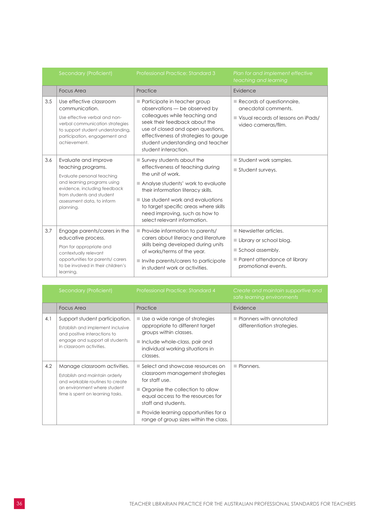|     | Secondary (Proficient)                                                                                                                                                                                          | Professional Practice: Standard 3                                                                                                                                                                                                                                                                                            | Plan for and implement effective<br>teaching and learning                                                                                 |
|-----|-----------------------------------------------------------------------------------------------------------------------------------------------------------------------------------------------------------------|------------------------------------------------------------------------------------------------------------------------------------------------------------------------------------------------------------------------------------------------------------------------------------------------------------------------------|-------------------------------------------------------------------------------------------------------------------------------------------|
|     | <b>Focus Area</b>                                                                                                                                                                                               | Practice                                                                                                                                                                                                                                                                                                                     | Evidence                                                                                                                                  |
| 3.5 | Use effective classroom<br>communication.<br>Use effective verbal and non-<br>verbal communication strategies<br>to support student understanding,<br>participation, engagement and<br>achievement.             | Participate in teacher group<br>observations - be observed by<br>colleagues while teaching and<br>seek their feedback about the<br>use of closed and open questions,<br>effectiveness of strategies to gauge<br>student understanding and teacher<br>student interaction.                                                    | $\blacksquare$ Records of questionnaire,<br>anecdotal comments.<br>■ Visual records of lessons on iPads/<br>video cameras/film.           |
| 3.6 | Evaluate and improve<br>teaching programs.<br>Evaluate personal teaching<br>and learning programs using<br>evidence, including feedback<br>from students and student<br>assessment data, to inform<br>planning. | $\blacksquare$ Survey students about the<br>effectiveness of teaching during<br>the unit of work.<br>Analyse students' work to evaluate<br>their information literacy skills.<br>Use student work and evaluations<br>to target specific areas where skills<br>need improving, such as how to<br>select relevant information. | Student work samples.<br>$\blacksquare$ Student surveys.                                                                                  |
| 3.7 | Engage parents/carers in the<br>educative process.<br>Plan for appropriate and<br>contextually relevant<br>opportunities for parents/ carers<br>to be involved in their children's<br>learning.                 | Provide information to parents/<br>carers about literacy and literature<br>skills being developed during units<br>of works/terms of the year.<br>Invite parents/carers to participate<br>in student work or activities.                                                                                                      | $\blacksquare$ Newsletter articles.<br>Library or school blog.<br>School assembly.<br>Parent attendance at library<br>promotional events. |

|     | Secondary (Proficient)                                                                                                                                                | Professional Practice: Standard 4                                                                                                                                                                                                                                         | Create and maintain supportive and<br>safe learning environments      |
|-----|-----------------------------------------------------------------------------------------------------------------------------------------------------------------------|---------------------------------------------------------------------------------------------------------------------------------------------------------------------------------------------------------------------------------------------------------------------------|-----------------------------------------------------------------------|
|     | <b>Focus Area</b>                                                                                                                                                     | Practice                                                                                                                                                                                                                                                                  | Evidence                                                              |
| 4.1 | Support student participation.<br>Establish and implement inclusive<br>and positive interactions to<br>engage and support all students<br>in classroom activities.    | $\blacksquare$ Use a wide range of strategies<br>appropriate to different target<br>groups within classes.<br>Include whole-class, pair and<br>individual working situations in<br>classes.                                                                               | $\blacksquare$ Planners with annotated<br>differentiation strategies. |
| 4.2 | Manage classroom activities.<br>Establish and maintain orderly<br>and workable routines to create<br>an environment where student<br>time is spent on learning tasks. | ■ Select and showcase resources on<br>classroom management strategies<br>for staff use.<br>Organise the collection to allow<br>equal access to the resources for<br>staff and students.<br>Provide learning opportunities for a<br>range of group sizes within the class. | $\blacksquare$ Planners.                                              |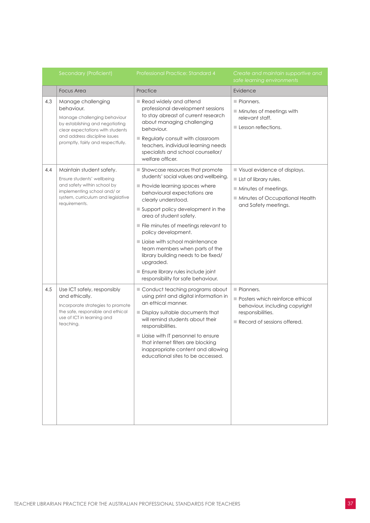|     | Secondary (Proficient)                                                                                                                                                                                         | Professional Practice: Standard 4                                                                                                                                                                                                                                                                                                                                                                                                                                                                    | Create and maintain supportive and<br>safe learning environments                                                                                        |
|-----|----------------------------------------------------------------------------------------------------------------------------------------------------------------------------------------------------------------|------------------------------------------------------------------------------------------------------------------------------------------------------------------------------------------------------------------------------------------------------------------------------------------------------------------------------------------------------------------------------------------------------------------------------------------------------------------------------------------------------|---------------------------------------------------------------------------------------------------------------------------------------------------------|
|     | <b>Focus Area</b>                                                                                                                                                                                              | Practice                                                                                                                                                                                                                                                                                                                                                                                                                                                                                             | Evidence                                                                                                                                                |
| 4.3 | Manage challenging<br>behaviour.<br>Manage challenging behaviour<br>by establishing and negotiating<br>clear expectations with students<br>and address discipline issues<br>promptly, fairly and respectfully. | Read widely and attend<br>professional development sessions<br>to stay abreast of current research<br>about managing challenging<br>behaviour.<br>Regularly consult with classroom<br>teachers, individual learning needs<br>specialists and school counsellor/<br>welfare officer.                                                                                                                                                                                                                  | Planners.<br>Minutes of meetings with<br>relevant staff.<br>$\blacksquare$ Lesson reflections.                                                          |
| 4.4 | Maintain student safety.<br>Ensure students' wellbeing<br>and safety within school by<br>implementing school and/ or<br>system, curriculum and legislative<br>requirements.                                    | Showcase resources that promote<br>students' social values and wellbeing.<br>Provide learning spaces where<br>behavioural expectations are<br>clearly understood.<br>Support policy development in the<br>area of student safety.<br>File minutes of meetings relevant to<br>policy development.<br>Liaise with school maintenance<br>team members when parts of the<br>library building needs to be fixed/<br>upgraded.<br>Ensure library rules include joint<br>responsibility for safe behaviour. | Visual evidence of displays.<br>List of library rules.<br>$\blacksquare$ Minutes of meetings.<br>Minutes of Occupational Health<br>and Safety meetings. |
| 4.5 | Use ICT safely, responsibly<br>and ethically.<br>Incorporate strategies to promote<br>the safe, responsible and ethical<br>use of ICT in learning and<br>teaching.                                             | Conduct teaching programs about<br>using print and digital information in<br>an ethical manner.<br>Display suitable documents that<br>will remind students about their<br>responsibilities.<br>Liaise with IT personnel to ensure<br>that internet filters are blocking<br>inappropriate content and allowing<br>educational sites to be accessed.                                                                                                                                                   | Planners.<br>Posters which reinforce ethical<br>behaviour, including copyright<br>responsibilities.<br>Record of sessions offered.                      |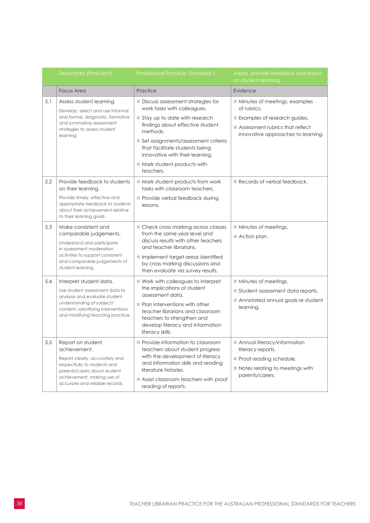|     | Secondary (Proficient)                                                                                                                                                                              | <b>Professional Practice: Standard 5</b>                                                                                                                                                                                                                                                                   | Assess, provide feedback and report<br>on student learning                                                                                              |
|-----|-----------------------------------------------------------------------------------------------------------------------------------------------------------------------------------------------------|------------------------------------------------------------------------------------------------------------------------------------------------------------------------------------------------------------------------------------------------------------------------------------------------------------|---------------------------------------------------------------------------------------------------------------------------------------------------------|
|     | <b>Focus Area</b>                                                                                                                                                                                   | Practice                                                                                                                                                                                                                                                                                                   | Evidence                                                                                                                                                |
| 5.1 | Assess student learning.<br>Develop, select and use informal<br>and formal, diagnostic, formative<br>and summative assessment<br>strategies to assess student<br>learning.                          | ■ Discuss assessment strategies for<br>work tasks with colleagues.<br>Stay up to date with research<br>findings about effective student<br>methods.<br>Set assignments/assessment criteria<br>that facilitate students being<br>innovative with their learning.<br>Mark student products with<br>teachers. | ■ Minutes of meetings, examples<br>of rubrics.<br>Examples of research guides.<br>Assessment rubrics that reflect<br>innovative approaches to learning. |
| 5.2 | Provide feedback to students<br>on their learning.<br>Provide timely, effective and<br>appropriate feedback to students<br>about their achievement relative<br>to their learning goals.             | $\blacksquare$ Mark student products from work<br>tasks with classroom teachers.<br>Provide verbal feedback during<br>lessons.                                                                                                                                                                             | Records of verbal feedback.                                                                                                                             |
| 5.3 | Make consistent and<br>comparable judgements.<br>Understand and participate<br>in assessment moderation<br>activities to support consistent<br>and comparable judgements of<br>student learning.    | ■ Check cross marking across classes<br>from the same year level and<br>discuss results with other teachers<br>and teacher librarians.<br>Implement target areas identified<br>by cross marking discussions and<br>then evaluate via survey results.                                                       | $\blacksquare$ Minutes of meetings.<br>$\blacksquare$ Action plan.                                                                                      |
| 5.4 | Interpret student data.<br>Use student assessment data to<br>analyse and evaluate student<br>understanding of subject/<br>content, identifying interventions<br>and modifying teaching practice.    | $\blacksquare$ Work with colleagues to interpret<br>the implications of student<br>assessment data.<br>$\blacksquare$ Plan interventions with other<br>teacher librarians and classroom<br>teachers to strengthen and<br>develop literacy and information<br>literacy skills.                              | Minutes of meetings.<br>Student assessment data reports.<br>Annotated annual goals re student<br>learning.                                              |
| 5.5 | Report on student<br>achievement.<br>Report clearly, accurately and<br>respectfully to students and<br>parents/carers about student<br>achievement, making use of<br>accurate and reliable records. | Provide information to classroom<br>teachers about student progress<br>with the development of literacy<br>and information skills and reading<br>literature histories.<br>$\blacksquare$ Assist classroom teachers with proof<br>reading of reports.                                                       | Annual literacy/information<br>literacy reports.<br>Proof reading schedule.<br>Notes relating to meetings with<br>parents/carers.                       |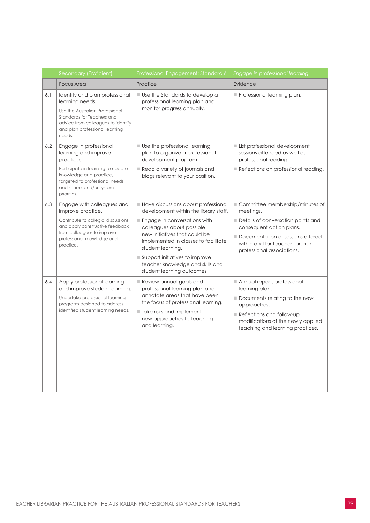|     | Secondary (Proficient)                                                                                                                                                                                   | Professional Engagement: Standard 6                                                                                                                                                                                                                                                                                                           | Engage in professional learning                                                                                                                                                                                       |
|-----|----------------------------------------------------------------------------------------------------------------------------------------------------------------------------------------------------------|-----------------------------------------------------------------------------------------------------------------------------------------------------------------------------------------------------------------------------------------------------------------------------------------------------------------------------------------------|-----------------------------------------------------------------------------------------------------------------------------------------------------------------------------------------------------------------------|
|     | <b>Focus Area</b>                                                                                                                                                                                        | Practice                                                                                                                                                                                                                                                                                                                                      | Evidence                                                                                                                                                                                                              |
| 6.1 | Identify and plan professional<br>learning needs.<br>Use the Australian Professional<br>Standards for Teachers and<br>advice from colleagues to identify<br>and plan professional learning<br>needs.     | ■ Use the Standards to develop a<br>professional learning plan and<br>monitor progress annually.                                                                                                                                                                                                                                              | Professional learning plan.                                                                                                                                                                                           |
| 6.2 | Engage in professional<br>learning and improve<br>practice.<br>Participate in learning to update<br>knowledge and practice,<br>targeted to professional needs<br>and school and/or system<br>priorities. | Use the professional learning<br>plan to organize a professional<br>development program.<br>Read a variety of journals and<br>blogs relevant to your position.                                                                                                                                                                                | List professional development<br>sessions attended as well as<br>professional reading.<br>Reflections on professional reading.                                                                                        |
| 6.3 | Engage with colleagues and<br>improve practice.<br>Contribute to collegial discussions<br>and apply constructive feedback<br>from colleagues to improve<br>professional knowledge and<br>practice.       | Have discussions about professional<br>development within the library staff.<br>Engage in conversations with<br>colleagues about possible<br>new initiatives that could be<br>implemented in classes to facilitate<br>student learning.<br>■ Support initiatives to improve<br>teacher knowledge and skills and<br>student learning outcomes. | Committee membership/minutes of<br>meetings.<br>Details of conversation points and<br>consequent action plans.<br>Documentation of sessions offered<br>within and for teacher librarian<br>professional associations. |
| 6.4 | Apply professional learning<br>and improve student learning.<br>Undertake professional learning<br>programs designed to address<br>identified student learning needs.                                    | Review annual goals and<br>professional learning plan and<br>annotate areas that have been<br>the focus of professional learning.<br>Take risks and implement<br>new approaches to teaching<br>and learning.                                                                                                                                  | Annual report, professional<br>learning plan.<br>Documents relating to the new<br>approaches.<br>Reflections and follow-up<br>modifications of the newly applied<br>teaching and learning practices.                  |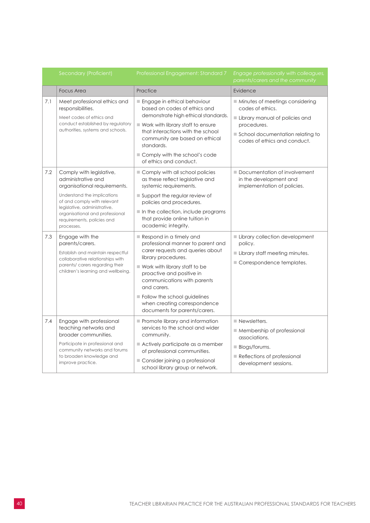|     | Secondary (Proficient)                                                                                                                                                                                                                                      | Professional Engagement: Standard 7                                                                                                                                                                                                                                                                                                                 | Engage professionally with colleagues,<br>parents/carers and the community                                                                                                        |
|-----|-------------------------------------------------------------------------------------------------------------------------------------------------------------------------------------------------------------------------------------------------------------|-----------------------------------------------------------------------------------------------------------------------------------------------------------------------------------------------------------------------------------------------------------------------------------------------------------------------------------------------------|-----------------------------------------------------------------------------------------------------------------------------------------------------------------------------------|
|     | <b>Focus Area</b>                                                                                                                                                                                                                                           | Practice                                                                                                                                                                                                                                                                                                                                            | Evidence                                                                                                                                                                          |
| 7.1 | Meet professional ethics and<br>responsibilities.<br>Meet codes of ethics and<br>conduct established by regulatory<br>authorities, systems and schools.                                                                                                     | Engage in ethical behaviour<br>based on codes of ethics and<br>demonstrate high ethical standards.<br>Work with library staff to ensure<br>that interactions with the school<br>community are based on ethical<br>standards.<br>Comply with the school's code<br>of ethics and conduct.                                                             | Minutes of meetings considering<br>codes of ethics.<br>Library manual of policies and<br>procedures.<br>School documentation relating to<br>codes of ethics and conduct.          |
| 7.2 | Comply with legislative,<br>administrative and<br>organisational requirements.<br>Understand the implications<br>of and comply with relevant<br>legislative, administrative,<br>organisational and professional<br>requirements, policies and<br>processes. | Comply with all school policies<br>as these reflect legislative and<br>systemic requirements.<br>Support the regular review of<br>policies and procedures.<br>$\blacksquare$ In the collection, include programs<br>that provide online tuition in<br>academic integrity.                                                                           | Documentation of involvement<br>in the development and<br>implementation of policies.                                                                                             |
| 7.3 | Engage with the<br>parents/carers.<br>Establish and maintain respectful<br>collaborative relationships with<br>parents/ carers regarding their<br>children's learning and wellbeing.                                                                        | Respond in a timely and<br>professional manner to parent and<br>carer requests and queries about<br>library procedures.<br>$\blacksquare$ Work with library staff to be<br>proactive and positive in<br>communications with parents<br>and carers.<br>Follow the school guidelines<br>when creating correspondence<br>documents for parents/carers. | Library collection development<br>policy.<br>Library staff meeting minutes.<br>Correspondence templates.                                                                          |
| 7.4 | Engage with professional<br>teaching networks and<br>broader communities.<br>Participate in professional and<br>community networks and forums<br>to broaden knowledge and<br>improve practice.                                                              | Promote library and information<br>services to the school and wider<br>community.<br>Actively participate as a member<br>of professional communities.<br>Consider joining a professional<br>school library group or network.                                                                                                                        | $\blacksquare$ Newsletters.<br>Membership of professional<br>associations.<br>$\blacksquare$ Blogs/forums.<br>$\blacksquare$ Reflections of professional<br>development sessions. |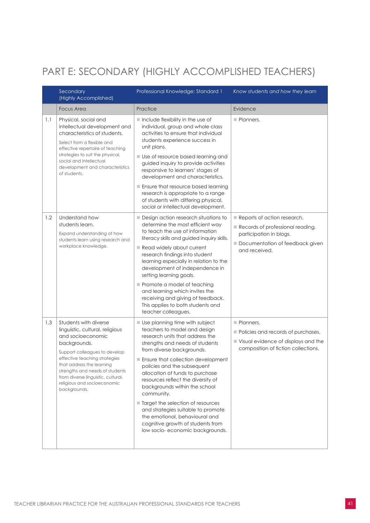#### <span id="page-42-0"></span>PART E: SECONDARY (HIGHLY ACCOMPLISHED TEACHERS)

|     | Secondary<br>(Highly Accomplished)                                                                                                                                                                                                                                                                                   | Professional Knowledge: Standard 1                                                                                                                                                                                                                                                                                                                                                                                                                                                                                                                  | Know students and how they learn                                                                                                               |
|-----|----------------------------------------------------------------------------------------------------------------------------------------------------------------------------------------------------------------------------------------------------------------------------------------------------------------------|-----------------------------------------------------------------------------------------------------------------------------------------------------------------------------------------------------------------------------------------------------------------------------------------------------------------------------------------------------------------------------------------------------------------------------------------------------------------------------------------------------------------------------------------------------|------------------------------------------------------------------------------------------------------------------------------------------------|
|     | <b>Focus Area</b>                                                                                                                                                                                                                                                                                                    | Practice                                                                                                                                                                                                                                                                                                                                                                                                                                                                                                                                            | Evidence                                                                                                                                       |
| 1.1 | Physical, social and<br>intellectual development and<br>characteristics of students.<br>Select from a flexible and<br>effective repertoire of teaching<br>strategies to suit the physical,<br>social and intellectual<br>development and characteristics<br>of students.                                             | Include flexibility in the use of<br>individual, group and whole class<br>activities to ensure that individual<br>students experience success in<br>unit plans.<br>■ Use of resource based learning and<br>guided inquiry to provide activities<br>responsive to learners' stages of<br>development and characteristics.<br>Ensure that resource based learning<br>research is appropriate to a range<br>of students with differing physical,<br>social or intellectual development.                                                                | Planners.                                                                                                                                      |
| 1.2 | Understand how<br>students learn.<br>Expand understanding of how<br>students learn using research and<br>workplace knowledge.                                                                                                                                                                                        | Design action research situations to<br>determine the most efficient way<br>to teach the use of information<br>literacy skills and guided inquiry skills.<br>Read widely about current<br>research findings into student<br>learning especially in relation to the<br>development of independence in<br>setting learning goals.<br>Promote a model of teaching<br>and learning which invites the<br>receiving and giving of feedback.<br>This applies to both students and<br>teacher colleagues.                                                   | Reports of action research.<br>Records of professional reading,<br>participation in blogs.<br>Documentation of feedback given<br>and received. |
| 1.3 | Students with diverse<br>linguistic, cultural, religious<br>and socioeconomic<br>backgrounds.<br>Support colleagues to develop<br>effective teaching strategies<br>that address the learning<br>strengths and needs of students<br>from diverse linguistic, cultural,<br>religious and socioeconomic<br>backgrounds. | Use planning time with subject<br>teachers to model and design<br>research units that address the<br>strengths and needs of students<br>from diverse backgrounds.<br>Ensure that collection development<br>policies and the subsequent<br>allocation of funds to purchase<br>resources reflect the diversity of<br>backgrounds within the school<br>community.<br>Target the selection of resources<br>and strategies suitable to promote<br>the emotional, behavioural and<br>cognitive growth of students from<br>low socio-economic backgrounds. | Planners.<br>Policies and records of purchases.<br>Visual evidence of displays and the<br>composition of fiction collections.                  |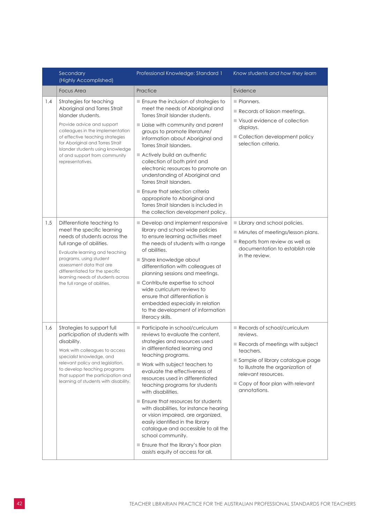|     | Secondary<br>(Highly Accomplished)                                                                                                                                                                                                                                                                                   | Professional Knowledge: Standard 1                                                                                                                                                                                                                                                                                                                                                                                                                                                                                                                                                                                                             | Know students and how they learn                                                                                                                                                                                                              |
|-----|----------------------------------------------------------------------------------------------------------------------------------------------------------------------------------------------------------------------------------------------------------------------------------------------------------------------|------------------------------------------------------------------------------------------------------------------------------------------------------------------------------------------------------------------------------------------------------------------------------------------------------------------------------------------------------------------------------------------------------------------------------------------------------------------------------------------------------------------------------------------------------------------------------------------------------------------------------------------------|-----------------------------------------------------------------------------------------------------------------------------------------------------------------------------------------------------------------------------------------------|
|     | <b>Focus Area</b>                                                                                                                                                                                                                                                                                                    | Practice                                                                                                                                                                                                                                                                                                                                                                                                                                                                                                                                                                                                                                       | Evidence                                                                                                                                                                                                                                      |
| 1.4 | Strategies for teaching<br>Aboriginal and Torres Strait<br>Islander students.<br>Provide advice and support<br>colleagues in the implementation<br>of effective teaching strategies<br>for Aboriginal and Torres Strait<br>Islander students using knowledge<br>of and support from community<br>representatives.    | Ensure the inclusion of strategies to<br>meet the needs of Aboriginal and<br>Torres Strait Islander students.<br>Liaise with community and parent<br>groups to promote literature/<br>information about Aboriginal and<br>Torres Strait Islanders.<br>Actively build an authentic<br>collection of both print and<br>electronic resources to promote an<br>understanding of Aboriginal and<br>Torres Strait Islanders.<br>Ensure that selection criteria<br>appropriate to Aboriginal and<br>Torres Strait Islanders is included in<br>the collection development policy.                                                                      | Planners.<br>Records of liaison meetings.<br>■ Visual evidence of collection<br>displays.<br>Collection development policy<br>selection criteria.                                                                                             |
| 1.5 | Differentiate teaching to<br>meet the specific learning<br>needs of students across the<br>full range of abilities.<br>Evaluate learning and teaching<br>programs, using student<br>assessment data that are<br>differentiated for the specific<br>learning needs of students across<br>the full range of abilities. | Develop and implement responsive<br>library and school wide policies<br>to ensure learning activities meet<br>the needs of students with a range<br>of abilities.<br>Share knowledge about<br>differentiation with colleagues at<br>planning sessions and meetings.<br>Contribute expertise to school<br>wide curriculum reviews to<br>ensure that differentiation is<br>embedded especially in relation<br>to the development of information<br>literacy skills.                                                                                                                                                                              | Library and school policies.<br>Minutes of meetings/lesson plans.<br>Reports from review as well as<br>documentation to establish role<br>in the review.                                                                                      |
| 1.6 | Strategies to support full<br>participation of students with<br>disability.<br>Work with colleagues to access<br>specialist knowledge, and<br>relevant policy and legislation,<br>to develop teaching programs<br>that support the participation and<br>learning of students with disability.                        | Participate in school/curriculum<br>reviews to evaluate the content,<br>strategies and resources used<br>in differentiated learning and<br>teaching programs.<br>$\blacksquare$ Work with subject teachers to<br>evaluate the effectiveness of<br>resources used in differentiated<br>teaching programs for students<br>with disabilities.<br>Ensure that resources for students<br>with disabilities, for instance hearing<br>or vision impaired, are organized,<br>easily identified in the library<br>catalogue and accessible to all the<br>school community.<br>Ensure that the library's floor plan<br>assists equity of access for all. | Records of school/curriculum<br>reviews.<br>Records of meetings with subject<br>teachers.<br>Sample of library catalogue page<br>to illustrate the organization of<br>relevant resources.<br>Copy of floor plan with relevant<br>annotations. |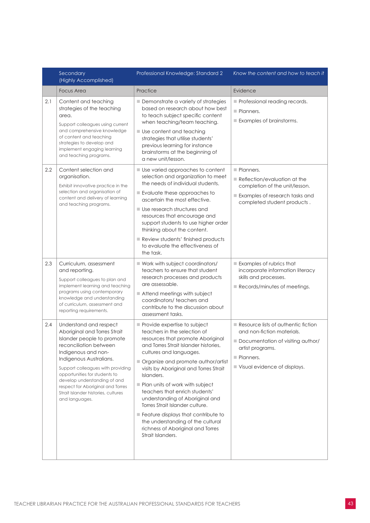|     | Secondary<br>(Highly Accomplished)                                                                                                                                                                                                                                                                                                                                   | Professional Knowledge: Standard 2                                                                                                                                                                                                                                                                                                                                                                                                                                                                                                                   | Know the content and how to teach it                                                                                                                                    |
|-----|----------------------------------------------------------------------------------------------------------------------------------------------------------------------------------------------------------------------------------------------------------------------------------------------------------------------------------------------------------------------|------------------------------------------------------------------------------------------------------------------------------------------------------------------------------------------------------------------------------------------------------------------------------------------------------------------------------------------------------------------------------------------------------------------------------------------------------------------------------------------------------------------------------------------------------|-------------------------------------------------------------------------------------------------------------------------------------------------------------------------|
|     | <b>Focus Area</b>                                                                                                                                                                                                                                                                                                                                                    | Practice                                                                                                                                                                                                                                                                                                                                                                                                                                                                                                                                             | Evidence                                                                                                                                                                |
| 2.1 | Content and teaching<br>strategies of the teaching<br>area.<br>Support colleagues using current<br>and comprehensive knowledge<br>of content and teaching<br>strategies to develop and<br>implement engaging learning<br>and teaching programs.                                                                                                                      | Demonstrate a variety of strategies<br>based on research about how best<br>to teach subject specific content<br>when teaching/team teaching.<br>Use content and teaching<br>strategies that utilise students'<br>previous learning for instance<br>brainstorms at the beginning of<br>a new unit/lesson.                                                                                                                                                                                                                                             | Professional reading records.<br>Planners.<br>Examples of brainstorms.                                                                                                  |
| 2.2 | Content selection and<br>organisation.<br>Exhibit innovative practice in the<br>selection and organisation of<br>content and delivery of learning<br>and teaching programs.                                                                                                                                                                                          | Use varied approaches to content<br>selection and organization to meet<br>the needs of individual students.<br>Evaluate these approaches to<br>ascertain the most effective.<br>Use research structures and<br>resources that encourage and<br>support students to use higher order<br>thinking about the content.<br>Review students' finished products<br>to evaluate the effectiveness of<br>the task.                                                                                                                                            | Planners.<br>Reflection/evaluation at the<br>completion of the unit/lesson.<br>Examples of research tasks and<br>completed student products.                            |
| 2.3 | Curriculum, assessment<br>and reporting.<br>Support colleagues to plan and<br>implement learning and teaching<br>programs using contemporary<br>knowledge and understanding<br>of curriculum, assessment and<br>reporting requirements.                                                                                                                              | ■ Work with subject coordinators/<br>teachers to ensure that student<br>research processes and products<br>are assessable.<br>Attend meetings with subject<br>coordinators/teachers and<br>contribute to the discussion about<br>assessment tasks.                                                                                                                                                                                                                                                                                                   | Examples of rubrics that<br>incorporate information literacy<br>skills and processes.<br>Records/minutes of meetings.                                                   |
| 2.4 | Understand and respect<br>Aboriginal and Torres Strait<br>Islander people to promote<br>reconciliation between<br>Indigenous and non-<br>Indigenous Australians.<br>Support colleagues with providing<br>opportunities for students to<br>develop understanding of and<br>respect for Aboriginal and Torres<br>Strait Islander histories, cultures<br>and languages. | Provide expertise to subject<br>teachers in the selection of<br>resources that promote Aboriginal<br>and Torres Strait Islander histories,<br>cultures and languages.<br>Organize and promote author/artist<br>visits by Aboriginal and Torres Strait<br>Islanders.<br>Plan units of work with subject<br>teachers that enrich students'<br>understanding of Aboriginal and<br>Torres Strait Islander culture.<br>Feature displays that contribute to<br>the understanding of the cultural<br>richness of Aboriginal and Torres<br>Strait Islanders. | Resource lists of authentic fiction<br>and non-fiction materials.<br>Documentation of visiting author/<br>artist programs.<br>Planners.<br>Visual evidence of displays. |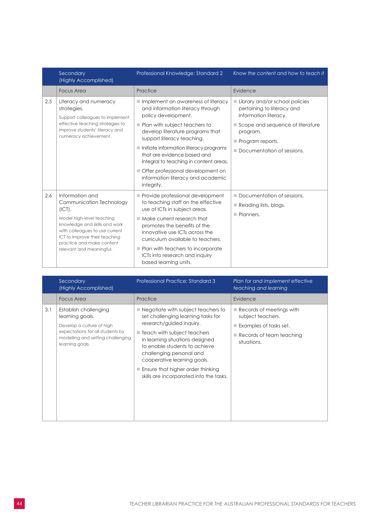|     | Secondary<br>(Highly Accomplished)                                                                                                                                                                                                              | Professional Knowledge: Standard 2                                                                                                                                                                                                                                                                                                                                                                          | Know the content and how to teach it                                                                                                                                                    |
|-----|-------------------------------------------------------------------------------------------------------------------------------------------------------------------------------------------------------------------------------------------------|-------------------------------------------------------------------------------------------------------------------------------------------------------------------------------------------------------------------------------------------------------------------------------------------------------------------------------------------------------------------------------------------------------------|-----------------------------------------------------------------------------------------------------------------------------------------------------------------------------------------|
|     | <b>Focus Area</b>                                                                                                                                                                                                                               | Practice                                                                                                                                                                                                                                                                                                                                                                                                    | Evidence                                                                                                                                                                                |
| 2.5 | Literacy and numeracy<br>strategies.<br>Support colleagues to implement<br>effective teaching strategies to<br>improve students' literacy and<br>numeracy achievement.                                                                          | Implement an awareness of literacy<br>and information literacy through<br>policy development.<br>Plan with subject teachers to<br>develop literature programs that<br>support literacy teaching.<br>Initiate information literacy programs<br>that are evidence based and<br>integral to teaching in content areas.<br>Offer professional development on<br>information literacy and academic<br>integrity. | Library and/or school policies<br>pertaining to literacy and<br>information literacy.<br>Scope and sequence of literature<br>program.<br>Program reports.<br>Documentation of sessions. |
| 2.6 | Information and<br>Communication Technology<br>(ICT).<br>Model high-level teaching<br>knowledge and skills and work<br>with colleagues to use current<br>ICT to improve their teaching<br>practice and make content<br>relevant and meaningful. | Provide professional development<br>to teaching staff on the effective<br>use of ICTs in subject areas.<br>$\blacksquare$ Make current research that<br>promotes the benefits of the<br>innovative use ICTs across the<br>curriculum available to teachers.<br>Plan with teachers to incorporate<br>ICTs into research and inquiry<br>based learning units.                                                 | Documentation of sessions.<br>$\Box$ Reading lists, blogs.<br>Planners.                                                                                                                 |

|     | Secondary<br>(Highly Accomplished)                                                                                                                                | Professional Practice: Standard 3                                                                                                                                                                                                                                                                                                                                   | Plan for and implement effective<br>teaching and learning                                                                                                       |
|-----|-------------------------------------------------------------------------------------------------------------------------------------------------------------------|---------------------------------------------------------------------------------------------------------------------------------------------------------------------------------------------------------------------------------------------------------------------------------------------------------------------------------------------------------------------|-----------------------------------------------------------------------------------------------------------------------------------------------------------------|
|     | <b>Focus Area</b>                                                                                                                                                 | Practice                                                                                                                                                                                                                                                                                                                                                            | Evidence                                                                                                                                                        |
| 3.1 | Establish challenging<br>learning goals.<br>Develop a culture of high<br>expectations for all students by<br>modelling and setting challenging<br>learning goals. | Negotiate with subject teachers to<br>set challenging learning tasks for<br>research/guided inquiry.<br>■ Teach with subject teachers<br>in learning situations designed<br>to enable students to achieve<br>challenging personal and<br>cooperative learning goals.<br>$\blacksquare$ Ensure that higher order thinking<br>skills are incorporated into the tasks. | $\blacksquare$ Records of meetings with<br>subject teachers.<br>$\blacksquare$ Examples of tasks set.<br>$\blacksquare$ Records of team teaching<br>situations. |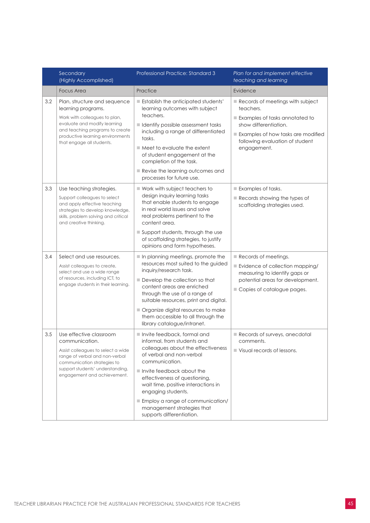|     | Secondary<br>(Highly Accomplished)                                                                                                                                                                                      | Professional Practice: Standard 3                                                                                                                                                                                                                                                                                                                                                       | Plan for and implement effective<br>teaching and learning                                                                                                                                        |
|-----|-------------------------------------------------------------------------------------------------------------------------------------------------------------------------------------------------------------------------|-----------------------------------------------------------------------------------------------------------------------------------------------------------------------------------------------------------------------------------------------------------------------------------------------------------------------------------------------------------------------------------------|--------------------------------------------------------------------------------------------------------------------------------------------------------------------------------------------------|
|     | <b>Focus Area</b>                                                                                                                                                                                                       | Practice                                                                                                                                                                                                                                                                                                                                                                                | Evidence                                                                                                                                                                                         |
| 3.2 | Plan, structure and sequence<br>learning programs.<br>Work with colleagues to plan,<br>evaluate and modify learning<br>and teaching programs to create<br>productive learning environments<br>that engage all students. | Establish the anticipated students'<br>learning outcomes with subject<br>teachers.<br>I Identify possible assessment tasks<br>including a range of differentiated<br>tasks.<br>$\blacksquare$ Meet to evaluate the extent<br>of student engagement at the<br>completion of the task.<br>Revise the learning outcomes and<br>processes for future use.                                   | Records of meetings with subject<br>teachers.<br>Examples of tasks annotated to<br>show differentiation.<br>Examples of how tasks are modified<br>following evaluation of student<br>engagement. |
| 3.3 | Use teaching strategies.<br>Support colleagues to select<br>and apply effective teaching<br>strategies to develop knowledge,<br>skills, problem solving and critical<br>and creative thinking.                          | Work with subject teachers to<br>design inquiry learning tasks<br>that enable students to engage<br>in real world issues and solve<br>real problems pertinent to the<br>content area.<br>Support students, through the use<br>of scaffolding strategies, to justify<br>opinions and form hypotheses.                                                                                    | Examples of tasks.<br>Records showing the types of<br>scaffolding strategies used.                                                                                                               |
| 3.4 | Select and use resources.<br>Assist colleagues to create,<br>select and use a wide range<br>of resources, including ICT, to<br>engage students in their learning.                                                       | In planning meetings, promote the<br>resources most suited to the guided<br>inquiry/research task.<br>Develop the collection so that<br>content areas are enriched<br>through the use of a range of<br>suitable resources, print and digital.<br>Organize digital resources to make<br>them accessible to all through the<br>library catalogue/intranet.                                | Records of meetings.<br>Evidence of collection mapping/<br>measuring to identify gaps or<br>potential areas for development.<br>Copies of catalogue pages.                                       |
| 3.5 | Use effective classroom<br>communication.<br>Assist colleagues to select a wide<br>range of verbal and non-verbal<br>communication strategies to<br>support students' understanding,<br>engagement and achievement.     | Invite feedback, formal and<br>informal, from students and<br>colleagues about the effectiveness<br>of verbal and non-verbal<br>communication.<br>$\blacksquare$ Invite feedback about the<br>effectiveness of questioning,<br>wait time, positive interactions in<br>engaging students.<br>Employ a range of communication/<br>management strategies that<br>supports differentiation. | Records of surveys, anecdotal<br>comments.<br>$\blacksquare$ Visual records of lessons.                                                                                                          |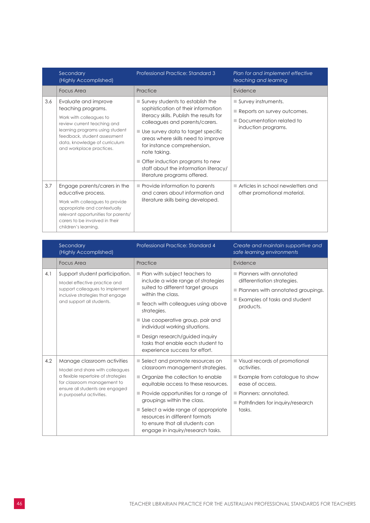|     | Secondary<br>(Highly Accomplished)                                                                                                                                                                                                   | Professional Practice: Standard 3                                                                                                                                                                                                                                                                                                                                                                             | Plan for and implement effective<br>teaching and learning                                             |
|-----|--------------------------------------------------------------------------------------------------------------------------------------------------------------------------------------------------------------------------------------|---------------------------------------------------------------------------------------------------------------------------------------------------------------------------------------------------------------------------------------------------------------------------------------------------------------------------------------------------------------------------------------------------------------|-------------------------------------------------------------------------------------------------------|
|     | Focus Area                                                                                                                                                                                                                           | Practice                                                                                                                                                                                                                                                                                                                                                                                                      | Evidence                                                                                              |
| 3.6 | Evaluate and improve<br>teaching programs.<br>Work with colleagues to<br>review current teaching and<br>learning programs using student<br>feedback, student assessment<br>data, knowledge of curriculum<br>and workplace practices. | $\blacksquare$ Survey students to establish the<br>sophistication of their information<br>literacy skills. Publish the results for<br>colleagues and parents/carers.<br>■ Use survey data to target specific<br>areas where skills need to improve<br>for instance comprehension,<br>note taking.<br>Offer induction programs to new<br>staff about the information literacy/<br>literature programs offered. | Survey instruments.<br>Reports on survey outcomes.<br>Documentation related to<br>induction programs. |
| 3.7 | Engage parents/carers in the<br>educative process.<br>Work with colleagues to provide<br>appropriate and contextually<br>relevant opportunities for parents/<br>carers to be involved in their<br>children's learning.               | Provide information to parents<br>and carers about information and<br>literature skills being developed.                                                                                                                                                                                                                                                                                                      | Articles in school newsletters and<br>other promotional material.                                     |

|     | Secondary<br>(Highly Accomplished)                                                                                                                                                                   | Professional Practice: Standard 4                                                                                                                                                                                                                                                                                                                                                      | Create and maintain supportive and<br>safe learning environments                                                                                                          |
|-----|------------------------------------------------------------------------------------------------------------------------------------------------------------------------------------------------------|----------------------------------------------------------------------------------------------------------------------------------------------------------------------------------------------------------------------------------------------------------------------------------------------------------------------------------------------------------------------------------------|---------------------------------------------------------------------------------------------------------------------------------------------------------------------------|
|     | <b>Focus Area</b>                                                                                                                                                                                    | Practice                                                                                                                                                                                                                                                                                                                                                                               | Evidence                                                                                                                                                                  |
| 4.1 | Support student participation.<br>Model effective practice and<br>support colleagues to implement<br>inclusive strategies that engage<br>and support all students.                                   | Plan with subject teachers to<br>include a wide range of strategies<br>suited to different target groups<br>within the class.<br>■ Teach with colleagues using above<br>strategies.<br>■ Use cooperative group, pair and<br>individual working situations.<br>Design research/guided inquiry<br>tasks that enable each student to<br>experience success for effort.                    | $\blacksquare$ Planners with annotated<br>differentiation strategies.<br>Planners with annotated groupings.<br>Examples of tasks and student<br>products.                 |
| 4.2 | Manage classroom activities<br>Model and share with colleagues<br>a flexible repertoire of strategies<br>for classroom management to<br>ensure all students are engaged<br>in purposeful activities. | Select and promote resources on<br>classroom management strategies.<br>Organize the collection to enable<br>equitable access to these resources.<br>$\blacksquare$ Provide opportunities for a range of<br>groupings within the class.<br>Select a wide range of appropriate<br>resources in different formats<br>to ensure that all students can<br>engage in inquiry/research tasks. | ■ Visual records of promotional<br>activities.<br>Example from catalogue to show<br>ease of access.<br>Planners: annotated.<br>Pathfinders for inquiry/research<br>tasks. |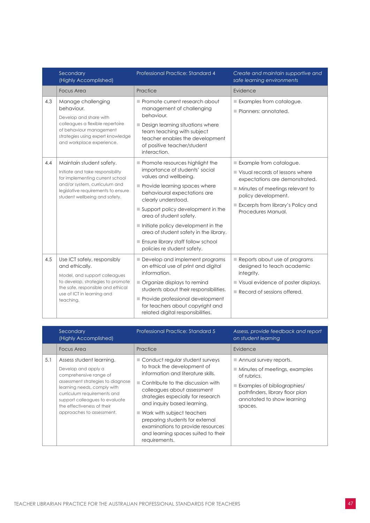|     | Secondary<br>(Highly Accomplished)                                                                                                                                                                      | Professional Practice: Standard 4                                                                                                                                                                                                                                                                                                                                                                       | Create and maintain supportive and<br>safe learning environments                                                                                                                                                   |
|-----|---------------------------------------------------------------------------------------------------------------------------------------------------------------------------------------------------------|---------------------------------------------------------------------------------------------------------------------------------------------------------------------------------------------------------------------------------------------------------------------------------------------------------------------------------------------------------------------------------------------------------|--------------------------------------------------------------------------------------------------------------------------------------------------------------------------------------------------------------------|
|     | <b>Focus Area</b>                                                                                                                                                                                       | Practice                                                                                                                                                                                                                                                                                                                                                                                                | Evidence                                                                                                                                                                                                           |
| 4.3 | Manage challenging<br>behaviour.<br>Develop and share with<br>colleagues a flexible repertoire<br>of behaviour management<br>strategies using expert knowledge<br>and workplace experience.             | Promote current research about<br>management of challenging<br>behaviour.<br>Design learning situations where<br>team teaching with subject<br>teacher enables the development<br>of positive teacher/student<br>interaction.                                                                                                                                                                           | $\blacksquare$ Examples from catalogue.<br>Planners: annotated.                                                                                                                                                    |
| 4.4 | Maintain student safety.<br>Initiate and take responsibility<br>for implementing current school<br>and/or system, curriculum and<br>legislative requirements to ensure<br>student wellbeing and safety. | Promote resources highlight the<br>importance of students' social<br>values and wellbeing.<br>Provide learning spaces where<br>behavioural expectations are<br>clearly understood.<br>Support policy development in the<br>area of student safety.<br>Initiate policy development in the<br>area of student safety in the library.<br>Ensure library staff follow school<br>policies re student safety. | Example from catalogue.<br>Visual records of lessons where<br>expectations are demonstrated.<br>Minutes of meetings relevant to<br>policy development.<br>Excerpts from library's Policy and<br>Procedures Manual. |
| 4.5 | Use ICT safely, responsibly<br>and ethically.<br>Model, and support colleagues<br>to develop, strategies to promote<br>the safe, responsible and ethical<br>use of ICT in learning and<br>teaching.     | Develop and implement programs<br>on ethical use of print and digital<br>information.<br>Organize displays to remind<br>students about their responsibilities.<br>Provide professional development<br>for teachers about copyright and<br>related digital responsibilities.                                                                                                                             | Reports about use of programs<br>designed to teach academic<br>integrity.<br>Visual evidence of poster displays.<br>$\blacksquare$ Record of sessions offered.                                                     |

|     | Secondary<br>(Highly Accomplished)                                                                                                                                                                                                                                        | <b>Professional Practice: Standard 5</b>                                                                                                                                                                                                                                                                                                                                                                                     | Assess, provide feedback and report<br>on student learning                                                                                                                                                      |
|-----|---------------------------------------------------------------------------------------------------------------------------------------------------------------------------------------------------------------------------------------------------------------------------|------------------------------------------------------------------------------------------------------------------------------------------------------------------------------------------------------------------------------------------------------------------------------------------------------------------------------------------------------------------------------------------------------------------------------|-----------------------------------------------------------------------------------------------------------------------------------------------------------------------------------------------------------------|
|     | Focus Area                                                                                                                                                                                                                                                                | Practice                                                                                                                                                                                                                                                                                                                                                                                                                     | Evidence                                                                                                                                                                                                        |
| 5.1 | Assess student learning.<br>Develop and apply a<br>comprehensive range of<br>assessment strategies to diagnose<br>learning needs, comply with<br>curriculum requirements and<br>support colleagues to evaluate<br>the effectiveness of their<br>approaches to assessment. | Conduct regular student surveys<br>to track the development of<br>information and literature skills.<br>$\blacksquare$ Contribute to the discussion with<br>colleagues about assessment<br>strategies especially for research<br>and inquiry based learning.<br>■ Work with subject teachers<br>preparing students for external<br>examinations to provide resources<br>and learning spaces suited to their<br>requirements. | Annual survey reports.<br>$\blacksquare$ Minutes of meetings, examples<br>of rubrics.<br>$\blacksquare$ Examples of bibliographies/<br>pathfinders, library floor plan<br>annotated to show learning<br>spaces. |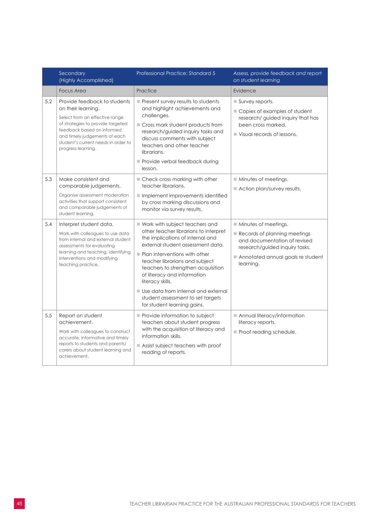|     | Secondary<br>(Highly Accomplished)                                                                                                                                                                                                                    | Professional Practice: Standard 5                                                                                                                                                                                                                                                                                                                                                                                                        | Assess, provide feedback and report<br>on student learning                                                                                                                              |
|-----|-------------------------------------------------------------------------------------------------------------------------------------------------------------------------------------------------------------------------------------------------------|------------------------------------------------------------------------------------------------------------------------------------------------------------------------------------------------------------------------------------------------------------------------------------------------------------------------------------------------------------------------------------------------------------------------------------------|-----------------------------------------------------------------------------------------------------------------------------------------------------------------------------------------|
|     | <b>Focus Area</b>                                                                                                                                                                                                                                     | Practice                                                                                                                                                                                                                                                                                                                                                                                                                                 | Evidence                                                                                                                                                                                |
| 5.2 | Provide feedback to students<br>on their learning.<br>Select from an effective range<br>of strategies to provide targeted<br>feedback based on informed<br>and timely judgements of each<br>student's current needs in order to<br>progress learning. | Present survey results to students<br>and highlight achievements and<br>challenges.<br>■ Cross mark student products from<br>research/guided inquiry tasks and<br>discuss comments with subject<br>teachers and other teacher<br>librarians.<br>Provide verbal feedback during<br>lesson.                                                                                                                                                | $\blacksquare$ Survey reports.<br>■ Copies of examples of student<br>research/ guided inquiry that has<br>been cross marked.<br>$\blacksquare$ Visual records of lessons.               |
| 5.3 | Make consistent and<br>comparable judgements.<br>Organise assessment moderation<br>activities that support consistent<br>and comparable judgements of<br>student learning.                                                                            | Check cross marking with other<br>teacher librarians.<br>$\blacksquare$ Implement improvements identified<br>by cross marking discussions and<br>monitor via survey results.                                                                                                                                                                                                                                                             | Minutes of meetings.<br>$\blacksquare$ Action plan/survey results.                                                                                                                      |
| 5.4 | Interpret student data.<br>Work with colleagues to use data<br>from internal and external student<br>assessments for evaluating<br>learning and teaching, identifying<br>interventions and modifying<br>teaching practice.                            | ■ Work with subject teachers and<br>other teacher librarians to interpret<br>the implications of internal and<br>external student assessment data.<br>$\blacksquare$ Plan interventions with other<br>teacher librarians and subject<br>teachers to strengthen acquisition<br>of literacy and information<br>literacy skills.<br>Use data from internal and external<br>student assessment to set targets<br>for student learning gains. | $\blacksquare$ Minutes of meetings.<br>Records of planning meetings<br>and documentation of revised<br>research/guided inquiry tasks.<br>Annotated annual goals re student<br>learning. |
| 5.5 | Report on student<br>achievement.<br>Work with colleagues to construct<br>accurate, informative and timely<br>reports to students and parents/<br>carers about student learning and<br>achievement.                                                   | Provide information to subject<br>teachers about student progress<br>with the acquisition of literacy and<br>information skills.<br>$\blacksquare$ Assist subject teachers with proof<br>reading of reports.                                                                                                                                                                                                                             | Annual literacy/information<br>literacy reports.<br>Proof reading schedule.                                                                                                             |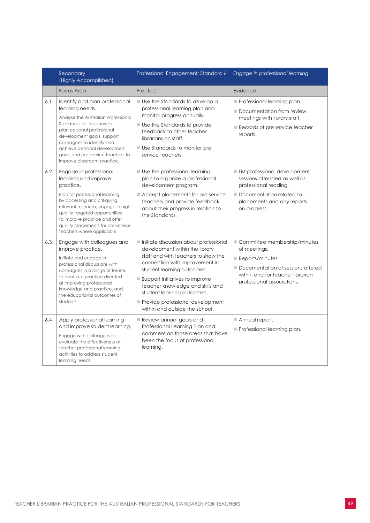|     | Secondary<br>(Highly Accomplished)                                                                                                                                                                                                                                                                                  | Professional Engagement: Standard 6                                                                                                                                                                                                                                                                                                                       | Engage in professional learning                                                                                                                                                        |
|-----|---------------------------------------------------------------------------------------------------------------------------------------------------------------------------------------------------------------------------------------------------------------------------------------------------------------------|-----------------------------------------------------------------------------------------------------------------------------------------------------------------------------------------------------------------------------------------------------------------------------------------------------------------------------------------------------------|----------------------------------------------------------------------------------------------------------------------------------------------------------------------------------------|
|     | <b>Focus Area</b>                                                                                                                                                                                                                                                                                                   | Practice                                                                                                                                                                                                                                                                                                                                                  | Evidence                                                                                                                                                                               |
| 6.1 | Identify and plan professional<br>learning needs.<br>Analyse the Australian Professional<br>Standards for Teachers to<br>plan personal professional<br>development goals, support<br>colleagues to identify and<br>achieve personal development<br>goals and pre-service teachers to<br>improve classroom practice. | Use the Standards to develop a<br>professional learning plan and<br>monitor progress annually.<br><b>Use the Standards to provide</b><br>feedback to other teacher<br>librarians on staff.<br><b>Use Standards to monitor pre</b><br>service teachers.                                                                                                    | $\blacksquare$ Professional learning plan.<br>Documentation from review<br>meetings with library staff.<br>Records of pre service teacher<br>reports.                                  |
| 6.2 | Engage in professional<br>learning and improve<br>practice.<br>Plan for professional learning<br>by accessing and critiquing<br>relevant research, engage in high<br>quality targeted opportunities<br>to improve practice and offer<br>quality placements for pre-service<br>teachers where applicable.            | $\blacksquare$ Use the professional learning<br>plan to organize a professional<br>development program.<br>Accept placements for pre service<br>teachers and provide feedback<br>about their progress in relation to<br>the Standards.                                                                                                                    | List professional development<br>sessions attended as well as<br>professional reading.<br>Documentation related to<br>placements and any reports<br>on progress.                       |
| 6.3 | Engage with colleagues and<br>improve practice.<br>Initiate and engage in<br>professional discussions with<br>colleagues in a range of forums<br>to evaluate practice directed<br>at improving professional<br>knowledge and practice, and<br>the educational outcomes of<br>students.                              | Initiate discussion about professional<br>development within the library<br>staff and with teachers to show the<br>connection with improvement in<br>student learning outcomes.<br>Support initiatives to improve<br>teacher knowledge and skills and<br>student learning outcomes.<br>Provide professional development<br>within and outside the school. | Committee membership/minutes<br>of meetings.<br>$\blacksquare$ Reports/minutes.<br>Documentation of sessions offered<br>within and for teacher librarian<br>professional associations. |
| 6.4 | Apply professional learning<br>and improve student learning.<br>Engage with colleagues to<br>evaluate the effectiveness of<br>teacher professional learning<br>activities to address student<br>learning needs.                                                                                                     | Review annual goals and<br>Professional Learning Plan and<br>comment on those areas that have<br>been the focus of professional<br>learning.                                                                                                                                                                                                              | $\blacksquare$ Annual report.<br>Professional learning plan.                                                                                                                           |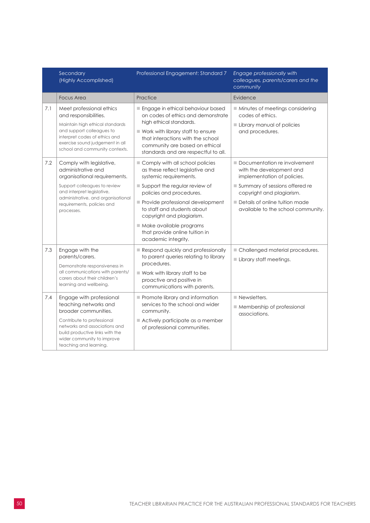|     | Secondary<br>(Highly Accomplished)                                                                                                                                                                                      | Professional Engagement: Standard 7                                                                                                                                                                                                                      | Engage professionally with<br>colleagues, parents/carers and the<br>community                        |
|-----|-------------------------------------------------------------------------------------------------------------------------------------------------------------------------------------------------------------------------|----------------------------------------------------------------------------------------------------------------------------------------------------------------------------------------------------------------------------------------------------------|------------------------------------------------------------------------------------------------------|
|     | <b>Focus Area</b>                                                                                                                                                                                                       | Practice                                                                                                                                                                                                                                                 | Evidence                                                                                             |
| 7.1 | Meet professional ethics<br>and responsibilities.<br>Maintain high ethical standards<br>and support colleagues to<br>interpret codes of ethics and<br>exercise sound judgement in all<br>school and community contexts. | Engage in ethical behaviour based<br>on codes of ethics and demonstrate<br>high ethical standards.<br>■ Work with library staff to ensure<br>that interactions with the school<br>community are based on ethical<br>standards and are respectful to all. | Minutes of meetings considering<br>codes of ethics.<br>Library manual of policies<br>and procedures. |
| 7.2 | Comply with legislative,<br>administrative and<br>organisational requirements.                                                                                                                                          | Comply with all school policies<br>as these reflect legislative and<br>systemic requirements.                                                                                                                                                            | Documentation re involvement<br>with the development and<br>implementation of policies.              |
|     | Support colleagues to review<br>and interpret legislative,                                                                                                                                                              | Support the regular review of<br>policies and procedures.                                                                                                                                                                                                | Summary of sessions offered re<br>copyright and plagiarism.                                          |
|     | administrative, and organisational<br>requirements, policies and<br>processes.                                                                                                                                          | Provide professional development<br>to staff and students about<br>copyright and plagiarism.                                                                                                                                                             | Details of online tuition made<br>available to the school community.                                 |
|     |                                                                                                                                                                                                                         | Make available programs<br>that provide online tuition in<br>academic integrity.                                                                                                                                                                         |                                                                                                      |
| 7.3 | Engage with the<br>parents/carers.<br>Demonstrate responsiveness in                                                                                                                                                     | Respond quickly and professionally<br>to parent queries relating to library<br>procedures.                                                                                                                                                               | Challenged material procedures.<br>Library staff meetings.                                           |
|     | all communications with parents/<br>carers about their children's<br>learning and wellbeing.                                                                                                                            | Work with library staff to be<br>proactive and positive in<br>communications with parents.                                                                                                                                                               |                                                                                                      |
| 7.4 | Engage with professional<br>teaching networks and<br>broader communities.                                                                                                                                               | Promote library and information<br>services to the school and wider<br>community.                                                                                                                                                                        | $\blacksquare$ Newsletters.<br>Membership of professional<br>associations.                           |
|     | Contribute to professional<br>networks and associations and<br>build productive links with the<br>wider community to improve<br>teaching and learning.                                                                  | Actively participate as a member<br>of professional communities.                                                                                                                                                                                         |                                                                                                      |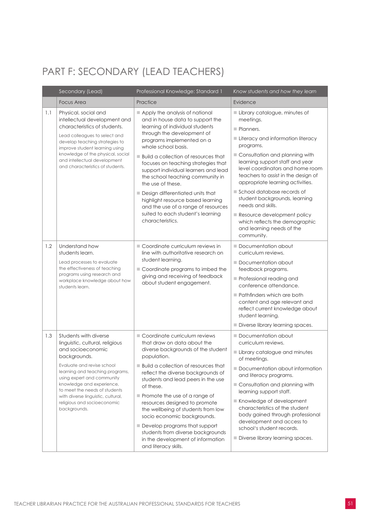## <span id="page-52-0"></span>PART F: SECONDARY (LEAD TEACHERS)

|     | Secondary (Lead)                                                                                                                                        | Professional Knowledge: Standard 1                                                                                                                                                      | Know students and how they learn                                                                                                                                                 |
|-----|---------------------------------------------------------------------------------------------------------------------------------------------------------|-----------------------------------------------------------------------------------------------------------------------------------------------------------------------------------------|----------------------------------------------------------------------------------------------------------------------------------------------------------------------------------|
|     | <b>Focus Area</b>                                                                                                                                       | Practice                                                                                                                                                                                | Evidence                                                                                                                                                                         |
| 1.1 | Physical, social and<br>intellectual development and<br>characteristics of students.<br>Lead colleagues to select and<br>develop teaching strategies to | Apply the analysis of national<br>and in house data to support the<br>learning of individual students<br>through the development of<br>programs implemented on a<br>whole school basis. | Library catalogue, minutes of<br>meetings.<br>Planners.<br>Literacy and information literacy<br>programs.                                                                        |
|     | improve student learning using<br>knowledge of the physical, social<br>and intellectual development<br>and characteristics of students.                 | ■ Build a collection of resources that<br>focuses on teaching strategies that<br>support individual learners and lead<br>the school teaching community in<br>the use of these.          | Consultation and planning with<br>learning support staff and year<br>level coordinators and home room<br>teachers to assist in the design of<br>appropriate learning activities. |
|     |                                                                                                                                                         | Design differentiated units that<br>highlight resource based learning<br>and the use of a range of resources                                                                            | School database records of<br>student backgrounds, learning<br>needs and skills.                                                                                                 |
|     |                                                                                                                                                         | suited to each student's learning<br>characteristics.                                                                                                                                   | Resource development policy<br>which reflects the demographic<br>and learning needs of the<br>community.                                                                         |
| 1.2 | Understand how<br>students learn.                                                                                                                       | Coordinate curriculum reviews in<br>line with authoritative research on                                                                                                                 | Documentation about<br>curriculum reviews.                                                                                                                                       |
|     | Lead processes to evaluate<br>the effectiveness of teaching                                                                                             | student learning.<br>Coordinate programs to imbed the                                                                                                                                   | Documentation about<br>feedback programs.                                                                                                                                        |
|     | programs using research and<br>workplace knowledge about how<br>students learn.                                                                         | giving and receiving of feedback<br>about student engagement.                                                                                                                           | Professional reading and<br>conference attendance.                                                                                                                               |
|     |                                                                                                                                                         |                                                                                                                                                                                         | $\blacksquare$ Pathfinders which are both<br>content and age relevant and<br>reflect current knowledge about<br>student learning.                                                |
|     |                                                                                                                                                         |                                                                                                                                                                                         | Diverse library learning spaces.                                                                                                                                                 |
| 1.3 | Students with diverse<br>linguistic, cultural, religious                                                                                                | Coordinate curriculum reviews<br>that draw on data about the                                                                                                                            | Documentation about<br>curriculum reviews.                                                                                                                                       |
|     | and socioeconomic<br>backgrounds.                                                                                                                       | diverse backgrounds of the student<br>population.                                                                                                                                       | Library catalogue and minutes<br>of meetings.                                                                                                                                    |
|     | Evaluate and revise school<br>learning and teaching programs,<br>using expert and community                                                             | Build a collection of resources that<br>reflect the diverse backgrounds of                                                                                                              | Documentation about information<br>and literacy programs.                                                                                                                        |
|     | knowledge and experience,<br>of these.<br>to meet the needs of students                                                                                 | students and lead peers in the use                                                                                                                                                      | Consultation and planning with<br>learning support staff.                                                                                                                        |
|     | with diverse linguistic, cultural,<br>religious and socioeconomic<br>backgrounds.                                                                       | Promote the use of a range of<br>resources designed to promote<br>the wellbeing of students from low<br>socio economic backgrounds.                                                     | Knowledge of development<br>characteristics of the student<br>body gained through professional<br>development and access to                                                      |
|     |                                                                                                                                                         | Develop programs that support<br>students from diverse backgrounds<br>in the development of information<br>and literacy skills.                                                         | school's student records.<br>Diverse library learning spaces.                                                                                                                    |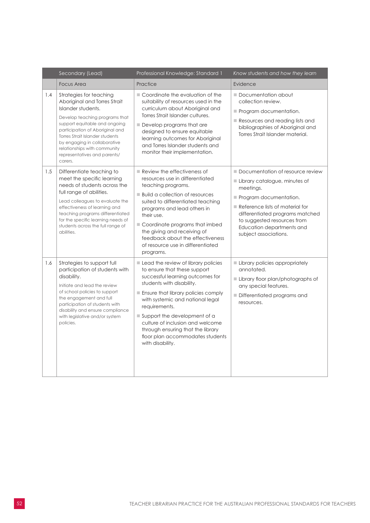|     | Secondary (Lead)                                                                                                                                                                                                                                                                                                                  | Professional Knowledge: Standard 1                                                                                                                                                                                                                                                                                                                                                                               | Know students and how they learn                                                                                                                                                                                                                                    |
|-----|-----------------------------------------------------------------------------------------------------------------------------------------------------------------------------------------------------------------------------------------------------------------------------------------------------------------------------------|------------------------------------------------------------------------------------------------------------------------------------------------------------------------------------------------------------------------------------------------------------------------------------------------------------------------------------------------------------------------------------------------------------------|---------------------------------------------------------------------------------------------------------------------------------------------------------------------------------------------------------------------------------------------------------------------|
|     | <b>Focus Area</b>                                                                                                                                                                                                                                                                                                                 | Practice                                                                                                                                                                                                                                                                                                                                                                                                         | Evidence                                                                                                                                                                                                                                                            |
| 1.4 | Strategies for teaching<br>Aboriginal and Torres Strait<br>Islander students.<br>Develop teaching programs that<br>support equitable and ongoing<br>participation of Aboriginal and<br>Torres Strait Islander students<br>by engaging in collaborative<br>relationships with community<br>representatives and parents/<br>carers. | Coordinate the evaluation of the<br>suitability of resources used in the<br>curriculum about Aboriginal and<br>Torres Strait Islander cultures.<br>Develop programs that are<br>designed to ensure equitable<br>learning outcomes for Aboriginal<br>and Torres Islander students and<br>monitor their implementation.                                                                                            | Documentation about<br>collection review.<br>Program documentation.<br>Resources and reading lists and<br>bibliographies of Aboriginal and<br>Torres Strait Islander material.                                                                                      |
| 1.5 | Differentiate teaching to<br>meet the specific learning<br>needs of students across the<br>full range of abilities.<br>Lead colleagues to evaluate the<br>effectiveness of learning and<br>teaching programs differentiated<br>for the specific learning needs of<br>students across the full range of<br>abilities.              | $\blacksquare$ Review the effectiveness of<br>resources use in differentiated<br>teaching programs.<br><b>Build a collection of resources</b><br>suited to differentiated teaching<br>programs and lead others in<br>their use.<br>Coordinate programs that imbed<br>the giving and receiving of<br>feedback about the effectiveness<br>of resource use in differentiated<br>programs.                           | Documentation of resource review<br>Library catalogue, minutes of<br>meetings.<br>Program documentation.<br>Reference lists of material for<br>differentiated programs matched<br>to suggested resources from<br>Education departments and<br>subject associations. |
| 1.6 | Strategies to support full<br>participation of students with<br>disability.<br>Initiate and lead the review<br>of school policies to support<br>the engagement and full<br>participation of students with<br>disability and ensure compliance<br>with legislative and/or system<br>policies.                                      | Lead the review of library policies<br>to ensure that these support<br>successful learning outcomes for<br>students with disability.<br>Ensure that library policies comply<br>with systemic and national legal<br>requirements.<br>$\blacksquare$ Support the development of a<br>culture of inclusion and welcome<br>through ensuring that the library<br>floor plan accommodates students<br>with disability. | Library policies appropriately<br>annotated.<br>Library floor plan/photographs of<br>any special features.<br>Differentiated programs and<br>resources.                                                                                                             |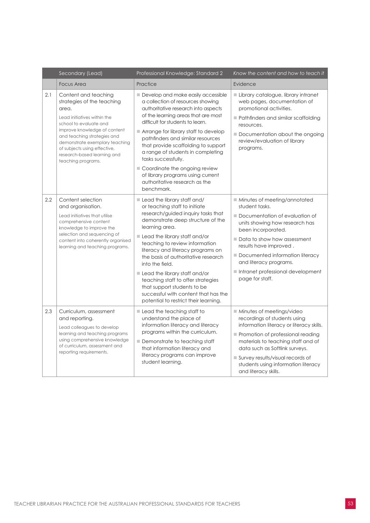|     | Secondary (Lead)                                                                                                                                                                                                                                                                                           | Professional Knowledge: Standard 2                                                                                                                                                                                                                                                                                                                                                                                                                                                                                 | Know the content and how to teach it                                                                                                                                                                                                                                                                                                 |
|-----|------------------------------------------------------------------------------------------------------------------------------------------------------------------------------------------------------------------------------------------------------------------------------------------------------------|--------------------------------------------------------------------------------------------------------------------------------------------------------------------------------------------------------------------------------------------------------------------------------------------------------------------------------------------------------------------------------------------------------------------------------------------------------------------------------------------------------------------|--------------------------------------------------------------------------------------------------------------------------------------------------------------------------------------------------------------------------------------------------------------------------------------------------------------------------------------|
|     | <b>Focus Area</b>                                                                                                                                                                                                                                                                                          | Practice                                                                                                                                                                                                                                                                                                                                                                                                                                                                                                           | Evidence                                                                                                                                                                                                                                                                                                                             |
| 2.1 | Content and teaching<br>strategies of the teaching<br>area.<br>Lead initiatives within the<br>school to evaluate and<br>improve knowledge of content<br>and teaching strategies and<br>demonstrate exemplary teaching<br>of subjects using effective,<br>research-based learning and<br>teaching programs. | Develop and make easily accessible<br>a collection of resources showing<br>authoritative research into aspects<br>of the learning areas that are most<br>difficult for students to learn.<br>Arrange for library staff to develop<br>pathfinders and similar resources<br>that provide scaffolding to support<br>a range of students in completing<br>tasks successfully.<br>Coordinate the ongoing review<br>of library programs using current<br>authoritative research as the<br>benchmark.                     | Library catalogue, library intranet<br>web pages, documentation of<br>promotional activities.<br>Pathfinders and similar scaffolding<br>resources.<br>Documentation about the ongoing<br>review/evaluation of library<br>programs.                                                                                                   |
| 2.2 | Content selection<br>and organisation.<br>Lead initiatives that utilise<br>comprehensive content<br>knowledge to improve the<br>selection and sequencing of<br>content into coherently organised<br>learning and teaching programs.                                                                        | Lead the library staff and/<br>or teaching staff to initiate<br>research/guided inquiry tasks that<br>demonstrate deep structure of the<br>learning area.<br>Lead the library staff and/or<br>teaching to review information<br>literacy and literacy programs on<br>the basis of authoritative research<br>into the field.<br>Lead the library staff and/or<br>teaching staff to offer strategies<br>that support students to be<br>successful with content that has the<br>potential to restrict their learning. | Minutes of meeting/annotated<br>student tasks.<br>Documentation of evaluation of<br>units showing how research has<br>been incorporated.<br>Data to show how assessment<br>results have improved.<br>Documented information literacy<br>and literacy programs.<br>Intranet professional development<br>page for staff.               |
| 2.3 | Curriculum, assessment<br>and reporting.<br>Lead colleagues to develop<br>learning and teaching programs<br>using comprehensive knowledge<br>of curriculum, assessment and<br>reporting requirements.                                                                                                      | $\blacksquare$ Lead the teaching staff to<br>understand the place of<br>information literacy and literacy<br>programs within the curriculum.<br>Demonstrate to teaching staff<br>that information literacy and<br>literacy programs can improve<br>student learning.                                                                                                                                                                                                                                               | $\blacksquare$ Minutes of meetings/video<br>recordings of students using<br>information literacy or literacy skills.<br>Promotion of professional reading<br>materials to teaching staff and of<br>data such as Softlink surveys.<br>Survey results/visual records of<br>students using information literacy<br>and literacy skills. |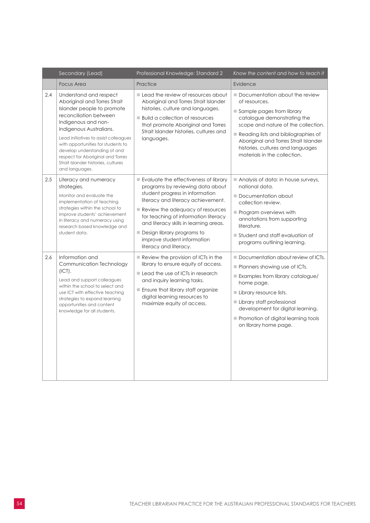|     | Secondary (Lead)                                                                                                                                                                                                                                                                                                                                                              | Professional Knowledge: Standard 2                                                                                                                                                                                                                                                                                                                              | Know the content and how to teach it                                                                                                                                                                                                                                                                    |
|-----|-------------------------------------------------------------------------------------------------------------------------------------------------------------------------------------------------------------------------------------------------------------------------------------------------------------------------------------------------------------------------------|-----------------------------------------------------------------------------------------------------------------------------------------------------------------------------------------------------------------------------------------------------------------------------------------------------------------------------------------------------------------|---------------------------------------------------------------------------------------------------------------------------------------------------------------------------------------------------------------------------------------------------------------------------------------------------------|
|     | <b>Focus Area</b>                                                                                                                                                                                                                                                                                                                                                             | Practice                                                                                                                                                                                                                                                                                                                                                        | Evidence                                                                                                                                                                                                                                                                                                |
| 2.4 | Understand and respect<br>Aboriginal and Torres Strait<br>Islander people to promote<br>reconciliation between<br>Indigenous and non-<br>Indigenous Australians.<br>Lead initiatives to assist colleagues<br>with opportunities for students to<br>develop understanding of and<br>respect for Aboriginal and Torres<br>Strait Islander histories, cultures<br>and languages. | Lead the review of resources about<br>Aboriginal and Torres Strait Islander<br>histories, culture and languages.<br><b>Build a collection of resources</b><br>that promote Aboriginal and Torres<br>Strait Islander histories, cultures and<br>languages.                                                                                                       | Documentation about the review<br>of resources.<br>Sample pages from library<br>catalogue demonstrating the<br>scope and nature of the collection.<br>Reading lists and bibliographies of<br>Aboriginal and Torres Strait Islander<br>histories, cultures and languages<br>materials in the collection. |
| 2.5 | Literacy and numeracy<br>strategies.<br>Monitor and evaluate the<br>implementation of teaching<br>strategies within the school to<br>improve students' achievement<br>in literacy and numeracy using<br>research based knowledge and<br>student data.                                                                                                                         | Evaluate the effectiveness of library<br>programs by reviewing data about<br>student progress in information<br>literacy and literacy achievement.<br>Review the adequacy of resources<br>for teaching of information literacy<br>and literacy skills in learning areas.<br>Design library programs to<br>improve student information<br>literacy and literacy. | Analysis of data: in house surveys,<br>national data.<br>Documentation about<br>collection review.<br>Program overviews with<br>annotations from supporting<br>literature.<br>Student and staff evaluation of<br>programs outlining learning.                                                           |
| 2.6 | Information and<br>Communication Technology<br>(ICT).<br>Lead and support colleagues<br>within the school to select and<br>use ICT with effective teaching<br>strategies to expand learning<br>opportunities and content<br>knowledge for all students.                                                                                                                       | $\blacksquare$ Review the provision of ICTs in the<br>library to ensure equity of access.<br>Lead the use of ICTs in research<br>and inquiry learning tasks.<br>Ensure that library staff organize<br>digital learning resources to<br>maximize equity of access.                                                                                               | Documentation about review of ICTs.<br>Planners showing use of ICTs.<br>Examples from library catalogue/<br>home page.<br>Library resource lists.<br>Library staff professional<br>development for digital learning.<br>Promotion of digital learning tools<br>on library home page.                    |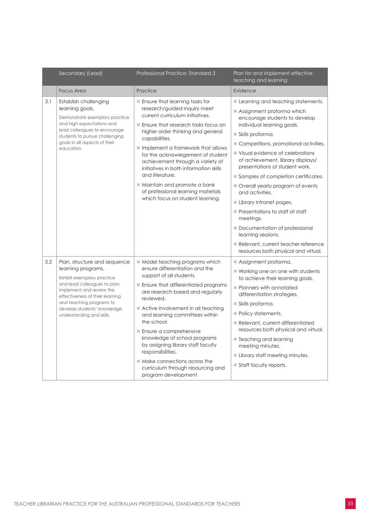|     | Secondary (Lead)                                                                                                                                                                                                                                                         | Professional Practice: Standard 3                                                                                                                                                                                                                                                                                                                                                                                                                                                                                                                                      | Plan for and implement effective<br>teaching and learning                                                                                                                                                                                                                                                                                                                                                                                                                                                                                                                                                                                         |
|-----|--------------------------------------------------------------------------------------------------------------------------------------------------------------------------------------------------------------------------------------------------------------------------|------------------------------------------------------------------------------------------------------------------------------------------------------------------------------------------------------------------------------------------------------------------------------------------------------------------------------------------------------------------------------------------------------------------------------------------------------------------------------------------------------------------------------------------------------------------------|---------------------------------------------------------------------------------------------------------------------------------------------------------------------------------------------------------------------------------------------------------------------------------------------------------------------------------------------------------------------------------------------------------------------------------------------------------------------------------------------------------------------------------------------------------------------------------------------------------------------------------------------------|
|     | <b>Focus Area</b>                                                                                                                                                                                                                                                        | Practice                                                                                                                                                                                                                                                                                                                                                                                                                                                                                                                                                               | Evidence                                                                                                                                                                                                                                                                                                                                                                                                                                                                                                                                                                                                                                          |
| 3.1 | Establish challenging<br>learning goals.<br>Demonstrate exemplary practice<br>and high expectations and<br>lead colleagues to encourage<br>students to pursue challenging<br>goals in all aspects of their<br>education.                                                 | $\blacksquare$ Ensure that learning tasks for<br>research/guided inquiry meet<br>current curriculum initiatives.<br>Ensure that research tasks focus on<br>higher order thinking and general<br>capabilities.<br>Implement a framework that allows<br>for the acknowlegement of student<br>achievement through a variety of<br>initiatives in both information skills<br>and literature.<br>Maintain and promote a bank<br>of professional learning materials<br>which focus on student learning.                                                                      | Learning and teaching statements.<br>Assignment proforma which<br>encourage students to develop<br>individual learning goals.<br>$\blacksquare$ Skills proforma.<br>Competitions, promotional activities.<br>Visual evidence of celebrations<br>of achievement, library displays/<br>presentations of student work.<br>Samples of completion certificates.<br>Overall yearly program of events<br>and activities.<br>Library intranet pages.<br>$\blacksquare$ Presentations to staff at staff<br>meetings.<br>Documentation of professional<br>learning sessions.<br>Relevant, current teacher reference<br>resources both physical and virtual. |
| 3.2 | Plan, structure and sequence<br>learning programs.<br>Exhibit exemplary practice<br>and lead colleagues to plan,<br>implement and review the<br>effectiveness of their learning<br>and teaching programs to<br>develop students' knowledge,<br>understanding and skills. | $\blacksquare$ Model teaching programs which<br>ensure differentiation and the<br>support of all students.<br>$\blacksquare$ Ensure that differentiated programs<br>are research based and regularly<br>reviewed.<br>$\blacksquare$ Active involvement in all teaching<br>and learning committees within<br>the school.<br>$\blacksquare$ Ensure a comprehensive<br>knowledge of school programs<br>by assigning library staff faculty<br>responsibilities.<br>$\blacksquare$ Make connections across the<br>curriculum through resourcing and<br>program development. | $\blacksquare$ Assignment proforma.<br>■ Working one on one with students<br>to achieve their learning goals.<br>Planners with annotated<br>differentiation strategies.<br>Skills proforma.<br>Policy statements.<br>Relevant, current differentiated<br>resources both physical and virtual.<br>■ Teaching and learning<br>meeting minutes.<br>Library staff meeting minutes.<br>Staff faculty reports.                                                                                                                                                                                                                                          |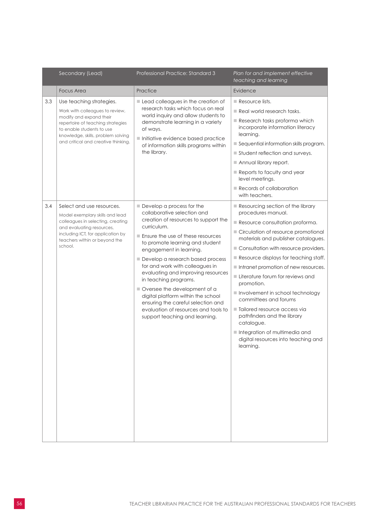|     | Secondary (Lead)                                                                                                                                                                                                                      | Professional Practice: Standard 3                                                                                                                                                                                                                                                                                                                                                                                                                                                                                                              | Plan for and implement effective<br>teaching and learning                                                                                                                                                                                                                                                                                                                                                                                                                                                                                                                                                 |
|-----|---------------------------------------------------------------------------------------------------------------------------------------------------------------------------------------------------------------------------------------|------------------------------------------------------------------------------------------------------------------------------------------------------------------------------------------------------------------------------------------------------------------------------------------------------------------------------------------------------------------------------------------------------------------------------------------------------------------------------------------------------------------------------------------------|-----------------------------------------------------------------------------------------------------------------------------------------------------------------------------------------------------------------------------------------------------------------------------------------------------------------------------------------------------------------------------------------------------------------------------------------------------------------------------------------------------------------------------------------------------------------------------------------------------------|
|     | <b>Focus Area</b>                                                                                                                                                                                                                     | Practice                                                                                                                                                                                                                                                                                                                                                                                                                                                                                                                                       | Evidence                                                                                                                                                                                                                                                                                                                                                                                                                                                                                                                                                                                                  |
| 3.3 | Use teaching strategies.<br>Work with colleagues to review,<br>modify and expand their<br>repertoire of teaching strategies<br>to enable students to use<br>knowledge, skills, problem solving<br>and critical and creative thinking. | Lead colleagues in the creation of<br>research tasks which focus on real<br>world inquiry and allow students to<br>demonstrate learning in a variety<br>of ways.<br>Initiative evidence based practice<br>of information skills programs within<br>the library.                                                                                                                                                                                                                                                                                | $\blacksquare$ Resource lists.<br>$\blacksquare$ Real world research tasks.<br>Research tasks proforma which<br>incorporate information literacy<br>learning.<br>Sequential information skills program.<br>Student reflection and surveys.<br>Annual library report.<br>Reports to faculty and year<br>level meetings.<br>Records of collaboration<br>with teachers.                                                                                                                                                                                                                                      |
| 3.4 | Select and use resources.<br>Model exemplary skills and lead<br>colleagues in selecting, creating<br>and evaluating resources,<br>including ICT, for application by<br>teachers within or beyond the<br>school.                       | Develop a process for the<br>collaborative selection and<br>creation of resources to support the<br>curriculum.<br>Ensure the use of these resources<br>to promote learning and student<br>engagement in learning.<br>Develop a research based process<br>for and work with colleagues in<br>evaluating and improving resources<br>in teaching programs.<br>Oversee the development of a<br>digital platform within the school<br>ensuring the careful selection and<br>evaluation of resources and tools to<br>support teaching and learning. | Resourcing section of the library<br>procedures manual.<br>Resource consultation proforma.<br>Circulation of resource promotional<br>materials and publisher catalogues.<br>Consultation with resource providers.<br>$\blacksquare$ Resource displays for teaching staff.<br>Intranet promotion of new resources.<br><b>Literature forum for reviews and</b><br>promotion.<br>Involvement in school technology<br>committees and forums<br>Tailored resource access via<br>pathfinders and the library<br>catalogue.<br>Integration of multimedia and<br>digital resources into teaching and<br>learning. |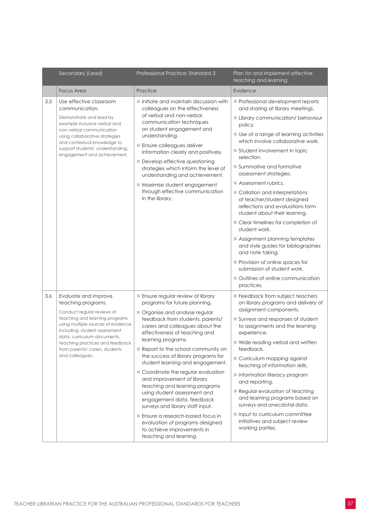|     | Secondary (Lead)                                                                                                                                                                                                                                                                                         | Professional Practice: Standard 3                                                                                                                                                                                                                                                                                                                                                                                                                                                                                                                                                                                                                                                                   | Plan for and implement effective<br>teaching and learning                                                                                                                                                                                                                                                                                                                                                                                                                                                                                                                                                                                                                                                                                              |
|-----|----------------------------------------------------------------------------------------------------------------------------------------------------------------------------------------------------------------------------------------------------------------------------------------------------------|-----------------------------------------------------------------------------------------------------------------------------------------------------------------------------------------------------------------------------------------------------------------------------------------------------------------------------------------------------------------------------------------------------------------------------------------------------------------------------------------------------------------------------------------------------------------------------------------------------------------------------------------------------------------------------------------------------|--------------------------------------------------------------------------------------------------------------------------------------------------------------------------------------------------------------------------------------------------------------------------------------------------------------------------------------------------------------------------------------------------------------------------------------------------------------------------------------------------------------------------------------------------------------------------------------------------------------------------------------------------------------------------------------------------------------------------------------------------------|
|     | <b>Focus Area</b>                                                                                                                                                                                                                                                                                        | Practice                                                                                                                                                                                                                                                                                                                                                                                                                                                                                                                                                                                                                                                                                            | Evidence                                                                                                                                                                                                                                                                                                                                                                                                                                                                                                                                                                                                                                                                                                                                               |
| 3.5 | Use effective classroom<br>communication.<br>Demonstrate and lead by<br>example inclusive verbal and<br>non-verbal communication<br>using collaborative strategies<br>and contextual knowledge to<br>support students' understanding,<br>engagement and achievement.                                     | $\blacksquare$ Initiate and maintain discussion with<br>colleagues on the effectiveness<br>of verbal and non-verbal<br>communication techniques<br>on student engagement and<br>understanding.<br>Ensure colleagues deliver<br>information clearly and positively.<br>Develop effective questioning<br>strategies which inform the level of<br>understanding and achievement.<br>Maximise student engagement<br>through effective communication<br>in the library.                                                                                                                                                                                                                                  | Professional development reports<br>and sharing at library meetings.<br>Library communication/ behaviour<br>policy.<br>Use of a range of learning activities<br>which involve collaborative work.<br>Student involvement in topic<br>selection.<br>Summative and formative<br>assessment strategies.<br>$\blacksquare$ Assessment rubrics.<br>Collation and interpretations<br>of teacher/student designed<br>reflections and evaluations form<br>student about their learning.<br>Clear timelines for completion of<br>student work.<br>Assignment planning templates<br>and style guides for bibliographies<br>and note taking.<br>Provision of online spaces for<br>submission of student work.<br>■ Outlines of online communication<br>practices. |
| 3.6 | Evaluate and improve<br>teaching programs.<br>Conduct regular reviews of<br>teaching and learning programs<br>using multiple sources of evidence<br>including: student assessment<br>data, curriculum documents,<br>teaching practices and feedback<br>from parents/ carers, students<br>and colleagues. | Ensure regular review of library<br>programs for future planning.<br>Organise and analyse regular<br>feedback from students, parents/<br>carers and colleagues about the<br>effectiveness of teaching and<br>learning programs.<br>$\blacksquare$ Report to the school community on<br>the success of library programs for<br>student learning and engagement.<br>Coordinate the regular evaluation<br>and improvement of library<br>teaching and learning programs<br>using student assessment and<br>engagement data, feedback<br>surveys and library staff input.<br>Ensure a research-based focus in<br>evaluation of programs designed<br>to achieve improvements in<br>teaching and learning. | Feedback from subject teachers<br>on library programs and delivery of<br>assignment components.<br>Surveys and responses of student<br>to assignments and the learning<br>experience.<br>■ Wide reading verbal and written<br>feedback.<br>Curriculum mapping against<br>teaching of information skills.<br>Information literacy program<br>and reporting.<br>Regular evaluation of teaching<br>and learning programs based on<br>surveys and anecdotal data.<br>Input to curriculum committee<br>initiatives and subject review<br>working parties.                                                                                                                                                                                                   |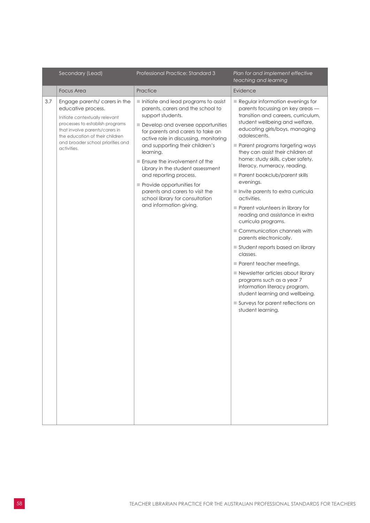|     | Secondary (Lead)                                                                                                                                                                                                                                  | Professional Practice: Standard 3                                                                                                                                                                                                                                                                                                                                                                                                                                                                              | Plan for and implement effective<br>teaching and learning                                                                                                                                                                                                                                                                                                                                                                                                                                                                                                                                                                                                                                                                                                                                                                                                                                        |
|-----|---------------------------------------------------------------------------------------------------------------------------------------------------------------------------------------------------------------------------------------------------|----------------------------------------------------------------------------------------------------------------------------------------------------------------------------------------------------------------------------------------------------------------------------------------------------------------------------------------------------------------------------------------------------------------------------------------------------------------------------------------------------------------|--------------------------------------------------------------------------------------------------------------------------------------------------------------------------------------------------------------------------------------------------------------------------------------------------------------------------------------------------------------------------------------------------------------------------------------------------------------------------------------------------------------------------------------------------------------------------------------------------------------------------------------------------------------------------------------------------------------------------------------------------------------------------------------------------------------------------------------------------------------------------------------------------|
|     | <b>Focus Area</b>                                                                                                                                                                                                                                 | Practice                                                                                                                                                                                                                                                                                                                                                                                                                                                                                                       | Evidence                                                                                                                                                                                                                                                                                                                                                                                                                                                                                                                                                                                                                                                                                                                                                                                                                                                                                         |
| 3.7 | Engage parents/ carers in the<br>educative process.<br>Initiate contextually relevant<br>processes to establish programs<br>that involve parents/carers in<br>the education of their children<br>and broader school priorities and<br>activities. | Initiate and lead programs to assist<br>parents, carers and the school to<br>support students.<br>Develop and oversee opportunities<br>for parents and carers to take an<br>active role in discussing, monitoring<br>and supporting their children's<br>learning.<br>$\blacksquare$ Ensure the involvement of the<br>Library in the student assessment<br>and reporting process.<br>Provide opportunities for<br>parents and carers to visit the<br>school library for consultation<br>and information giving. | $\blacksquare$ Regular information evenings for<br>parents focussing on key areas -<br>transition and careers, curriculum,<br>student wellbeing and welfare,<br>educating girls/boys, managing<br>adolescents.<br>Parent programs targeting ways<br>they can assist their children at<br>home: study skills, cyber safety,<br>literacy, numeracy, reading.<br>Parent bookclub/parent skills<br>evenings.<br>Invite parents to extra curricula<br>activities.<br>Parent volunteers in library for<br>reading and assistance in extra<br>curricula programs.<br>Communication channels with<br>parents electronically.<br>Student reports based on library<br>classes.<br>Parent teacher meetings.<br>Newsletter articles about library<br>programs such as a year 7<br>information literacy program,<br>student learning and wellbeing.<br>Surveys for parent reflections on<br>student learning. |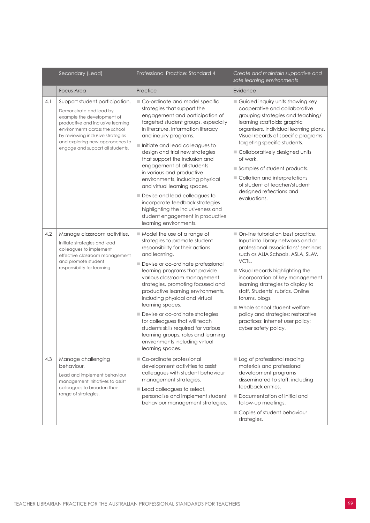|     | Secondary (Lead)                                                                                                                                                                                                                                                           | Professional Practice: Standard 4                                                                                                                                                                                                                                                                                                                                                                                                                                                                                                                                                                                      | Create and maintain supportive and<br>safe learning environments                                                                                                                                                                                                                                                                                                                                                                                                   |
|-----|----------------------------------------------------------------------------------------------------------------------------------------------------------------------------------------------------------------------------------------------------------------------------|------------------------------------------------------------------------------------------------------------------------------------------------------------------------------------------------------------------------------------------------------------------------------------------------------------------------------------------------------------------------------------------------------------------------------------------------------------------------------------------------------------------------------------------------------------------------------------------------------------------------|--------------------------------------------------------------------------------------------------------------------------------------------------------------------------------------------------------------------------------------------------------------------------------------------------------------------------------------------------------------------------------------------------------------------------------------------------------------------|
|     | <b>Focus Area</b>                                                                                                                                                                                                                                                          | Practice                                                                                                                                                                                                                                                                                                                                                                                                                                                                                                                                                                                                               | Evidence                                                                                                                                                                                                                                                                                                                                                                                                                                                           |
| 4.1 | Support student participation.<br>Demonstrate and lead by<br>example the development of<br>productive and inclusive learning<br>environments across the school<br>by reviewing inclusive strategies<br>and exploring new approaches to<br>engage and support all students. | Co-ordinate and model specific<br>strategies that support the<br>engagement and participation of<br>targeted student groups, especially<br>in literature, information literacy<br>and inquiry programs.<br>Initiate and lead colleagues to<br>design and trial new strategies<br>that support the inclusion and<br>engagement of all students<br>in various and productive<br>environments, including physical<br>and virtual learning spaces.<br>Devise and lead colleagues to<br>incorporate feedback strategies<br>highlighting the inclusiveness and<br>student engagement in productive<br>learning environments. | Guided inquiry units showing key<br>cooperative and collaborative<br>grouping strategies and teaching/<br>learning scaffolds: graphic<br>organisers, individual learning plans.<br>Visual records of specific programs<br>targeting specific students.<br>■ Collaboratively designed units<br>of work.<br>Samples of student products.<br>Collation and interpretations<br>of student of teacher/student<br>designed reflections and<br>evaluations.               |
| 4.2 | Manage classroom activities.<br>Initiate strategies and lead<br>colleagues to implement<br>effective classroom management<br>and promote student<br>responsibility for learning.                                                                                           | Model the use of a range of<br>strategies to promote student<br>responsibility for their actions<br>and learning.<br>Devise or co-ordinate professional<br>learning programs that provide<br>various classroom management<br>strategies, promoting focused and<br>productive learning environments,<br>including physical and virtual<br>learning spaces.<br>Devise or co-ordinate strategies<br>for colleagues that will teach<br>students skills required for various<br>learning groups, roles and learning<br>environments including virtual<br>learning spaces.                                                   | On-line tutorial on best practice.<br>Input into library networks and or<br>professional associations' seminars<br>such as ALIA Schools, ASLA, SLAV,<br>VCTL.<br>Visual records highlighting the<br>incorporation of key management<br>learning strategies to display to<br>staff. Students' rubrics. Online<br>forums, blogs.<br>■ Whole school student welfare<br>policy and strategies: restorative<br>practices; internet user policy;<br>cyber safety policy. |
| 4.3 | Manage challenging<br>behaviour.<br>Lead and implement behaviour<br>management initiatives to assist<br>colleagues to broaden their<br>range of strategies.                                                                                                                | Co-ordinate professional<br>development activities to assist<br>colleagues with student behaviour<br>management strategies.<br>Lead colleagues to select,<br>personalise and implement student<br>behaviour management strategies.                                                                                                                                                                                                                                                                                                                                                                                     | Log of professional reading<br>materials and professional<br>development programs<br>disseminated to staff, including<br>feedback entries.<br>Documentation of initial and<br>follow-up meetings.<br>Copies of student behaviour<br>strategies.                                                                                                                                                                                                                    |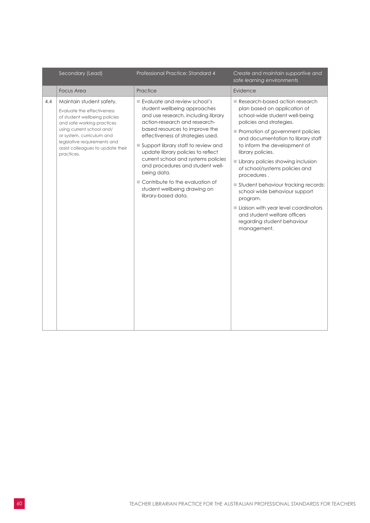|     | Secondary (Lead)                                                                                                                                                                                                                                                   | Professional Practice: Standard 4                                                                                                                                                                                                                                                                                                                                                                                                                                            | Create and maintain supportive and<br>safe learning environments                                                                                                                                                                                                                                                                                                                                                                                                                                                                                             |
|-----|--------------------------------------------------------------------------------------------------------------------------------------------------------------------------------------------------------------------------------------------------------------------|------------------------------------------------------------------------------------------------------------------------------------------------------------------------------------------------------------------------------------------------------------------------------------------------------------------------------------------------------------------------------------------------------------------------------------------------------------------------------|--------------------------------------------------------------------------------------------------------------------------------------------------------------------------------------------------------------------------------------------------------------------------------------------------------------------------------------------------------------------------------------------------------------------------------------------------------------------------------------------------------------------------------------------------------------|
|     | <b>Focus Area</b>                                                                                                                                                                                                                                                  | Practice                                                                                                                                                                                                                                                                                                                                                                                                                                                                     | Evidence                                                                                                                                                                                                                                                                                                                                                                                                                                                                                                                                                     |
| 4.4 | Maintain student safety.<br>Evaluate the effectiveness<br>of student wellbeing policies<br>and safe working practices<br>using current school and/<br>or system, curriculum and<br>legislative requirements and<br>assist colleagues to update their<br>practices. | Evaluate and review school's<br>student wellbeing approaches<br>and use research, including library<br>action-research and research-<br>based resources to improve the<br>effectiveness of strategies used.<br>Support library staff to review and<br>update library policies to reflect<br>current school and systems policies<br>and procedures and student well-<br>being data.<br>Contribute to the evaluation of<br>student wellbeing drawing on<br>library-based data. | Research-based action research<br>plan based on application of<br>school-wide student well-being<br>policies and strategies.<br>Promotion of government policies<br>and documentation to library staff<br>to inform the development of<br>library policies.<br>Library policies showing inclusion<br>of school/systems policies and<br>procedures.<br>Student behaviour tracking records:<br>school wide behaviour support<br>program.<br>Liaison with year level coordinators<br>and student welfare officers<br>regarding student behaviour<br>management. |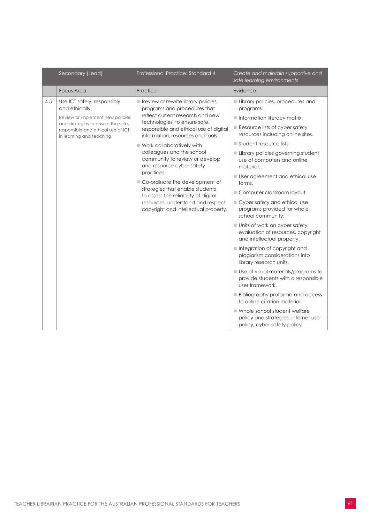|     | Secondary (Lead)                                                                                                                                                                           | Professional Practice: Standard 4                                                                                                                                                                                                                                                                                                                                                                                                                                                                                                                          | Create and maintain supportive and<br>safe learning environments                                                                                                                                                                                                                                                                                                                                                                                                                                                                                                                                                                                                                                                                                                                                                                                                                                                                                                                    |
|-----|--------------------------------------------------------------------------------------------------------------------------------------------------------------------------------------------|------------------------------------------------------------------------------------------------------------------------------------------------------------------------------------------------------------------------------------------------------------------------------------------------------------------------------------------------------------------------------------------------------------------------------------------------------------------------------------------------------------------------------------------------------------|-------------------------------------------------------------------------------------------------------------------------------------------------------------------------------------------------------------------------------------------------------------------------------------------------------------------------------------------------------------------------------------------------------------------------------------------------------------------------------------------------------------------------------------------------------------------------------------------------------------------------------------------------------------------------------------------------------------------------------------------------------------------------------------------------------------------------------------------------------------------------------------------------------------------------------------------------------------------------------------|
|     | <b>Focus Area</b>                                                                                                                                                                          | Practice                                                                                                                                                                                                                                                                                                                                                                                                                                                                                                                                                   | Evidence                                                                                                                                                                                                                                                                                                                                                                                                                                                                                                                                                                                                                                                                                                                                                                                                                                                                                                                                                                            |
| 4.5 | Use ICT safely, responsibly<br>and ethically.<br>Review or implement new policies<br>and strategies to ensure the safe,<br>responsible and ethical use of ICT<br>in learning and teaching. | Review or rewrite library policies,<br>programs and procedures that<br>reflect current research and new<br>technologies, to ensure safe,<br>responsible and ethical use of digital<br>information, resources and tools.<br>■ Work collaboratively with<br>colleagues and the school<br>community to review or develop<br>and resource cyber safety<br>practices.<br>Co-ordinate the development of<br>strategies that enable students<br>to assess the reliability of digital<br>resources, understand and respect<br>copyright and intellectual property. | Library policies, procedures and<br>programs.<br>$\blacksquare$ Information literacy matrix.<br>$\blacksquare$ Resource lists of cyber safety<br>resources including online sites.<br>$\blacksquare$ Student resource lists.<br>Library policies governing student<br>use of computers and online<br>materials.<br><b>User agreement and ethical use</b><br>forms.<br>Computer classroom layout.<br>■ Cyber safety and ethical use<br>programs provided for whole<br>school community.<br>■ Units of work on cyber safety,<br>evaluation of resources, copyright<br>and intellectual property.<br>Integration of copyright and<br>plagiarism considerations into<br>library research units.<br>■ Use of visual materials/programs to<br>provide students with a responsible<br>user framework.<br><b>Bibliography proforma and access</b><br>to online citation material.<br>■ Whole school student welfare<br>policy and strategies: internet user<br>policy; cyber safety policy. |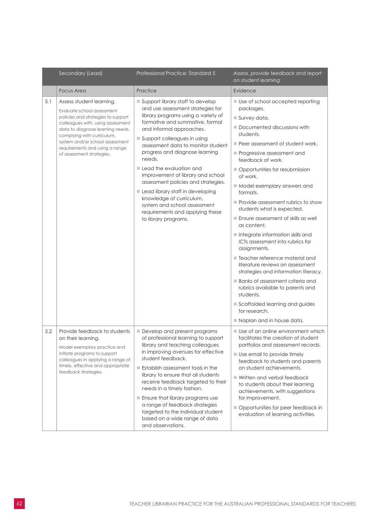|     | Secondary (Lead)                                                                                                                                                                                                                                                                                      | Professional Practice: Standard 5                                                                                                                                                                                                                                                                                                                                                                                                                                                                                                                                | Assess, provide feedback and report<br>on student learning                                                                                                                                                                                                                                                                                                                                                                                                                                                                                                                                                                                                                                                                                                                                                             |
|-----|-------------------------------------------------------------------------------------------------------------------------------------------------------------------------------------------------------------------------------------------------------------------------------------------------------|------------------------------------------------------------------------------------------------------------------------------------------------------------------------------------------------------------------------------------------------------------------------------------------------------------------------------------------------------------------------------------------------------------------------------------------------------------------------------------------------------------------------------------------------------------------|------------------------------------------------------------------------------------------------------------------------------------------------------------------------------------------------------------------------------------------------------------------------------------------------------------------------------------------------------------------------------------------------------------------------------------------------------------------------------------------------------------------------------------------------------------------------------------------------------------------------------------------------------------------------------------------------------------------------------------------------------------------------------------------------------------------------|
|     | <b>Focus Area</b>                                                                                                                                                                                                                                                                                     | Practice                                                                                                                                                                                                                                                                                                                                                                                                                                                                                                                                                         | Evidence                                                                                                                                                                                                                                                                                                                                                                                                                                                                                                                                                                                                                                                                                                                                                                                                               |
| 5.1 | Assess student learning.<br>Evaluate school assessment<br>policies and strategies to support<br>colleagues with: using assessment<br>data to diagnose learning needs,<br>complying with curriculum,<br>system and/or school assessment<br>requirements and using a range<br>of assessment strategies. | ■ Support library staff to develop<br>and use assessment strategies for<br>library programs using a variety of<br>formative and summative, formal<br>and informal approaches.<br>Support colleagues in using<br>assessment data to monitor student<br>progress and diagnose learning<br>needs.<br>Lead the evaluation and<br>improvement of library and school<br>assessment policies and strategies.<br>Lead library staff in developing<br>knowledge of curriculum,<br>system and school assessment<br>requirements and applying these<br>to library programs. | Use of school accepted reporting<br>packages.<br>$\blacksquare$ Survey data.<br>Documented discussions with<br>students.<br>Peer assessment of student work.<br>Progressive assessment and<br>feedback of work.<br>Opportunities for resubmission<br>of work.<br>Model exemplary answers and<br>formats.<br>Provide assessment rubrics to show<br>students what is expected.<br>Ensure assessment of skills as well<br>as content.<br>Integrate information skills and<br>ICTs assessment into rubrics for<br>assignments.<br>■ Teacher reference material and<br>literature reviews on assessment<br>strategies and information literacy.<br><b>Banks of assessment criteria and</b><br>rubrics available to parents and<br>students.<br>Scaffolded learning and guides<br>for research.<br>Naplan and in house data. |
| 5.2 | Provide feedback to students<br>on their learning.<br>Model exemplary practice and<br>initiate programs to support<br>colleagues in applying a range of<br>timely, effective and appropriate<br>feedback strategies.                                                                                  | Develop and present programs<br>of professional learning to support<br>library and teaching colleagues<br>in improving avenues for effective<br>student feedback.<br><b>Establish assessment tools in the</b><br>library to ensure that all students<br>receive feedback targeted to their<br>needs in a timely fashion.<br>Ensure that library programs use<br>a range of feedback strategies<br>targeted to the individual student<br>based on a wide range of data<br>and observations.                                                                       | ■ Use of an online environment which<br>facilitates the creation of student<br>portfolios and assessment records.<br>Use email to provide timely<br>feedback to students and parents<br>on student achievements.<br>■ Written and verbal feedback<br>to students about their learning<br>achievements, with suggestions<br>for improvement.<br>Opportunities for peer feedback in<br>evaluation of learning activities.                                                                                                                                                                                                                                                                                                                                                                                                |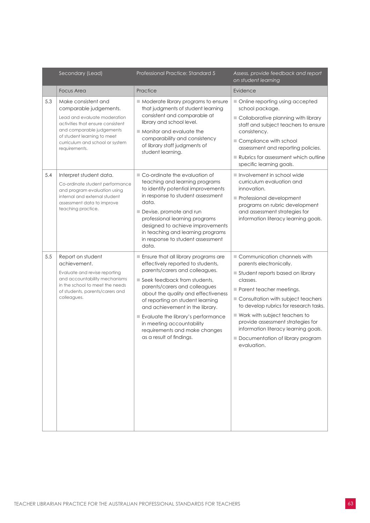|     | Secondary (Lead)                                                                                                                                                                                                                   | Professional Practice: Standard 5                                                                                                                                                                                                                                                                                                                                                                                          | Assess, provide feedback and report<br>on student learning                                                                                                                                                                                                                                                                                                                          |
|-----|------------------------------------------------------------------------------------------------------------------------------------------------------------------------------------------------------------------------------------|----------------------------------------------------------------------------------------------------------------------------------------------------------------------------------------------------------------------------------------------------------------------------------------------------------------------------------------------------------------------------------------------------------------------------|-------------------------------------------------------------------------------------------------------------------------------------------------------------------------------------------------------------------------------------------------------------------------------------------------------------------------------------------------------------------------------------|
|     | <b>Focus Area</b>                                                                                                                                                                                                                  | Practice                                                                                                                                                                                                                                                                                                                                                                                                                   | Evidence                                                                                                                                                                                                                                                                                                                                                                            |
| 5.3 | Make consistent and<br>comparable judgements.<br>Lead and evaluate moderation<br>activities that ensure consistent<br>and comparable judgements<br>of student learning to meet<br>curriculum and school or system<br>requirements. | Moderate library programs to ensure<br>that judgments of student learning<br>consistent and comparable at<br>library and school level.<br>Monitor and evaluate the<br>comparability and consistency<br>of library staff judgments of<br>student learning.                                                                                                                                                                  | Online reporting using accepted<br>school package.<br>Collaborative planning with library<br>staff and subject teachers to ensure<br>consistency.<br>Compliance with school<br>assessment and reporting policies.<br>Rubrics for assessment which outline<br>specific learning goals.                                                                                               |
| 5.4 | Interpret student data.<br>Co-ordinate student performance<br>and program evaluation using<br>internal and external student<br>assessment data to improve<br>teaching practice.                                                    | ■ Co-ordinate the evaluation of<br>teaching and learning programs<br>to identify potential improvements<br>in response to student assessment<br>data.<br>Devise, promote and run<br>professional learning programs<br>designed to achieve improvements<br>in teaching and learning programs<br>in response to student assessment<br>data.                                                                                  | Involvement in school wide<br>curriculum evaluation and<br>innovation.<br>Professional development<br>programs on rubric development<br>and assessment strategies for<br>information literacy learning goals.                                                                                                                                                                       |
| 5.5 | Report on student<br>achievement.<br>Evaluate and revise reporting<br>and accountability mechanisms<br>in the school to meet the needs<br>of students, parents/carers and<br>colleagues.                                           | Ensure that all library programs are<br>effectively reported to students,<br>parents/carers and colleagues.<br>Seek feedback from students,<br>parents/carers and colleagues<br>about the quality and effectiveness<br>of reporting on student learning<br>and achievement in the library.<br>Evaluate the library's performance<br>in meeting accountability<br>requirements and make changes<br>as a result of findings. | Communication channels with<br>parents electronically.<br>Student reports based on library<br>classes.<br>Parent teacher meetings.<br>Consultation with subject teachers<br>to develop rubrics for research tasks.<br>Work with subject teachers to<br>provide assessment strategies for<br>information literacy learning goals.<br>Documentation of library program<br>evaluation. |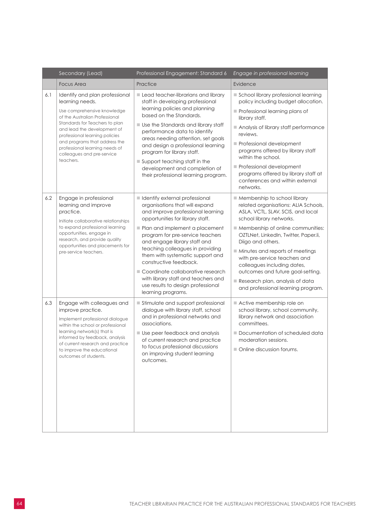|     | Secondary (Lead)                                                                                                                                                                                                                        | Professional Engagement: Standard 6                                                                                                                                                                                                                                                   | Engage in professional learning                                                                                                                                                                                                                                             |
|-----|-----------------------------------------------------------------------------------------------------------------------------------------------------------------------------------------------------------------------------------------|---------------------------------------------------------------------------------------------------------------------------------------------------------------------------------------------------------------------------------------------------------------------------------------|-----------------------------------------------------------------------------------------------------------------------------------------------------------------------------------------------------------------------------------------------------------------------------|
|     | <b>Focus Area</b>                                                                                                                                                                                                                       | Practice                                                                                                                                                                                                                                                                              | Evidence                                                                                                                                                                                                                                                                    |
| 6.1 | Identify and plan professional<br>learning needs.                                                                                                                                                                                       | Lead teacher-librarians and library<br>staff in developing professional<br>learning policies and planning<br>based on the Standards.                                                                                                                                                  | School library professional learning<br>policy including budget allocation.                                                                                                                                                                                                 |
|     | Use comprehensive knowledge<br>of the Australian Professional                                                                                                                                                                           |                                                                                                                                                                                                                                                                                       | Professional learning plans of<br>library staff.                                                                                                                                                                                                                            |
|     | Standards for Teachers to plan<br>and lead the development of<br>professional learning policies                                                                                                                                         | Use the Standards and library staff<br>performance data to identify                                                                                                                                                                                                                   | Analysis of library staff performance<br>reviews.                                                                                                                                                                                                                           |
|     | and programs that address the<br>professional learning needs of<br>colleagues and pre-service                                                                                                                                           | areas needing attention, set goals<br>and design a professional learning<br>program for library staff.                                                                                                                                                                                | Professional development<br>programs offered by library staff<br>within the school.                                                                                                                                                                                         |
|     | teachers.                                                                                                                                                                                                                               | Support teaching staff in the<br>development and completion of<br>their professional learning program.                                                                                                                                                                                | Professional development<br>programs offered by library staff at<br>conferences and within external<br>networks.                                                                                                                                                            |
| 6.2 | Engage in professional<br>learning and improve<br>practice.<br>Initiate collaborative relationships<br>to expand professional learning<br>opportunities, engage in<br>research, and provide quality<br>opportunities and placements for | I Identify external professional<br>organisations that will expand<br>and improve professional learning<br>opportunities for library staff.<br>Plan and implement a placement<br>program for pre-service teachers<br>and engage library staff and<br>teaching colleagues in providing | Membership to school library<br>related organisations: ALIA Schools,<br>ASLA, VCTL, SLAV, SCIS, and local<br>school library networks.<br>Membership of online communities:<br>OZTLNet, LinkedIn, Twitter, Paper.li,<br>Diigo and others.<br>Minutes and reports of meetings |
|     | pre-service teachers.                                                                                                                                                                                                                   | them with systematic support and<br>constructive feedback.<br>■ Coordinate collaborative research<br>with library staff and teachers and<br>use results to design professional<br>learning programs.                                                                                  | with pre-service teachers and<br>colleagues including dates,<br>outcomes and future goal-setting.<br>Research plan, analysis of data<br>and professional learning program.                                                                                                  |
| 6.3 | Engage with colleagues and<br>improve practice.<br>Implement professional dialogue<br>within the school or professional                                                                                                                 | Stimulate and support professional<br>dialogue with library staff, school<br>and in professional networks and<br>associations.                                                                                                                                                        | Active membership role on<br>school library, school community,<br>library network and association<br>committees.                                                                                                                                                            |
|     | learning network(s) that is<br>informed by feedback, analysis<br>of current research and practice<br>to improve the educational<br>outcomes of students.                                                                                | Use peer feedback and analysis<br>of current research and practice<br>to focus professional discussions<br>on improving student learning<br>outcomes.                                                                                                                                 | Documentation of scheduled data<br>moderation sessions.<br>Online discussion forums.                                                                                                                                                                                        |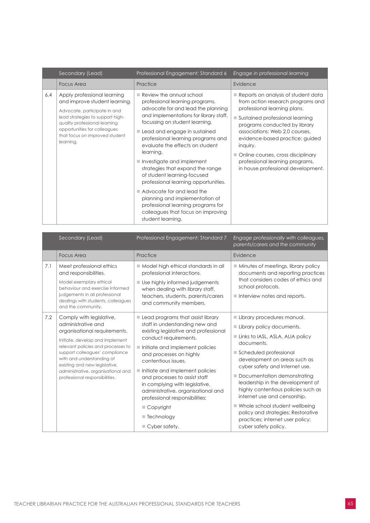|     | Secondary (Lead)                                                                                                                                                                                                                                 | Professional Engagement: Standard 6                                                                                                                                                                                                                                                                                                                                                                                                                                                                                                                                                                         | Engage in professional learning                                                                                                                                                                                                                                                                                                                                                               |
|-----|--------------------------------------------------------------------------------------------------------------------------------------------------------------------------------------------------------------------------------------------------|-------------------------------------------------------------------------------------------------------------------------------------------------------------------------------------------------------------------------------------------------------------------------------------------------------------------------------------------------------------------------------------------------------------------------------------------------------------------------------------------------------------------------------------------------------------------------------------------------------------|-----------------------------------------------------------------------------------------------------------------------------------------------------------------------------------------------------------------------------------------------------------------------------------------------------------------------------------------------------------------------------------------------|
|     | <b>Focus Area</b>                                                                                                                                                                                                                                | Practice                                                                                                                                                                                                                                                                                                                                                                                                                                                                                                                                                                                                    | Evidence                                                                                                                                                                                                                                                                                                                                                                                      |
| 6.4 | Apply professional learning<br>and improve student learning.<br>Advocate, participate in and<br>lead strategies to support high-<br>quality professional learning<br>opportunities for colleagues<br>that focus on improved student<br>learning. | Review the annual school<br>professional learning programs,<br>advocate for and lead the planning<br>and implementations for library staff,<br>focussing on student learning.<br>Lead and engage in sustained<br>professional learning programs and<br>evaluate the effects on student<br>learning.<br>Investigate and implement<br>strategies that expand the range<br>of student learning-focused<br>professional learning opportunities.<br>Advocate for and lead the<br>planning and implementation of<br>professional learning programs for<br>colleagues that focus on improving<br>student learning. | $\blacksquare$ Reports on analysis of student data<br>from action research programs and<br>professional learning plans.<br>■ Sustained professional learning<br>programs conducted by library<br>associations: Web 2.0 courses.<br>evidence-based practice; guided<br>inquiry.<br>Online courses, cross disciplinary<br>professional learning programs,<br>in house professional development. |

|     | Secondary (Lead)                                                                                                                                                                                                                                                                                                                | Professional Engagement: Standard 7                                                                                                                                                                                                                                                                                                                                                                                                                                                                 | Engage professionally with colleagues,<br>parents/carers and the community                                                                                                                                                                                                                                                                                                                                                                                                            |
|-----|---------------------------------------------------------------------------------------------------------------------------------------------------------------------------------------------------------------------------------------------------------------------------------------------------------------------------------|-----------------------------------------------------------------------------------------------------------------------------------------------------------------------------------------------------------------------------------------------------------------------------------------------------------------------------------------------------------------------------------------------------------------------------------------------------------------------------------------------------|---------------------------------------------------------------------------------------------------------------------------------------------------------------------------------------------------------------------------------------------------------------------------------------------------------------------------------------------------------------------------------------------------------------------------------------------------------------------------------------|
|     | <b>Focus Area</b>                                                                                                                                                                                                                                                                                                               | Practice                                                                                                                                                                                                                                                                                                                                                                                                                                                                                            | Evidence                                                                                                                                                                                                                                                                                                                                                                                                                                                                              |
| 7.1 | Meet professional ethics<br>and responsibilities.<br>Model exemplary ethical<br>behaviour and exercise informed<br>judgements in all professional<br>dealings with students, colleagues<br>and the community.                                                                                                                   | $\blacksquare$ Model high ethical standards in all<br>professional interactions.<br>■ Use highly informed judgements<br>when dealing with library staff,<br>teachers, students, parents/carers<br>and community members.                                                                                                                                                                                                                                                                            | $\blacksquare$ Minutes of meetings, library policy<br>documents and reporting practices<br>that considers codes of ethics and<br>school protocols.<br>$\blacksquare$ Interview notes and reports.                                                                                                                                                                                                                                                                                     |
| 7.2 | Comply with legislative,<br>administrative and<br>organisational requirements.<br>Initiate, develop and implement<br>relevant policies and processes to<br>support colleagues' compliance<br>with and understanding of<br>existing and new legislative,<br>administrative, organisational and<br>professional responsibilities. | $\blacksquare$ Lead programs that assist library<br>staff in understanding new and<br>existing legislative and professional<br>conduct requirements.<br>Initiate and implement policies<br>and processes on highly<br>contentious issues.<br>Initiate and implement policies<br>and processes to assist staff<br>in complying with legislative,<br>administrative, organisational and<br>professional responsibilities:<br>$\blacksquare$ Copyright<br>■ Technology<br>$\blacksquare$ Cyber safety. | Library procedures manual.<br>Library policy documents.<br>Links to IASL, ASLA, ALIA policy<br>documents.<br>Scheduled professional<br>development on areas such as<br>cyber safety and Internet use.<br>Documentation demonstrating<br>leadership in the development of<br>highly contentious policies such as<br>internet use and censorship.<br>■ Whole school student wellbeing<br>policy and strategies; Restorative<br>practices; internet user policy;<br>cyber safety policy. |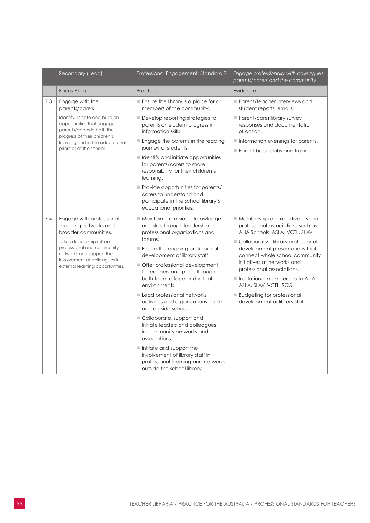|     | Secondary (Lead)                                                                                                                                                                                                                     | Professional Engagement: Standard 7                                                                                                                                                                                                                                                                                                                                                                                                                                                                                                                                                                                                                                      | Engage professionally with colleagues,<br>parents/carers and the community                                                                                                                                                                                                                                                                                                                                              |
|-----|--------------------------------------------------------------------------------------------------------------------------------------------------------------------------------------------------------------------------------------|--------------------------------------------------------------------------------------------------------------------------------------------------------------------------------------------------------------------------------------------------------------------------------------------------------------------------------------------------------------------------------------------------------------------------------------------------------------------------------------------------------------------------------------------------------------------------------------------------------------------------------------------------------------------------|-------------------------------------------------------------------------------------------------------------------------------------------------------------------------------------------------------------------------------------------------------------------------------------------------------------------------------------------------------------------------------------------------------------------------|
|     | <b>Focus Area</b>                                                                                                                                                                                                                    | Practice                                                                                                                                                                                                                                                                                                                                                                                                                                                                                                                                                                                                                                                                 | Evidence                                                                                                                                                                                                                                                                                                                                                                                                                |
| 7.3 | Engage with the<br>parents/carers.                                                                                                                                                                                                   | $\blacksquare$ Ensure the library is a place for all<br>members of the community.                                                                                                                                                                                                                                                                                                                                                                                                                                                                                                                                                                                        | $\blacksquare$ Parent/teacher interviews and<br>student reports; emails.                                                                                                                                                                                                                                                                                                                                                |
|     | Identify, initiate and build on<br>opportunities that engage<br>parents/carers in both the                                                                                                                                           | $\blacksquare$ Develop reporting strategies to<br>parents on student progress in<br>information skills.                                                                                                                                                                                                                                                                                                                                                                                                                                                                                                                                                                  | $\blacksquare$ Parent/carer library survey<br>responses and documentation<br>of action.                                                                                                                                                                                                                                                                                                                                 |
|     | progress of their children's<br>learning and in the educational<br>priorities of the school.                                                                                                                                         | $\blacksquare$ Engage the parents in the reading<br>journey of students.                                                                                                                                                                                                                                                                                                                                                                                                                                                                                                                                                                                                 | $\blacksquare$ Information evenings for parents.<br>$\blacksquare$ Parent book clubs and training.                                                                                                                                                                                                                                                                                                                      |
|     |                                                                                                                                                                                                                                      | I Identify and initiate opportunities<br>for parents/carers to share<br>responsibility for their children's<br>learning.                                                                                                                                                                                                                                                                                                                                                                                                                                                                                                                                                 |                                                                                                                                                                                                                                                                                                                                                                                                                         |
|     |                                                                                                                                                                                                                                      | Provide opportunities for parents/<br>carers to understand and<br>participate in the school library's<br>educational priorities.                                                                                                                                                                                                                                                                                                                                                                                                                                                                                                                                         |                                                                                                                                                                                                                                                                                                                                                                                                                         |
| 7.4 | Engage with professional<br>teaching networks and<br>broader communities.<br>Take a leadership role in<br>professional and community<br>networks and support the<br>involvement of colleagues in<br>external learning opportunities. | ■ Maintain professional knowledge<br>and skills through leadership in<br>professional organisations and<br>forums.<br>Ensure the ongoing professional<br>development of library staff.<br>Offer professional development<br>to teachers and peers through<br>both face to face and virtual<br>environments.<br>Lead professional networks,<br>activities and organisations inside<br>and outside school.<br>Collaborate, support and<br>initiate leaders and colleagues<br>in community networks and<br>associations.<br>$\blacksquare$ Initiate and support the<br>involvement of library staff in<br>professional learning and networks<br>outside the school library. | ■ Membership at executive level in<br>professional associations such as<br>ALIA Schools, ASLA, VCTL, SLAV.<br>Collaborative library professional<br>development presentations that<br>connect whole school community<br>initiatives at networks and<br>professional associations.<br>Institutional membership to ALIA,<br>ASLA, SLAV, VCTL, SCIS.<br><b>Budgeting for professional</b><br>development or library staff. |